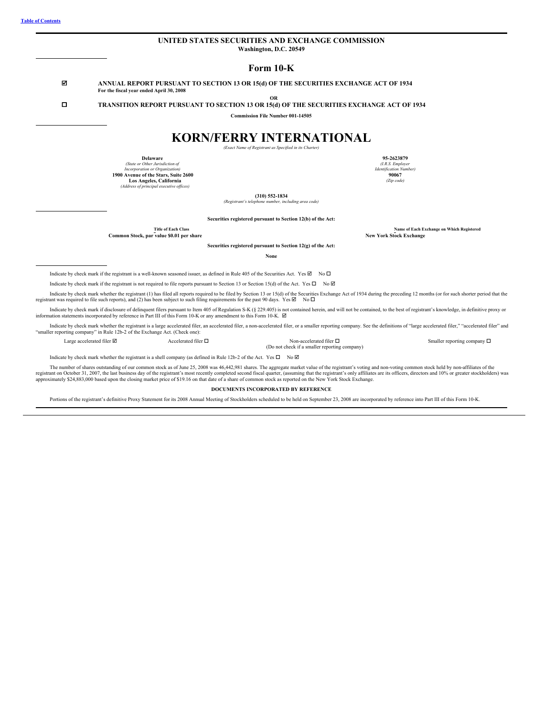<span id="page-0-0"></span>

|   | UNITED STATES SECURITIES AND EXCHANGE COMMISSION<br>Washington, D.C. 20549                                                             |                                                                             |  |  |  |  |
|---|----------------------------------------------------------------------------------------------------------------------------------------|-----------------------------------------------------------------------------|--|--|--|--|
|   | Form 10-K                                                                                                                              |                                                                             |  |  |  |  |
| ☑ | ANNUAL REPORT PURSUANT TO SECTION 13 OR 15(d) OF THE SECURITIES EXCHANGE ACT OF 1934<br>For the fiscal year ended April 30, 2008<br>OR |                                                                             |  |  |  |  |
| □ | TRANSITION REPORT PURSUANT TO SECTION 13 OR 15(d) OF THE SECURITIES EXCHANGE ACT OF 1934                                               |                                                                             |  |  |  |  |
|   | <b>Commission File Number 001-14505</b>                                                                                                |                                                                             |  |  |  |  |
|   | <b>KORN/FERRY INTERNATIONAL</b><br>(Exact Name of Registrant as Specified in its Charter)                                              |                                                                             |  |  |  |  |
|   | <b>Delaware</b>                                                                                                                        | 95-2623879                                                                  |  |  |  |  |
|   | (State or Other Jurisdiction of                                                                                                        | (I.R.S. Employer                                                            |  |  |  |  |
|   | Incorporation or Organization)                                                                                                         | <b>Identification Number)</b>                                               |  |  |  |  |
|   | 1900 Avenue of the Stars, Suite 2600<br>Los Angeles, California<br>(Address of principal executive offices)                            | 90067<br>(Zip code)                                                         |  |  |  |  |
|   | $(310)$ 552-1834<br>(Registrant's telephone number, including area code)                                                               |                                                                             |  |  |  |  |
|   | Securities registered pursuant to Section 12(b) of the Act:                                                                            |                                                                             |  |  |  |  |
|   | <b>Title of Each Class</b><br>Common Stock, par value \$0.01 per share                                                                 | Name of Each Exchange on Which Registered<br><b>New York Stock Exchange</b> |  |  |  |  |

**Securities registered pursuant to Section 12(g) of the Act:**

**None**

Indicate by check mark if the registrant is a well-known seasoned issuer, as defined in Rule 405 of the Securities Act. Yes  $\boxtimes$  No  $\Box$ 

Indicate by check mark if the registrant is not required to file reports pursuant to Section 13 or Section 15(d) of the Act. Yes  $\Box$  No  $\Box$ 

Indicate by check mark whether the registrant (1) has filed all reports required to be filed by Section 13 or 15(d) of the Securities Exchange Act of 1934 during the preceding 12 months (or for such shorter period that th

Indicate by check mark if disclosure of delinquent filers pursuant to Item 405 of Regulation S-K (§ 229.405) is not contained herein, and will not be contained, to the best of registrant's knowledge, in definitive proxy o

Indicate by check mark whether the registrant is a large accelerated filer, an accelerated filer, an non-accelerated filer, or a smaller reporting company. See the definitions of "large accelerated filer," "accelerated fil smaller reporting company" in Rule 12b-2 of the Exchange Act. (Check one):

Large accelerated filer  $\Box$  <br>Accelerated filer  $\Box$  <br>Point-accelerated filer  $\Box$ 

Indicate by check mark whether the registrant is a shell company (as defined in Rule 12b-2 of the Act. Yes  $\square$  No  $\square$ 

The number of shares outstanding of our common stock as of June 25, 2008 was 46,442,981 shares. The aggregate market value of the registrant's voting and non-voting common stock held by non-affiliates of the registrant on October 31, 2007, the last business day of the registrant's most recently completed second fiscal quarter, (assuming that the registrant's only affiliates are its officers, directors and 10% or greater stockh

## **DOCUMENTS INCORPORATED BY REFERENCE**

Portions of the registrant's definitive Proxy Statement for its 2008 Annual Meeting of Stockholders scheduled to be held on September 23, 2008 are incorporated by reference into Part III of this Form 10-K.

(Do not check if a smaller reporting company)

Smaller reporting company  $\Box$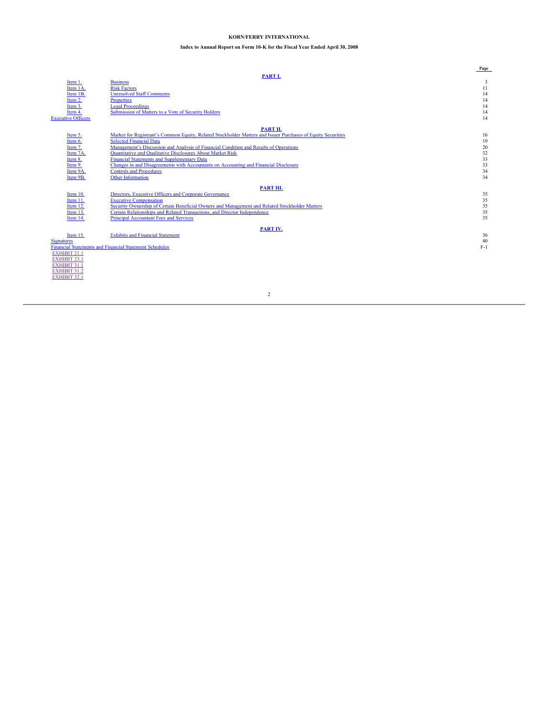# **KORN/FERRY INTERNATIONAL**

# **Index to Annual Report on Form 10-K for the Fiscal Year Ended April 30, 2008**

<span id="page-1-0"></span>

|                           |                                                                                                              | Page  |
|---------------------------|--------------------------------------------------------------------------------------------------------------|-------|
|                           | PART I.                                                                                                      |       |
| Item 1.                   | <b>Business</b>                                                                                              |       |
| Item 1A.                  | <b>Risk Factors</b>                                                                                          | 11    |
| Item 1B.                  | <b>Unresolved Staff Comments</b>                                                                             | 14    |
| Item 2.                   | <b>Properties</b>                                                                                            | 14    |
| Item 3.                   | <b>Legal Proceedings</b>                                                                                     | 14    |
| Item 4.                   | Submission of Matters to a Vote of Security Holders                                                          | 14    |
| <b>Executive Officers</b> |                                                                                                              | 14    |
|                           |                                                                                                              |       |
|                           | PART II.                                                                                                     |       |
| Item 5.                   | Market for Registrant's Common Equity, Related Stockholder Matters and Issuer Purchases of Equity Securities | 16    |
| Item 6.                   | <b>Selected Financial Data</b>                                                                               | 19    |
| Item 7.                   | Management's Discussion and Analysis of Financial Condition and Results of Operations                        | 20    |
| Item 7A.                  | Quantitative and Qualitative Disclosures About Market Risk                                                   | 32    |
| Item 8.                   | <b>Financial Statements and Supplementary Data</b>                                                           | 33    |
| Item 9.                   | Changes in and Disagreements with Accountants on Accounting and Financial Disclosure                         | 33    |
| Item 9A.                  | <b>Controls and Procedures</b>                                                                               | 34    |
| Item 9B.                  | Other Information                                                                                            | 34    |
|                           |                                                                                                              |       |
|                           | PART III.                                                                                                    |       |
| Item 10.                  | Directors, Executive Officers and Corporate Governance                                                       | 35    |
| Item 11.                  | <b>Executive Compensation</b>                                                                                | 35    |
| Item 12.                  | Security Ownership of Certain Beneficial Owners and Management and Related Stockholder Matters               | 35    |
| Item 13.                  | Certain Relationships and Related Transactions, and Director Independence                                    | 35    |
| Item 14.                  | <b>Principal Accountant Fees and Services</b>                                                                | 35    |
|                           |                                                                                                              |       |
|                           | PART IV.                                                                                                     |       |
| Item 15.                  | <b>Exhibits and Financial Statement</b>                                                                      | 36    |
| <b>Signatures</b>         |                                                                                                              | 40    |
|                           | <b>Financial Statements and Financial Statement Schedules</b>                                                | $F-1$ |
| EXHIBIT 21.1              |                                                                                                              |       |
| <b>EXHIBIT 23.1</b>       |                                                                                                              |       |
| <b>EXHIBIT 31.1</b>       |                                                                                                              |       |
| <b>EXHIBIT 31.2</b>       |                                                                                                              |       |
| <b>EXHIBIT 32.1</b>       |                                                                                                              |       |
|                           |                                                                                                              |       |
|                           |                                                                                                              |       |
|                           | 2                                                                                                            |       |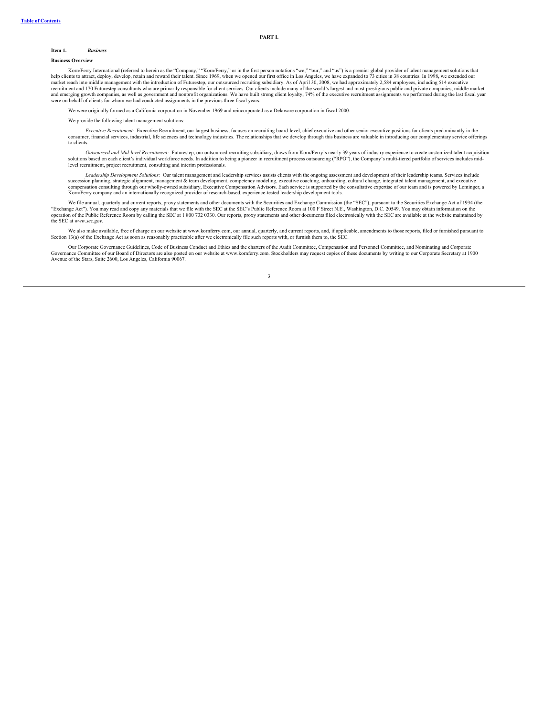**PART I.**

## <span id="page-2-0"></span>**Item 1.** *Business*

#### **Business Overview**

Korn/Ferry International (referred to herein as the "Company," "Korn/Ferry," or in the first person notations "we," "our," and "us") is a premier global provider of talent management solutions that<br>help clients to attract, and emerging growth companies, as well as government and nonprofit organizations. We have built strong client loyalty; 74% of the executive recruitment assignments we performed during the last fiscal year<br>were on behalf of

We were originally formed as a California corporation in November 1969 and reincorporated as a Delaware corporation in fiscal 2000.

We provide the following talent management solutions:

Executivent: Executive Recruitment; our largest business, focuses on recruiting board-level, chief executive and other senior executive positions for clients predominantly in the consumer, financial services, industrial, l to clients.

*Outsourced and Mid-level Recruitment:* Futurestep, our outsourced recruiting subsidiary, draws from Korn/Ferry's nearly 39 years of industry experience to create customized talent acquisition solutions based on each client's individual workforce needs. In addition to being a pioneer in recruitment process outsourcing ("RPO"), the Company's multi-tiered portfolio of services includes mid-<br>level recruitment, proj

Leadership Development Solutions: Our talent management and leadership services assists clients with the ongoing assessment and development of their leadership teams. Services include<br>succession planning, strategic aligmme Korn/Ferry company and an internationally recognized provider of research-based, experience-tested leadership development tools.

We file annual, quarterly and current reports, proxy statements and other documents with the Securities and Exchange Commission (the "SEC"), pursuant to the Securities Exchange Act of 1934 (the "Exchange Act"). You may read and copy any materials that we file with the SEC at the SEC's Public Reference Room at 100 F Street N.E., Washington, D.C. 20549. You may obtain information on the<br>operation of the Public Refe the SEC at *www.sec.gov*.

We also make available, free of charge on our website at www.komferry.com, our annual, quarterly, and current reports, and, if applicable, amendments to those reports, filed or furnished pursuant to Section 13(a) of the Ex

Our Corporate Governance Guidelines, Code of Business Conduct and Ethics and the charters of the Audit Committee, Compensation and Personnel Committee, and Nominating and Corporate Governance Committee of our Board of Directors are also posted on our website at www.kornferry.com. Stockholders may request copies of these documents by writing to our Corporate Secretary at 1900 Avenue of the Stars, Suite 2600, Los Angeles, California 90067.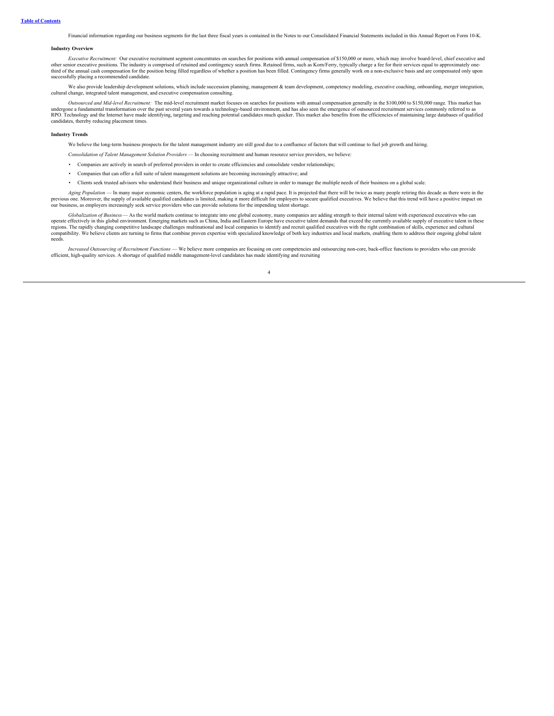Financial information regarding our business segments for the last three fiscal years is contained in the Notes to our Consolidated Financial Statements included in this Annual Report on Form 10-K.

### **Industry Overview**

*Executive Recruitment*: Our executive recruitment segment concentrates on searches for positions with annual compensation of \$150,000 or more, which may involve board-level, chief executive and other sensive positions. Th

We also provide leadership development solutions, which include succession planning, management & team development, competency modeling, executive coaching, onboarding, merger integration, cultural change, integrated talent management, and executive compensation consulting.

Outsourced and Mid-level Recruitment: The mid-level recruitment market focuses on searches for positions with annual compensation generally in the \$100,000 to \$150,000 range. This market has undergone a fundamental transfo candidates, thereby reducing placement times.

## **Industry Trends**

We believe the long-term business prospects for the talent management industry are still good due to a confluence of factors that will continue to fuel job growth and hiring.

- *Consolidation of Talent Management Solution Providers* In choosing recruitment and human resource service providers, we believe:
- Companies are actively in search of preferred providers in order to create efficiencies and consolidate vendor relationships;
- Companies that can offer a full suite of talent management solutions are becoming increasingly attractive; and
- Clients seek trusted advisors who understand their business and unique organizational culture in order to manage the multiple needs of their business on a global scale.

Aging Population — In many major economic centers, the workforce population is aging at a rapid pace. It is projected that there will be twice as many people retiring this decade as there were in the previous one. Moreover, the supply of available qualified candidates is limited, making it more difficult for employers to secure qualified executives. We believe that this trend will have a positive impact on ur business, as employers increasingly seek service providers who can provide solutions for the impending talent shortage.

*Globalization of Business*— As the world markets continue to integrate into one global economy, many companies are adding strength to their internal talent with experienced executives who can operate effectively in this global environment. Emerging markets such as China, India and Eastern Europe have executive talent demands that exceed the currently available supply of executive talent in these regions. The rapidly changing competitive landscape challenges multinational and local companies to identify and recruit qualified executives with the right combination of skills, experience and cultural compatibility. We believe clients are turning to firms that combine proven expertise with specialized knowledge of both key industries and local markets, enabling them to address their ongoing global talent needs.

*Increased Outsourcing of Recruitment Functions* — We believe more companies are focusing on core competencies and outsourcing non-core, back-office functions to providers who can provide efficient, high-quality services. A shortage of qualified middle management-level candidates has made identifying and recruiting

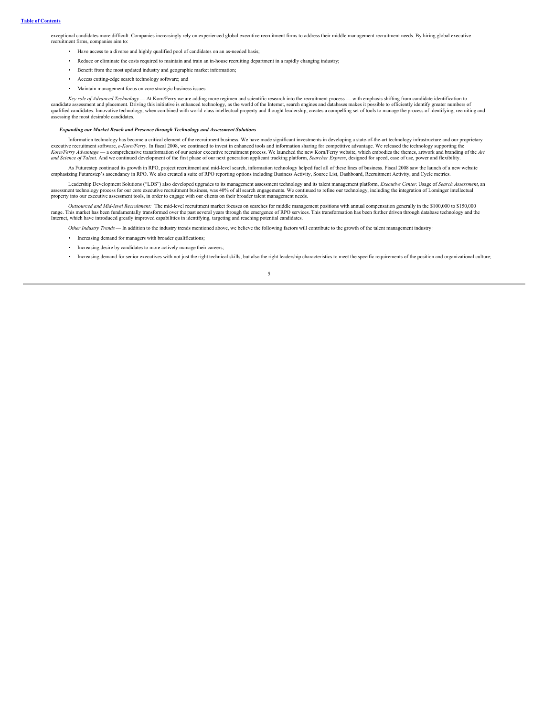exceptional candidates more difficult. Companies increasingly rely on experienced global executive recruitment firms to address their middle management recruitment needs. By hiring global executive recruitment firms, companies aim to:

- Have access to a diverse and highly qualified pool of candidates on an as-needed basis;
- Reduce or eliminate the costs required to maintain and train an in-house recruiting department in a rapidly changing industry;
- Benefit from the most updated industry and geographic market information;
- Access cutting-edge search technology software; and
- Maintain management focus on core strategic business issues.

*Key role of Advanced Technology* — At Korn/Ferry we are adding more regimen and scientific research into the recruitment process — with emphasis shifting from candidate identification to candidate assessment and placement. Driving this initiative is enhanced technology, as the world of the Internet, search engines and databases makes it possible to efficiently identify greater numbers of<br>qualified candidat assessing the most desirable candidates.

#### *Expanding our Market Reach and Presence through Technology and Assessment Solutions*

Information technology has become a critical element of the recruitment business. We have made significant investments in developing a state-of-the-art technology infrastructure and our proprietary executive recruitment software, e-Korn/Ferry. In fiscal 2008, we continued to invest in enhanced tools and information sharing for competitive advantage. We released the technology supporting the *Korn/Ferry Advantage* — acomprehensive transformation of our senior executive recruitment process. We launched the new Korn/Ferry website, which embodies the themes, artwork and branding of the *Art* and Science of Talent. And we continued development of the first phase of our next generation applicant tracking platform, Searcher Express, designed for speed, ease of use, power and flexibility

As Futurestep continued its growth in RPO, project recruitment and mid-level search, information technology helped fuel all of these lines of business. Fiscal 2008 saw the launch of a new website emphasizing Futurestep's ascendancy in RPO. We also created a suite of RPO reporting options including Business Activity, Source List, Dashboard, Recruitment Activity, and Cycle metrics.

Leadership Development Solutions ("LDS") also developed upgrades to its management assessment technology and its talent management platform, *Executive Center*. Usage of *Search Assessment*, an ess, was 40% of all search engagements. We continued to refine our technology, including the integration of Lominger intellectual assessment technology process for our core executive recruitment business, was 40% of all search engagements. We contin<br>property into our executive assessment tools, in order to engage with our clients on their broader tal

Outsourced and Mid-level Recruitment: The mid-level recruitment market focuses on searches for middle management positions with annual compensation generally in the \$100,000 to \$150,000 to \$150,000 to \$150,000 to \$150,000

*Other Industry Trends*— In addition to the industry trends mentioned above, we believe the following factors will contribute to the growth of the talent management industry:

- Increasing demand for managers with broader qualifications;
- Increasing desire by candidates to more actively manage their careers;
- Increasing demand for senior executives with not just the right technical skills, but also the right leadership characteristics to meet the specific requirements of the position and organizational culture;

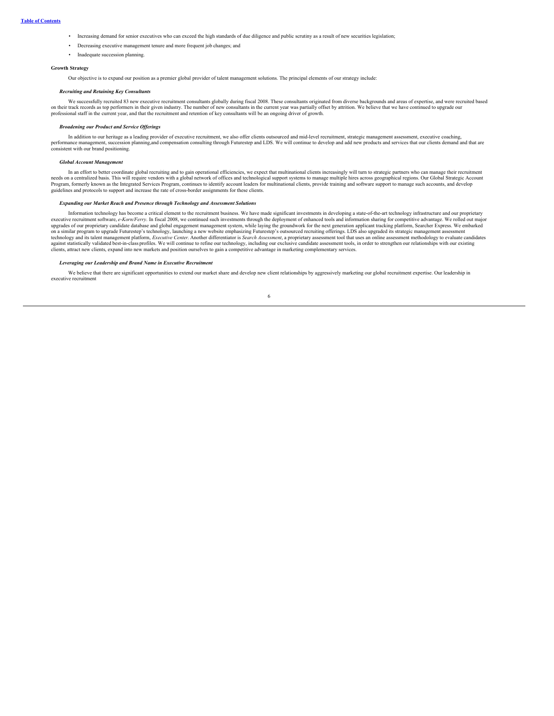- Increasing demand for senior executives who can exceed the high standards of due diligence and public scrutiny as a result of new securities legislation;
- Decreasing executive management tenure and more frequent job changes; and
- Inadequate succession planning.

## **Growth Strategy**

Our objective is to expand our position as a premier global provider of talent management solutions. The principal elements of our strategy include:

## *Recruiting and Retaining Key Consultants*

We successfully recruited 83 new executive recruitment consultants globally during fiscal 2008. These consultants originated from diverse backgrounds and areas of expertise, and were recruited based on their track records as top performers in their given industry. The number of new consultants in the current year was partially offset by attrition. We believe that we have continued to upgrade our professional staff in the current year, and that the recruitment and retention of key consultants will be an ongoing driver of growth.

## *Broadening our Product and Service Of erings*

In addition to our heritage as a leading provider of executive recruitment, we also offer clients outsourced and mid-level recruitment, strategic management assessment, executive coaching, performance management, succession planning,and compensation consulting through Futurestep and LDS. We will continue to develop and add new products and services that our clients demand and that are performance management, consistent with our brand positioning.

### *Global Account Management*

In an effort to better coordinate global recruiting and to gain operational efficiencies, we expect that multinational clients increasingly will turn to strategic partners who can manage their recruit needs on a centralized basis. This will require vendors with a global network of offices and technological support systems to manage multiple hires across geographical regions. Our Global Strategic Account<br>Program, formerl guidelines and protocols to support and increase the rate of cross-border assignments for these clients.

## *Expanding our Market Reach and Presence through Technology and Assessment Solutions*

Information technology has become a critical element to the recruitment business. We have made significant investments in developing a state-of-the-art technology infrastructure and our proprietary executive recruitment software, *e-Korn/Ferry*. In fiscal 2008, we continued such investments through the deployment of enhanced tools and information sharing for competitive advantage. We rolled out major upgrades of our proprietary candidate database and global engagement management system, while laying the groundwork for the next generation applicant tracking platform, Searcher Express. We embarked<br>on a similar program to technology and its talent management platform, *Executive Center*. Another differentiator is *Search Assessment*, a proprietary assessment tool that uses an online assessment methodology to evaluate candidates<br>against stat clients, attract new clients, expand into new markets and position ourselves to gain a competitive advantage in marketing complementary services.

## *Leveraging our Leadership and Brand Name in Executive Recruitment*

We believe that there are significant opportunities to extend our market share and develop new client relationships by aggressively marketing our global recruitment expertise. Our leadership in executive recruitment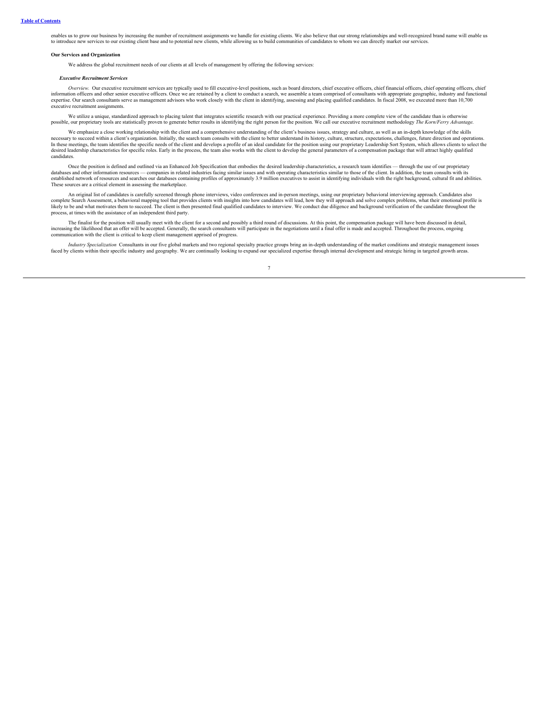enables us to grow our business by increasing the number of recruitment assignments we handle for existing clients. We also believe that our strong relationships and well-recognized brand name will enable us to introduce new services to our existing client base and to potential new clients, while allowing us to build communities of candidates to whom we can directly market our services.

### **Our Services and Organization**

We address the global recruitment needs of our clients at all levels of management by offering the following services:

## *Executive Recruitment Services*

*Overview.* Our executive recruitment services are typically used to fill executive-level positions, such as board directors, chief executive officers, chief financial officers, chief operating officers, chief information officers and other senior executive officers. Once we are retained by a client to conduct a search, we assemble a team comprised of consultants with appropriate geographic, industry and functional<br>expertise. Ou executive recruitment assignments.

We utilize a unique, standardized approach to placing talent that integrates scientific research with our practical experience. Providing a more complete view of the candidate than is otherwise possible, our proprietary tools are statistically proven to generate better results in identifying the right person for the position. We call our executive recruitment methodology The Korn/Ferry Advantage.

We emphasize a close working relationship with the client and a comprehensive understanding of the client's business issues, strategy and culture, as well as an in-depth knowledge of the skills necessary to succeed within a client's organization. Initially, the search team consults with the client to better understand its history, culture, structure, expectations, challenges, future direction and operations. In these meetings, the team identifies the specific needs of the client and develops a profile of an ideal candidate for the position using our proprietary Leadership Sort System, which allows clients to select the desired candidates.

Once the position is defined and outlined via an Enhanced Job Specification that embodies the desired leadership characteristics, a research team identifies — through the use of our proprietary databases and other information resources — companies in related industries facing similar issues and with operating characteristics similar to those of the client. In addition, the team consults with its established network of resources and searches our databases containing profiles of approximately 3.9 million executives to assist in identifying individuals with the right background, cultural fit and abilities. These sources are a critical element in assessing the marketplace.

An original list of candidates is carefully screened through phone interviews, video conferences and in-person meetings, using our proprietary behavioral interviewing approach. Candidates also<br>Complete Search Assessment, a process, at times with the assistance of an independent third party.

The finalist for the position will usually meet with the client for a second and possibly a third round of discussions. At this point, the compensation package will have been discussed in detail, increasing the likelihood that an offer will be accepted. Generally, the search consultants will participate in the negotiations until a final offer is made and accepted. Throughout the process, ongoing communication with the client is critical to keep client management apprised of progress.

Industry Specialization Consultants in our five global markets and two regional specialty practice groups bring an in-depth understanding of the market conditions and strategic management issues faced by clients within the

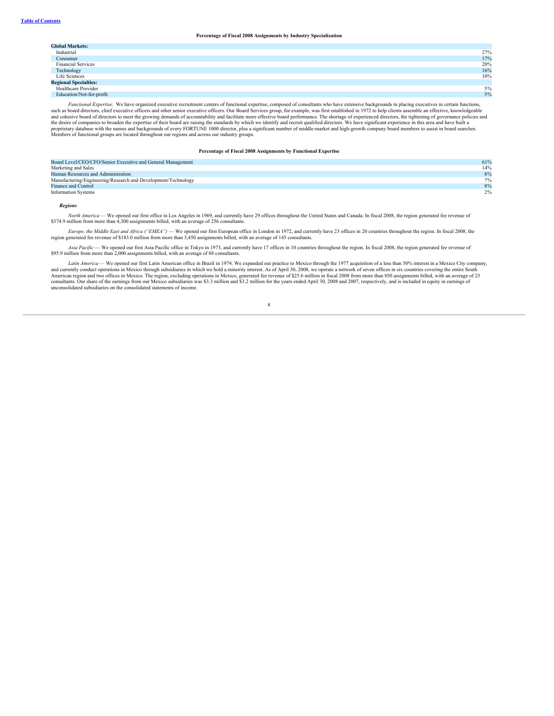# **Percentage of Fiscal 2008 Assignments by Industry Specialization**

| 27% |
|-----|
| 17% |
| 20% |
| 16% |
| 10% |
|     |
| 5%  |
| 5%  |
|     |

*Functional Expertise.* We have organized executive recruitment centers of functional expertise, composed of consultants who have extensive backgrounds in placing executives in certain functions, such as board directors, chief executive officers and other senior executive officers. Our Board Services group, for example, was first established in 1972 to help clients assemble an effective, knowledgeable and cohesive the desire of companies to broaden the expertise of their board are raising the standards by which we identify and recruit qualified directors. We have significant experience in this area and have built a<br>proprietary datab Members of functional groups are located throughout our regions and across our industry groups.

### **Percentage of Fiscal 2008 Assignments by Functional Expertise**

| Board Level/CEO/CFO/Senior Executive and General Management   | 61%   |
|---------------------------------------------------------------|-------|
| Marketing and Sales                                           | 14%   |
| Human Resources and Administration                            | 8%    |
| Manufacturing/Engineering/Research and Development/Technology | $7\%$ |
| Finance and Control                                           | 8%    |
| <b>Information Systems</b>                                    | 2%    |

*Regions*

*North America* — We opened our first office in Los Angeles in 1969, and currently have 29 offices throughout the United States and Canada. In fiscal 2008, the region generated fee revenue of \$374.9 million from more than  $\hat{4}$ ,300 assignments billed, with an average of 256 consultants.

Europe, the Middle East and Africa ("EMEA") - We opened our first European office in London in 1972, and currently have 23 offices in 20 countries throughout the region. In fiscal 2008, the region generated fee revenue of \$183.0 million from more than 3,450 assignments billed, with an average of 145 consultants.

*Asia Pacific* — We opened our first Asia Pacific office in Tokyo in 1973, and currently have 17 offices in 10 countries throughout the region. In fiscal 2008, the region generated fee revenue of \$95.9 million from more than 2,000 assignments billed, with an average of 88 consultants.

*Latin America* — We opened our first Latin American office in Brazil in 1974. We expanded our practice to Mexico through the 1977 acquisition of a less than 50% interest in a Mexico City company, and currently conduct operations in Mexico through subsidiaries in which we hold a minority interest. As of April 30, 2008, we operate a network of seven offices in six countries covering the entire South<br>American region a unconsolidated subsidiaries on the consolidated statements of income.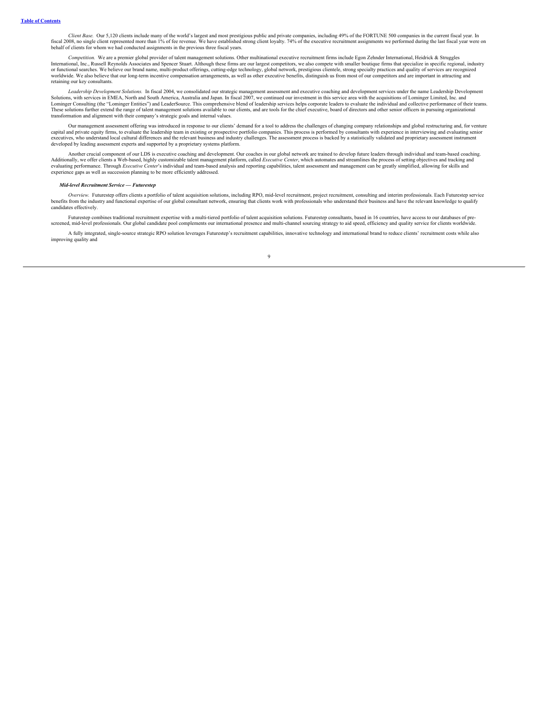*Client Base.* Our 5,120 clients include many of the world's largest and most prestigious public and private companies, including 49% of the FORTUNE 500 companies in the current fiscal year. In fiscal 2008, no single client represented more than 1% of fee revenue. We have established strong client loyalty. 74% of the executive recruitment assignments we performed during the last fiscal year were on behalf of clients for whom we had conducted assignments in the previous three fiscal years.

Competition. We are a premier global provider of talent management solutions. Other multinational executive recruitment firms include Egon Zehnder International, Heidrick & Struggles (Struggles) International, Inc., Russel worldwide. We also believe that our long-term incentive compensation arrangements, as well as other executive benefits, distinguish us from most of our competitors and are important in attracting and retaining our key consultants.

*Leadership Development Solutions.* In fiscal 2004, we consolidated our strategic management assessment and executive coaching and development services under the name Leadership Development Solutions, with services in EMEA, North and South America, Australia and Japan. In fiscal 2007, we continued our investment in this service area with the acquisitions of Lominger Limited, Inc. and Lominger Consulting (the "Lominger Entities") and LeaderSource. This comprehensive blend of leadership services helps corporate leaders to evaluate the individual and collective performance of their teams.<br>These solutions transformation and alignment with their company's strategic goals and internal values.

Our management assessment offering was introduced in response to our clients' demand for a tool to address the challenges of changing company relationships and global restructuring and, for venture<br>capital and private equi executives, who understand local cultural differences and the relevant business and industry challenges. The assessment process is backed by a statistically validated and proprietary assessment instrument developed by leading assessment experts and supported by a proprietary systems platform.

Another crucial component of our LDS is executive coaching and development. Our coaches in our global network are trained to develop future leaders through individual and team-based coaching.<br>Additionally, we offer clients experience gaps as well as succession planning to be more efficiently addressed.

## *Mid-level Recruitment Service — Futurestep*

*Overview.* Futurestep offers clients a portfolio of talent acquisition solutions, including RPO, mid-level recruitment, project recruitment, consulting and interim professionals. Each Futurestep service benefits from the industry and functional expertise of our global consultant network, ensuring that clients work with professionals who understand their business and have the relevant knowledge to qualify candidates effectively.

Futurestep combines traditional recruitment expertise with a multi-tiered portfolio of talent acquisition solutions. Futurestep consultants, based in 16 countries, have access to our databases of prescreened, mid-level professionals. Our global candidate pool complements our international presence and multi-channel sourcing strategy to aid speed, efficiency and quality service for clients worldwide.

A fully integrated, single-source strategic RPO solution leverages Futurestep's recruitment capabilities, innovative technology and international brand to reduce clients' recruitment costs while also improving quality and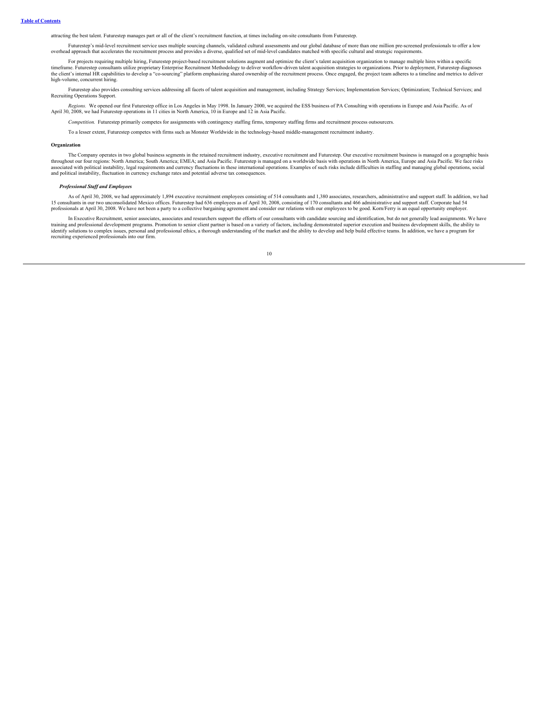attracting the best talent. Futurestep manages part or all of the client's recruitment function, at times including on-site consultants from Futurestep.

Futurestep's mid-level recruitment service uses multiple sourcing channels, validated cultural assessments and our global database of more than one million pre-screened professionals to offer a low overhead approach that accelerates the recruitment process and provides a diverse, qualified set of mid-level candidates matched with specific cultural and strategic requirements.

For projects requiring multiple hiring, Futurestep project-based recruitment solutions augment and optimize the client's talent acquisition organization to manage multiple hires within a specific<br>timeframe Futurestep diagn the client's internal HR capabilities to develop a "co-sourcing" platform emphasizing shared ownership of the recruitment process. Once engaged, the project team adheres to a timeline and metrics to deliver high-volume, concurrent hiring.

Futurestep also provides consulting services addressing all facets of talent acquisition and management, including Strategy Services; Implementation Services; Optimization; Technical Services; and Recruiting Operations Support.

*Regions.* We opened our first Futurestep office in Los Angeles in May 1998. In January 2000, we acquired the ESS business of PA Consulting with operations in Europe and Asia Pacific. As of April 30, 2008, we had Futurestep operations in 11 cities in North America, 10 in Europe and 12 in Asia Pacific.

*Competition.* Futurestep primarily competes for assignments with contingency staffing firms, temporary staffing firms and recruitment process outsourcers.

To a lesser extent, Futurestep competes with firms such as Monster Worldwide in the technology-based middle-management recruitment industry.

## **Organization**

The Company operates in two global business segments in the retained recruitment industry, executive recruitment and Futurestep. Our executive recruitment business is managed on a geographic basis<br>throughout our four regio and political instability, fluctuation in currency exchange rates and potential adverse tax consequences.

#### *Professional Staf and Employees*

As of April 30, 2008, we had approximately 1,894 executive recruitment employees consisting of 514 consultants and 1,380 associates, researchers, administrative and support staff. In addition, we had 55 orosultants in our

In Executive Recruitment, senior associates, associates and researchers support the efforts of our consultants with candidate sourcing and identification, but do not generally lead assignments. We have training and profess

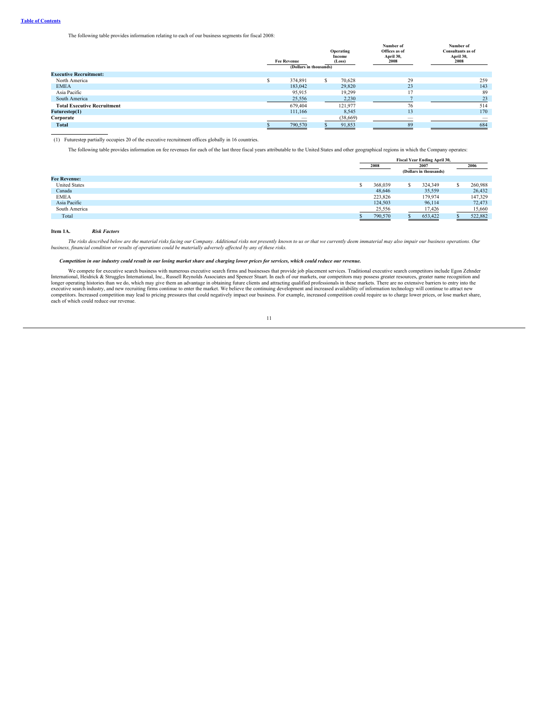The following table provides information relating to each of our business segments for fiscal 2008:

|         |                    |                        | Number of<br>Offices as of<br>April 30,<br>2008 | Number of<br><b>Consultants as of</b><br>April 30,<br>2008 |
|---------|--------------------|------------------------|-------------------------------------------------|------------------------------------------------------------|
|         |                    |                        |                                                 |                                                            |
| 374,891 |                    | 70,628                 | 29                                              | 259                                                        |
| 183,042 |                    | 29,820                 | 23                                              | 143                                                        |
| 95,915  |                    | 19,299                 |                                                 | 89                                                         |
| 25,556  |                    | 2,230                  |                                                 | 23                                                         |
| 679,404 |                    | 121,977                | 76                                              | 514                                                        |
| 111,166 |                    | 8,545                  | 13                                              | 170                                                        |
| $-$     |                    | (38,669)               | $-$                                             | $-$                                                        |
| 790,570 |                    | 91,853                 | 89                                              | 684                                                        |
|         | <b>Fee Revenue</b> | (Dollars in thousands) | Operating<br>Income<br>(Loss)                   |                                                            |

(1) Futurestep partially occupies 20 of the executive recruitment offices globally in 16 countries.

The following table provides information on fee revenues for each of the last three fiscal years attributable to the United States and other geographical regions in which the Company operates:

|                      | Fiscal Year Ending April 30, |  |                                |   |         |
|----------------------|------------------------------|--|--------------------------------|---|---------|
|                      | 2008                         |  | 2007<br>(Dollars in thousands) |   | 2006    |
| <b>Fee Revenue:</b>  |                              |  |                                |   |         |
| <b>United States</b> | 368,039                      |  | 324,349                        | s | 260,988 |
| Canada               | 48,646                       |  | 35,559                         |   | 26,432  |
| <b>EMEA</b>          | 223,826                      |  | 179,974                        |   | 147.329 |
| Asia Pacific         | 124,503                      |  | 96,114                         |   | 72,473  |
| South America        | 25,556                       |  | 17,426                         |   | 15,660  |
| Total                | 790,570                      |  | 653,422                        |   | 522,882 |

# <span id="page-10-0"></span>**Item 1A.** *Risk Factors*

The risks described below are the material risks facing our Company. Additional risks not presently known to us or that we currently deem immaterial may also impair our business operations. Our business, financial condition or results of operations could be materially adversely affected by any of these risks.

# Competition in our industry could result in our losing market share and charging lower prices for services, which could reduce our revenue.

We compete for executive search business with numerous executive search firms and businesses that provide job placement services. Traditional executive search competitors include Egon Zehnder<br>International, Inc., Russell R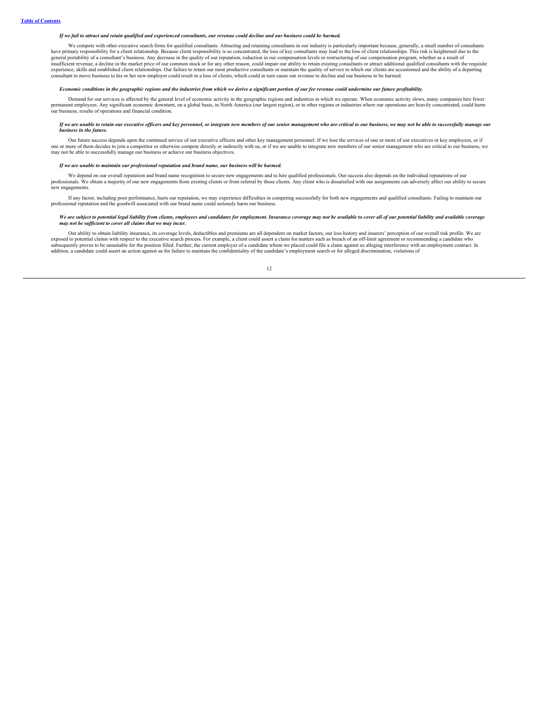## .<br>If we fail to attract and retain qualified and experienced consultants, our revenue could decline and our business could be harmed.

We compete with other executive search firms for qualified consultants. Attracting and retaining consultants in our industry is particularly important because, generally, a small number of consultants have primary responsibility for a client relationship. Because client responsibility is so concentrated, the loss of key consultants may lead to the loss of client relationships. This risk is heightened due to the general consultant to move business to his or her new employer could result in a loss of clients, which could in turn cause our revenue to decline and our business to be harmed.

### Economic conditions in the geographic regions and the industries from which we derive a significant portion of our fee revenue could undermine our future profitability.

Demand for our services is affected by the general level of economic activity in the geographic regions and industries in which we operate. When economic activity slows, many companies hire fewer<br>permanent employees. Any s our business, results of operations and financial condition.

## If we are unable to retain our executive officers and key personnel, or integrate new members of our senior management who are critical to our business, we may not be able to successfully manage our *business in the future.*

Our future success depends upon the continued service of our executive officers and other key management personnel. If we lose the services of one or more of our executives or key employees, or if one or more of them decid may not be able to successfully manage our business or achieve our business objectives.

#### *If we are unable to maintain our professional reputation and brand name, our business will be harmed.*

We depend on our overall reputation and brand name recognition to secure new engagements and to hire qualified professionals. Our success also depends on the individual reputations of our professionals. We obtain a majority of our new engagements from existing clients or from referral by those clients. Any client who is dissatisfied with our assignments can adversely affect our ability to secure ew engagements.

If any factor, including poor performance, hurts our reputation, we may experience difficulties in competing successfully for both new engagements and qualified consultants. Failing to maintain our professional reputation and the goodwill associated with our brand name could seriously harm our business.

## We are subject to potential legal liability from clients, employees and candidates for employment. Insurance coverage may not be available to cover all of our potential liability and available coverage *may not be suf icient to cover all claims that we may incur.*

Our ability to obtain liability insurance, its coverage levels, deductibles and premiums are all dependent on market factors, our loss history and insurers' perception of our overall risk profile. We are exposed to potential claims with respect to the executive search process. For example, a client could assert a claim for matters such as breach of an off-limit agreement or recommending a candidate who exposed to potential subsequently proves to be unsuitable for the position filled. Further, the current employer of a candidate whom we placed could file a claim against us alleging interference with an employment contract. In<br>addition, a cand

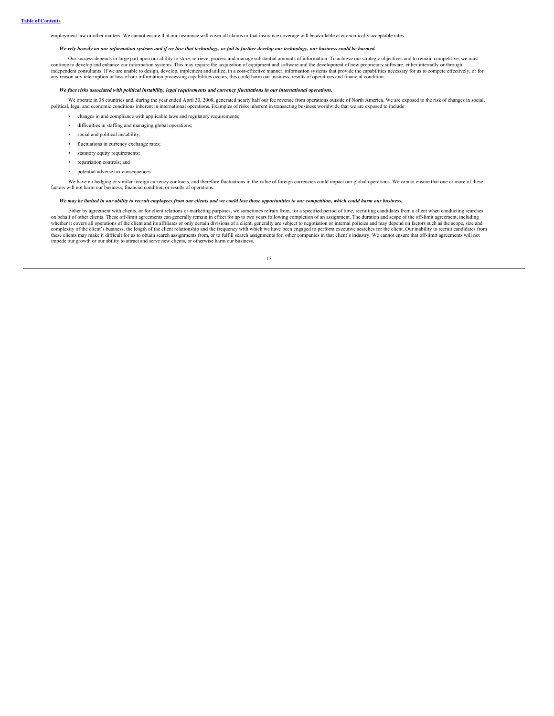employment law or other matters. We cannot ensure that our insurance will cover all claims or that insurance coverage will be available at economically acceptable rates.

## We rely heavily on our information systems and if we lose that technology, or fail to further develop our technology, our business could be harmed.

Our success depends in large part upon our ability to store, retrieve, process and manage substantial amounts of information. To achieve our strategic objectives and to remain competitive, we must continue to develop and enhance our information systems. This may require the acquisition of equipment and software and the development of new proprietary software, either internally or through continue to development and independent consultants. If we are unable to design, develop, implement and utilize, in a cost-effective manner, information systems that provide the capabilities necessary for us to compete effectively, or for<br>any reason

# We face risks associated with political instability, legal requirements and currency fluctuations in our international operations

We operate in 38 countries and, during the year ended April 30, 2008, generated nearly half our fee revenue from operations outside of North America. We are exposed to the risk of changes in social, political, legal and economic conditions inherent in international operations. Examples of risks inherent in transacting business worldwide that we are exposed to include:

- changes in and compliance with applicable laws and regulatory requirements;
- difficulties in staffing and managing global operations;
- social and political instability;
- fluctuations in currency exchange rates:
- statutory equity requirements;
- repatriation controls; and
- potential adverse tax consequences.

We have no hedging or similar foreign currency contracts, and therefore fluctuations in the value of foreign currencies could impact our global operations. We cannot ensure that one or more of these factors will not harm our business, financial condition or results of operations.

## We may be limited in our ability to recruit employees from our clients and we could lose those opportunities to our competition, which could harm our business.

Either by agreement with clients, or for client relations or marketing purposes, we sometimes refrain from, for a specified period of time, recruiting candidates from a client when conducting searches on behalf of other clients. These off-limit agreements can generally remain in effect for up to two years following completion of an assignment. The duration and scope of the off-limit agreement, including whether it covers all operations of the client and its affiliates or only certain divisions of a client, generally are subject to negotiation or internal policies and may depend on factors such as the scope, size and<br>compl

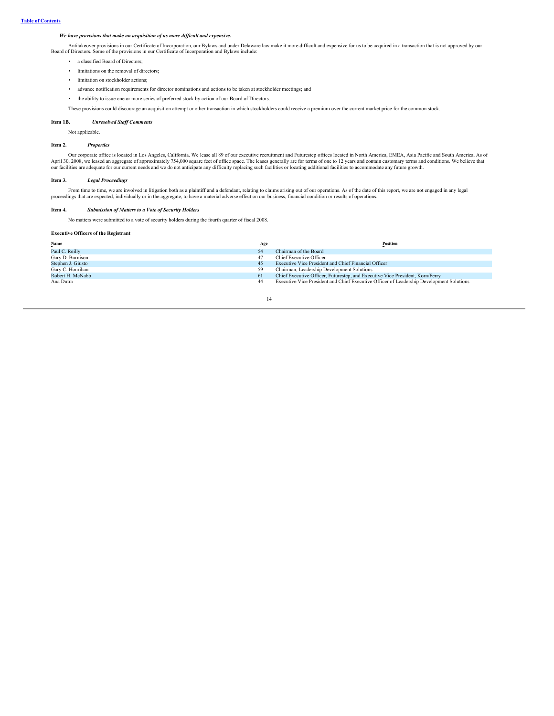# *We have provisions that make an acquisition of us more dif icult and expensive.*

Antitakeover provisions in our Certificate of Incorporation, our Bylaws and under Delaware law make it more difficult and expensive for us to be acquired in a transaction that is not approved by our Board of Directors. Some of the provisions in our Certificate of Incorporation and Bylaws include:

- a classified Board of Directors;
- limitations on the removal of directors;
- limitation on stockholder actions;
- advance notification requirements for director nominations and actions to be taken at stockholder meetings; and
- the ability to issue one or more series of preferred stock by action of our Board of Directors.

These provisions could discourage an acquisition attempt or other transaction in which stockholders could receive a premium over the current market price for the common stock.

# **Item 1B.** *Unresolved Staf Comments*

<span id="page-13-1"></span><span id="page-13-0"></span>Not applicable.

# **Item 2.** *Properties*

Our corporate office is located in Los Angeles, California. We lease all 89 of our executive recruitment and Futurestep offices located in North America, EMEA, Asia Pacific and South America. As of<br>April 30, 2008, we lease

#### <span id="page-13-2"></span>**Item 3.** *Legal Proceedings*

From time to time, we are involved in litigation both as a plaintiff and a defendant, relating to claims arising out of our operations. As of the date of this report, we are not engaged in any legal proceedings that are expected, individually or in the aggregate, to have a material adverse effect on our business, financial condition or results of operations.

# **Item 4.** *Submission of Matters to a Vote of Security Holders*

<span id="page-13-3"></span>No matters were submitted to a vote of security holders during the fourth quarter of fiscal 2008.

## **Executive Officers of the Registrant**

| Name<br>$\sim$    | Age | <b>Position</b>                                                                          |
|-------------------|-----|------------------------------------------------------------------------------------------|
| Paul C. Reilly    | 54  | Chairman of the Board                                                                    |
| Gary D. Burnison  |     | Chief Executive Officer                                                                  |
| Stephen J. Giusto | 45  | Executive Vice President and Chief Financial Officer                                     |
| Gary C. Hourihan  | 59  | Chairman, Leadership Development Solutions                                               |
| Robert H. McNabb  | 61  | Chief Executive Officer, Futurestep, and Executive Vice President, Korn/Ferry            |
| Ana Dutra         | 44  | Executive Vice President and Chief Executive Officer of Leadership Development Solutions |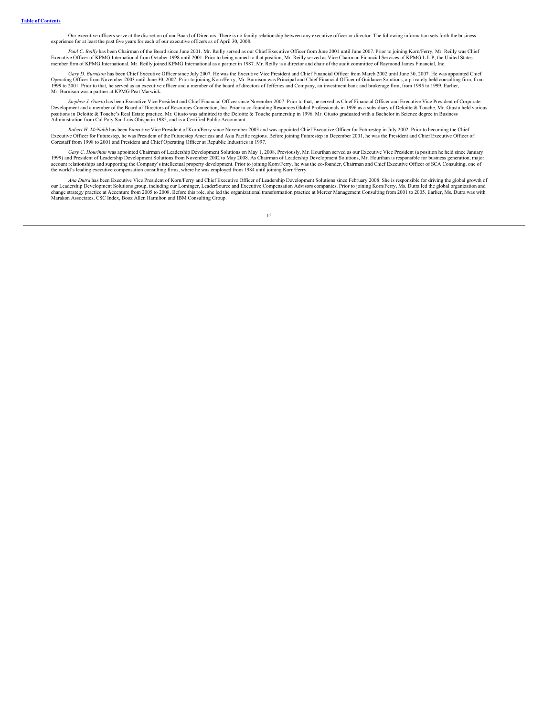Our executive officers serve at the discretion of our Board of Directors. There is no family relationship between any executive officer or director. The following information sets forth the business experience for at least the past five years for each of our executive officers as of April 30, 2008.

*Paul C. Reilly* has been Chairman of the Board since June 2001. Mr. Reilly served as our Chief Executive Officer from June 2001 until June 2007. Prior to joining Korn/Ferry, Mr. Reilly was Chief Executive Officer of KPMG International from October 1998 until 2001. Prior to being named to that position, Mr. Reilly served as Vice Chairman Financial Services of KPMG L.L.P, the United States<br>member firm of KPMG Intern

Gary *D. Burnison* has been Chief Executive Officer since July 2007. He was the Executive Vice President and Chief Financial Officer from March 2002 until June 30, 2007. He was appointed Chief Operating Officer from November 2003 until June 30, 2007. Prior to joining Korn/Ferry, Mr. Burnison was Principal and Chief Financial Officer of Guidance Solutions, a privately held consulting firm, from 1999 to 2001. Prior to that, he served as an executive officer and a member of the board of directors of Jefferies and Company, an investment bank and brokerage firm, from 1995 to 1999. Earlier, Mr. Burnison was a partner at KPMG Peat Marwick.

*Stephen J. Giusto* has been Executive Vice President and Chief Financial Officer since November 2007. Prior to that, he served as Chief Financial Officer and Executive Vice President of Corporate Development and a member of the Board of Directors of Resources Connection, Inc. Prior to co-founding Resources Global Professionals in 1996 as a subsidiary of Deloitte & Touche, Mr. Giusto held various positions in Deloitte & Touche's Real Estate practice. Mr. Giusto was admitted to the Deloitte & Touche partnership in 1996. Mr. Giusto graduated with a Bachelor in Science degree in Business<br>Administration from Cal Poly S

*Robert H. McNabb* has been Executive Vice President of Korn/Ferry since November 2003 and was appointed Chief Executive Officer for Futurestep in July 2002. Prior to becoming the Chief Executive Officer for Futurestep, he was President of the Futurestep Americas and Asia Pacific regions. Before joining Futurestep in December 2001, he was the President and Chief Executive Officer of<br>Corestaff from 1998 to

*Gary C. Hourihan* was appointed Chairman of Leadership Development Solutions on May 1, 2008. Previously, Mr. Hourihan served as our Executive Vice President (a position he held since January 1999) and President of Leadership Development Solutions from November 2002 to May 2008. As Chairman of Leadership Development Solutions, Mr. Hourihan is responsible for business generation, major (1999) and President of Le account relationships and supporting the Company's intellectual property development. Prior to joining Kom/Ferry, he was the co-founder, Chairman and Chief Executive Officer of SCA Consulting, one of<br>the world's leading ex

*Ana Dutra* has been Executive Vice President of Korn/Ferry and Chief Executive Officer of Leadership Development Solutions since February 2008. She is responsible for driving the global growth of our Leadership Development Solutions group, including our Lominger, LeaderSource and Executive Compensation Advisors companies. Prior to joining Korn/Ferry, Ms. Dutra led the global organization and<br>change strategy practic Marakon Associates, CSC Index, Booz Allen Hamilton and IBM Consulting Group.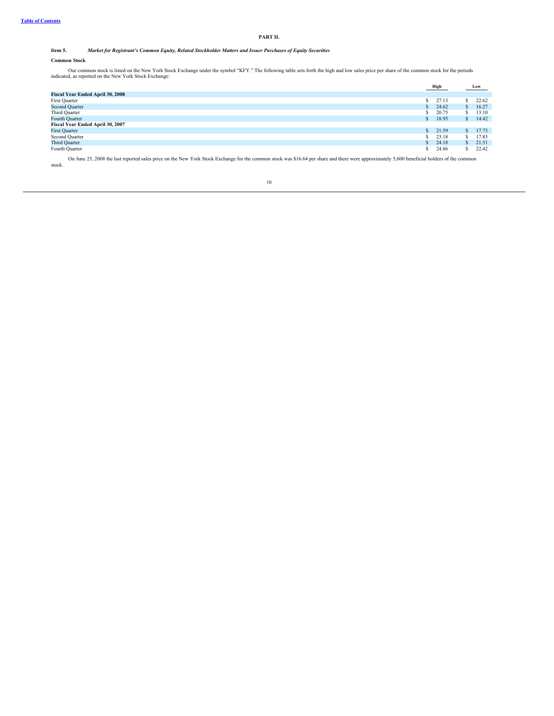## **PART II.**

# Item 5. Market for Registrant's Common Equity, Related Stockholder Matters and Issuer Purchases of Equity Securities

# <span id="page-15-0"></span>**Common Stock**

Our common stock is listed on the New York Stock Exchange under the symbol "KFY." The following table sets forth the high and low sales price per share of the common stock for the periods indicated, as reported on the New

|                                  |               | High    |    | Low   |
|----------------------------------|---------------|---------|----|-------|
| Fiscal Year Ended April 30, 2008 |               |         |    |       |
| First Quarter                    | ъ             | 27.13   |    | 22.62 |
| <b>Second Quarter</b>            | л.            | 24.62   | S. | 16.27 |
| Third Quarter                    | э             | 20.75   | s  | 13.10 |
| Fourth Quarter                   | .n            | 18.95   | S. | 14.42 |
| Fiscal Year Ended April 30, 2007 |               |         |    |       |
| <b>First Quarter</b>             |               | \$21.59 |    | 17.73 |
| Second Quarter                   |               | 23.18   | s  | 17.83 |
| Third Quarter                    | $\mathcal{L}$ | 24.18   | S. | 21.51 |
| Fourth Quarter                   |               | 24.86   |    | 22.42 |

On June 25, 2008 the last reported sales price on the New York Stock Exchange for the common stock was \$16.64 per share and there were approximately 5,600 beneficial holders of the common stock.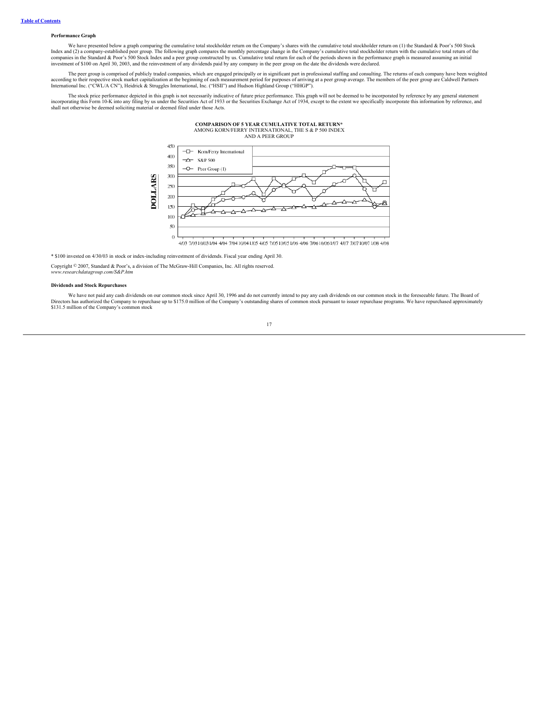## **Performance Graph**

We have presented below a graph comparing the cumulative total stockholder return on the Company's shares with the cumulative total stockholder return on (1) the Standard & Poor's 500 Stock Index and (2) a company-established peer group. The following graph compares the monthly percentage change in the Company's cumulative total stockholder return with the cumulative total return of the<br>companies in the Stand

The peer group is comprised of publicly traded companies, which are engaged principally or in significant part in professional staffing and consulting. The returns of each company have been weighted according to their respective stock market capitalization at the beginning of each measurement period for purposes of arriving at a peer group average. The members of the peer group are Caldwell Partners<br>International Inc.

The stock price performance depicted in this graph is not necessarily indicative of future price performance. This graph will not be deemed to be incorporated by reference by any general statement incorporating this Form 10-K into any filing by us under the Securities Act of 1933 or the Securities Exchange Act of 1934, except to the extent we specifically incorporate this information by reference, and<br>shall not othe



\* \$100 invested on 4/30/03 in stock or index-including reinvestment of dividends. Fiscal year ending April 30.

Copyright © 2007, Standard & Poor's, a division of The McGraw-Hill Companies, Inc. All rights reserved. *www.researchdatagroup.com/S&P.htm*

#### **Dividends and Stock Repurchases**

We have not paid any cash dividends on our common stock since April 30, 1996 and do not currently intend to pay any cash dividends on our common stock in the foreseeable future. The Board of<br>Directors has authorized the Co \$131.5 million of the Company's common stock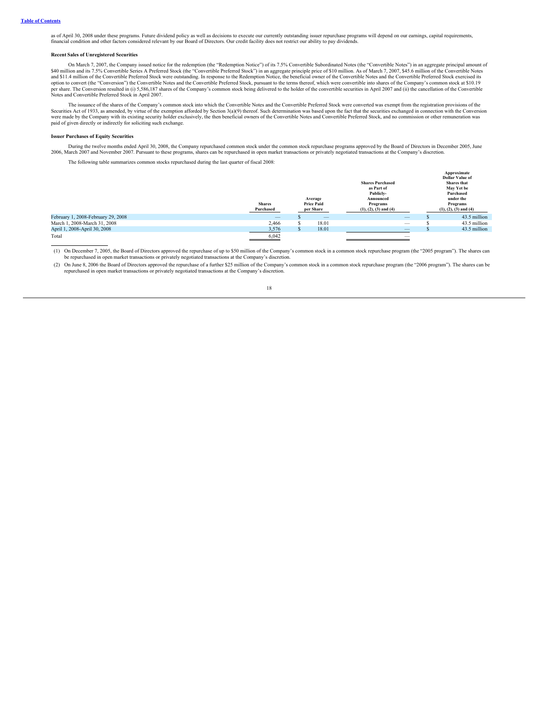as of April 30, 2008 under these programs. Future dividend policy as well as decisions to execute our currently outstanding issuer repurchase programs will depend on our earnings, capital requirements, financial condition and other factors considered relevant by our Board of Directors. Our credit facility does not restrict our ability to pay dividends.

## **Recent Sales of Unregistered Securities**

On March 7, 2007, the Company issued notice for the redemption (the "Redemption Notice") of its 7.5% Convertible Subordinated Notes (the "Convertible Notes") in an aggregate principal amount of \$40 million and its 7.5% Convertible Series A Preferred Stock (the "Convertible Preferred Stock") in an aggregate principle price of \$10 million. As of March 7, 2007, \$45.6 million of the Convertible Score eribsel Notes<br>an option to convert (the "Conversion") the Convertible Notes and the Convertible Preferred Stock, pursuant to the terms thereof, which were convertible into shares of the Company's common stock at \$10.19<br>per share. The Conve Notes and Convertible Preferred Stock in April 2007.

The issuance of the shares of the Company's common stock into which the Convertible Notes and the Convertible Preferred Stock were converted was exempt from the registration provisions of the Securities Act of 1933, as amended, by virtue of the exemption afforded by Section 3(a)(9) thereof. Such determination was based upon the fact that the securities exchanged in connection with the Conversion<br>were made by th paid of given directly or indirectly for soliciting such exchange.

### **Issuer Purchases of Equity Securities**

During the twelve months ended April 30, 2008, the Company repurchased common stock under the common stock repurchase programs approved by the Board of Directors in December 2005, June 2006, March 2007 and November 2007. Pursuant to these programs, shares can be repurchased in open market transactions or privately negotiated transactions at the Company's discretion.

The following table summarizes common stocks repurchased during the last quarter of fiscal 2008:

|                                    |                            |                                                                                                                                                       |                          |  |                                                                                                     | Approximate<br><b>Dollar Value of</b> |
|------------------------------------|----------------------------|-------------------------------------------------------------------------------------------------------------------------------------------------------|--------------------------|--|-----------------------------------------------------------------------------------------------------|---------------------------------------|
|                                    | <b>Shares</b><br>Purchased | <b>Shares Purchased</b><br>as Part of<br>Publicly-<br>Average<br>Announced<br><b>Price Paid</b><br>Programs<br>per Share<br>$(1), (2), (3)$ and $(4)$ |                          |  | <b>Shares</b> that<br>May Yet be<br>Purchased<br>under the<br>Programs<br>$(1), (2), (3)$ and $(4)$ |                                       |
| February 1, 2008-February 29, 2008 | $\overline{\phantom{m}}$   |                                                                                                                                                       | $\overline{\phantom{a}}$ |  | $\overline{\phantom{a}}$                                                                            | 43.5 million                          |
| March 1, 2008-March 31, 2008       | 2.466                      |                                                                                                                                                       | 18.01                    |  | $\hspace{0.1mm}-\hspace{0.1mm}$                                                                     | 43.5 million                          |
| April 1, 2008-April 30, 2008       | 3,576                      |                                                                                                                                                       | 18.01                    |  | $\overline{\phantom{a}}$                                                                            | 43.5 million                          |
| Total                              | 6,042                      |                                                                                                                                                       |                          |  |                                                                                                     |                                       |

(1) On December 7, 2005, the Board of Directors approved the repurchase of up to \$50 million of the Company's common stock in a common stock repurchase program (the "2005 program"). The shares can be repurchased in open market transactions or privately negotiated transactions at the Company's discretion.

(2) On June 8, 2006 the Board of Directors approved the repurchase of a further \$25 million of the Company's common stock in a common stock repurchase program (the "2006 program"). The shares can be repurchased in open market transactions or privately negotiated transactions at the Company's discretion.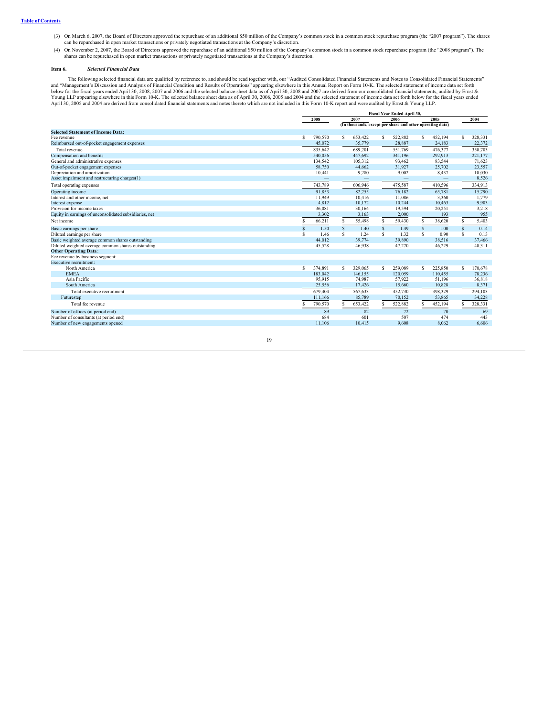- (3) On March 6, 2007, the Board of Directors approved the repurchase of an additional \$50 million of the Company's common stock in a common stock repurchase program (the "2007 program"). The shares can be repurchased in open market transactions or privately negotiated transactions at the Company's discretion.
- (4) On November 2, 2007, the Board of Directors approved the repurchase of an additional \$50 million of the Company's common stock in a common stock repurchase program (the "2008 program"). The shares can be repurchased in open market transactions or privately negotiated transactions at the Company's discretion.

# <span id="page-18-0"></span>**Item 6.** *Selected Financial Data*

The following selected financial data are qualified by reference to, and should be read together with, our "Audited Consolidated Financial Statements and Notes to Consolidated Financial Statements"<br>"Management's Discussion Young LLP appearing elsewhere in this Form 10-K. The selected balance sheet data as of April 30, 2006, 2005 and 2004 and the selected statement of income data set forth below for the fiscal years ended<br>April 30, 2005 and 2

|                                                        |                                                           |         | Fiscal Year Ended April 30, |         |              |         |              |         |          |         |
|--------------------------------------------------------|-----------------------------------------------------------|---------|-----------------------------|---------|--------------|---------|--------------|---------|----------|---------|
|                                                        |                                                           | 2008    |                             | 2007    |              | 2006    |              | 2005    |          | 2004    |
|                                                        | (In thousands, except per share and other operating data) |         |                             |         |              |         |              |         |          |         |
| <b>Selected Statement of Income Data:</b>              |                                                           |         |                             |         |              |         |              |         |          |         |
| Fee revenue                                            | s                                                         | 790,570 | S                           | 653,422 | s            | 522,882 | S.           | 452,194 | s        | 328,331 |
| Reimbursed out-of-pocket engagement expenses           |                                                           | 45,072  |                             | 35,779  |              | 28,887  |              | 24.183  |          | 22.372  |
| Total revenue                                          |                                                           | 835.642 |                             | 689.201 |              | 551.769 |              | 476,377 |          | 350,703 |
| Compensation and benefits                              |                                                           | 540,056 |                             | 447,692 |              | 341,196 |              | 292,913 |          | 221,177 |
| General and administrative expenses                    |                                                           | 134,542 |                             | 105,312 |              | 93,462  |              | 83,544  |          | 71,623  |
| Out-of-pocket engagement expenses                      |                                                           | 58,750  |                             | 44,662  |              | 31,927  |              | 25,702  |          | 23,557  |
| Depreciation and amortization                          |                                                           | 10,441  |                             | 9,280   |              | 9,002   |              | 8,437   |          | 10,030  |
| Asset impairment and restructuring charges(1)          |                                                           |         |                             |         |              |         |              |         |          | 8,526   |
| Total operating expenses                               |                                                           | 743,789 |                             | 606,946 |              | 475,587 |              | 410,596 |          | 334,913 |
| Operating income                                       |                                                           | 91,853  |                             | 82,255  |              | 76,182  |              | 65,781  |          | 15,790  |
| Interest and other income, net                         |                                                           | 11,949  |                             | 10.416  |              | 11,086  |              | 3.360   |          | 1,779   |
| Interest expense                                       |                                                           | 4.812   |                             | 10.172  |              | 10,244  |              | 10,463  |          | 9.903   |
| Provision for income taxes                             |                                                           | 36,081  |                             | 30,164  |              | 19,594  |              | 20,251  |          | 3,218   |
| Equity in earnings of unconsolidated subsidiaries, net |                                                           | 3,302   |                             | 3,163   |              | 2,000   |              | 193     |          | 955     |
| Net income                                             |                                                           | 66,211  |                             | 55,498  | S            | 59,430  |              | 38,620  |          | 5,403   |
| Basic earnings per share                               | S                                                         | 1.50    | $\mathcal{S}$               | 1.40    | $\mathbf{s}$ | 1.49    | $\mathbf{s}$ | 1.00    | <b>S</b> | 0.14    |
| Diluted earnings per share                             | ¢                                                         | 1.46    | <b>S</b>                    | 1.24    | S.           | 1.32    | ¢            | 0.90    | S        | 0.13    |
| Basic weighted average common shares outstanding       |                                                           | 44.012  |                             | 39,774  |              | 39,890  |              | 38.516  |          | 37,466  |
| Diluted weighted average common shares outstanding     |                                                           | 45,528  |                             | 46,938  |              | 47,270  |              | 46,229  |          | 40,311  |
| <b>Other Operating Data:</b>                           |                                                           |         |                             |         |              |         |              |         |          |         |
| Fee revenue by business segment:                       |                                                           |         |                             |         |              |         |              |         |          |         |
| Executive recruitment:                                 |                                                           |         |                             |         |              |         |              |         |          |         |
| North America                                          | s                                                         | 374,891 | <b>S</b>                    | 329,065 | £.           | 259,089 | S            | 225,850 | s        | 170,678 |
| <b>EMEA</b>                                            |                                                           | 183,042 |                             | 146,155 |              | 120,059 |              | 110,455 |          | 78,236  |
| Asia Pacific                                           |                                                           | 95.915  |                             | 74,987  |              | 57,922  |              | 51,196  |          | 36,818  |
| South America                                          |                                                           | 25,556  |                             | 17,426  |              | 15,660  |              | 10,828  |          | 8,371   |
| Total executive recruitment                            |                                                           | 679,404 |                             | 567,633 |              | 452,730 |              | 398,329 |          | 294,103 |
| Futurestep                                             |                                                           | 111,166 |                             | 85,789  |              | 70,152  |              | 53,865  |          | 34,228  |
| Total fee revenue                                      |                                                           | 790,570 | s                           | 653,422 | s            | 522,882 | S            | 452,194 | ς        | 328,331 |
| Number of offices (at period end)                      |                                                           | 89      |                             | 82      |              | 72      |              | 70      |          | 69      |
| Number of consultants (at period end)                  |                                                           | 684     |                             | 601     |              | 507     |              | 474     |          | 443     |
| Number of new engagements opened                       |                                                           | 11.106  |                             | 10.415  |              | 9.608   |              | 8,062   |          | 6.606   |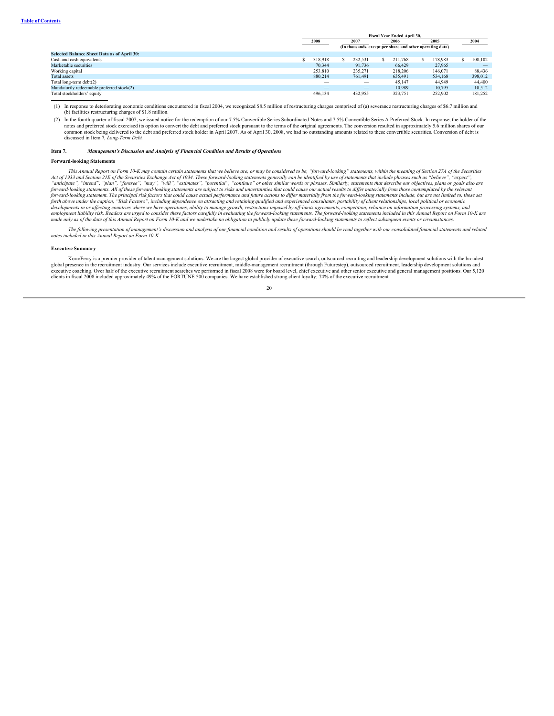|                                                    | <b>Fiscal Year Ended April 30.</b> |                          |                                                           |         |                          |  |  |
|----------------------------------------------------|------------------------------------|--------------------------|-----------------------------------------------------------|---------|--------------------------|--|--|
|                                                    | 2008<br>2007<br>2005<br>2006       |                          |                                                           | 2004    |                          |  |  |
|                                                    |                                    |                          | (In thousands, except per share and other operating data) |         |                          |  |  |
| <b>Selected Balance Sheet Data as of April 30:</b> |                                    |                          |                                                           |         |                          |  |  |
| Cash and cash equivalents                          | 318,918                            | 232.531                  | 211,768                                                   | 178.983 | 108,102                  |  |  |
| Marketable securities                              | 70,344                             | 91.736                   | 66.429                                                    | 27,965  | $\overline{\phantom{m}}$ |  |  |
| Working capital                                    | 253,810                            | 235,271                  | 218,206                                                   | 146,071 | 88.436                   |  |  |
| <b>Total assets</b>                                | 880.214                            | 761.491                  | 635.491                                                   | 534,168 | 398.012                  |  |  |
| Total long-term debt(2)                            | $-$                                | $\overline{\phantom{a}}$ | 45.147                                                    | 44,949  | 44,400                   |  |  |
| Mandatorily redeemable preferred stock(2)          | $\overline{\phantom{a}}$           |                          | 10.989                                                    | 10.795  | 10,512                   |  |  |
| Total stockholders' equity                         | 496.134                            | 432.955                  | 323.751                                                   | 252,902 | 181.252                  |  |  |

(1) In response to deteriorating economic conditions encountered in fiscal 2004, we recognized \$8.5 million of restructuring charges comprised of (a) severance restructuring charges of \$6.7 million and (b) facilities restructuring charges of \$1.8 million.

(2) In the fourth quarter of fiscal 2007, we issued notice for the redemption of our 7.5% Convertible Series Subordinated Notes and 7.5% Convertible Series A Preferred Stock. In response, the holder of the notes and preferred stock exercised its option to convert the debt and preferred stock pursuant to the terms of the original agreements. The conversion resulted in approximately 5.6 million shares of our<br>common stock being discussed in Item 7*, Long-Term Debt*.

## <span id="page-19-0"></span>**Item 7.** *Management's Discussion and Analysis of Financial Condition and Results of Operations*

# **Forward-looking Statements**

This Annual Report on Form 10-K may contain certain statements that we believe are, or may be considered to be, "forward-looking" statements, within the meaning of Section 27A of the Securities<br>Act of 1933 and Section 21E forward-looking statement. The principal risk factors that could cause actual performance and future actions to differ materially from the forward-looking statements include, but are not limited to, those set forth above under the caption, "Risk Factors", including dependence on attracting and retaining qualified and experienced consultants, portability of client relationships, local political or economic<br>envelopment itability

The following presentation of management's discussion and analysis of our financial condition and results of operations should be read together with our consolidated financial statements and related *notes included in this Annual Report on Form 10-K.*

#### **Executive Summary**

Korn/Ferry is a premier provider of talent management solutions. We are the largest global provider of executive search, outsourced recruiting and leadership development solutions with the broadest global presence in the recruitment industry. Our services include executive recruitment, middle-management recruitment (through Futurestep), outsourced recruitment, leadership development solutions and<br>executive coaching. clients in fiscal 2008 included approximately 49% of the FORTUNE 500 companies. We have established strong client loyalty; 74% of the executive recruitment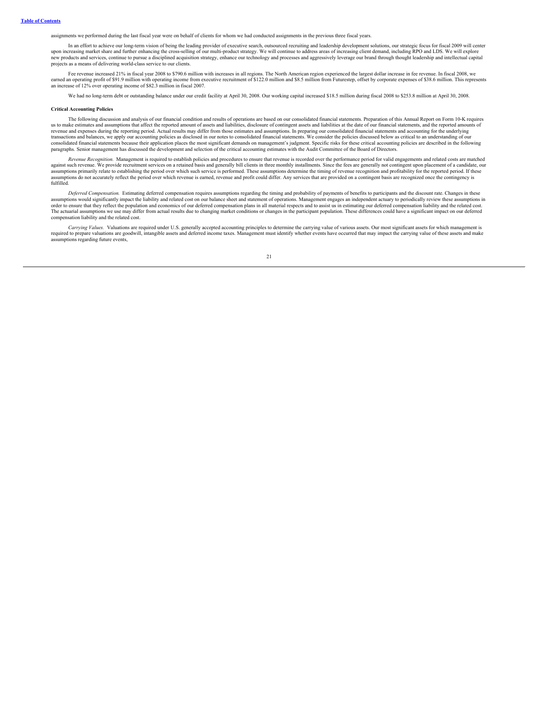assignments we performed during the last fiscal year were on behalf of clients for whom we had conducted assignments in the previous three fiscal years.

In an effort to achieve our long-term vision of being the leading provider of executive search, outsourced recruiting and leadership development solutions, our strategic focus for fiscal 2009 will center upon increasing market share and further enhancing the cross-selling of our multi-product strategy. We will continue to address areas of increasing client demand, including RPO and LDS. We will explore new products and services, continue to pursue a disciplined acquisition strategy, enhance our technology and processes and aggressively leverage our brand through thought leadership and intellectual capital projects as a means of delivering world-class service to our clients.

Fee revenue increased 21% in fiscal year 2008 to \$790.6 million with increases in all regions. The North American region experienced the largest dollar increase in fee revenue. In fiscal 2008, we earned an operating profit an increase of 12% over operating income of \$82.3 million in fiscal 2007.

We had no long-term debt or outstanding balance under our credit facility at April 30, 2008. Our working capital increased \$18.5 million during fiscal 2008 to \$253.8 million at April 30, 2008.

#### **Critical Accounting Policies**

The following discussion and analysis of our financial condition and results of operations are based on our consolidated financial statements. Preparation of this Annual Report on Form 10-K requires us to make estimates and assumptions that affect the reported amount of assets and liabilities, disclosure of contingent assets and liabilities at the date of our financial statements, and the reported amounts of revenue and expenses during the reporting period. Actual results may differ from those estimates and assumptions. In preparing our consolidated financial statements and accounting for the underlying transactions and balances, we apply our accounting policies as disclosed in our notes to consolidated financial statements. We consider the policies discussed below as critical to an understanding of our consolidated financial statements because their application places the most significant demands on management's judgment. Specific risks for these critical accounting policies are described in the following paragraphs. Senior management has discussed the development and selection of the critical accounting estimates with the Audit Committee of the Board of Directors.

*Revenue Recognition.* Management is required to establish policies and procedures to ensure that revenue is recorded over the performance period for valid engagements and related costs are matched against such revenue. We provide recruitment services on a retained basis and generally bill clients in three monthly installments. Since the fees are generally not contingent upon placement of a candidate, our regular stu assumptions primarily relate to establishing the period over which such service is performed. These assumptions determine the timing of revenue recognition and profitability for the reported period. If these<br>assumptions do fulfilled.

*Deferred Compensation.* Estimating deferred compensation requires assumptions regarding the timing and probability of payments of benefits to participants and the discount rate. Changes in these assumptions would significantly impact the liability and related cost on our balance sheet and statement of operations. Management engages an independent actuary to periodically review these assumptions in<br>order to ensure compensation liability and the related cost.

*Carrying Values.* Valuations are required under U.S. generally accepted accounting principles to determine the carrying value of various assets. Our most significant assets for which management is required to prepare valuations are goodwill, intangible assets and deferred income taxes. Management must identify whether events have occurred that may impact the carrying value of these assets and make assumptions regarding future events,

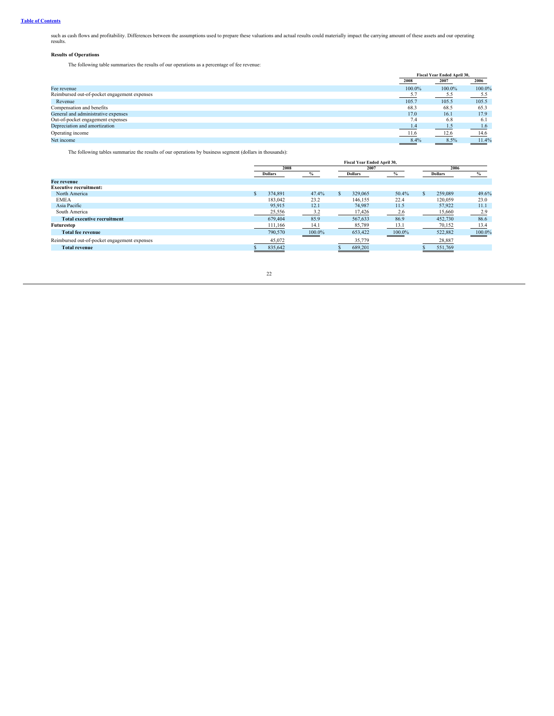such as cash flows and profitability. Differences between the assumptions used to prepare these valuations and actual results could materially impact the carrying amount of these assets and our operating results.

# **Results of Operations**

The following table summarizes the results of our operations as a percentage of fee revenue:

|                                              | Fiscal Year Ended April 30, |           |        |
|----------------------------------------------|-----------------------------|-----------|--------|
|                                              | 2008                        | 2007      | 2006   |
| Fee revenue                                  | 100.0%                      | $100.0\%$ | 100.0% |
| Reimbursed out-of-pocket engagement expenses | $\mathcal{L}$ .,            | 5.5       | 5.5    |
| Revenue                                      | 105.7                       | 105.5     | 105.5  |
| Compensation and benefits                    | 68.3                        | 68.5      | 65.3   |
| General and administrative expenses          | 17.0                        | 16.1      | 17.9   |
| Out-of-pocket engagement expenses            | 7.4                         | 6.8       | 6.1    |
| Depreciation and amortization                |                             |           | 1.6    |
| Operating income                             | 11.6                        | 12.6      | 14.6   |
| Net income                                   | 8.4%                        | 8.5%      | 11.4%  |

The following tables summarize the results of our operations by business segment (dollars in thousands):

|                                              |    | Fiscal Year Ended April 30, |              |                |        |              |                |        |  |  |  |  |  |
|----------------------------------------------|----|-----------------------------|--------------|----------------|--------|--------------|----------------|--------|--|--|--|--|--|
|                                              |    | 2008                        |              | 2007           |        |              | 2006           |        |  |  |  |  |  |
|                                              |    | <b>Dollars</b>              |              | <b>Dollars</b> | $\%$   |              | <b>Dollars</b> |        |  |  |  |  |  |
| Fee revenue                                  |    |                             |              |                |        |              |                |        |  |  |  |  |  |
| <b>Executive recruitment:</b>                |    |                             |              |                |        |              |                |        |  |  |  |  |  |
| North America                                | S. | 374.891<br>47.4%            | $\mathbf{s}$ | 329,065        | 50.4%  | $\mathbf{s}$ | 259,089        | 49.6%  |  |  |  |  |  |
| <b>EMEA</b>                                  |    | 183,042<br>23.2             |              | 146.155        | 22.4   |              | 120,059        | 23.0   |  |  |  |  |  |
| Asia Pacific                                 |    | 12.1<br>95,915              |              | 74.987         | 11.5   |              | 57,922         | 11.1   |  |  |  |  |  |
| South America                                |    | 25,556<br>3.2               |              | 17,426         | 2.6    |              | 15,660         | 2.9    |  |  |  |  |  |
| <b>Total executive recruitment</b>           |    | 85.9<br>679,404             |              | 567,633        | 86.9   |              | 452,730        | 86.6   |  |  |  |  |  |
| Futurestep                                   |    | 111,166<br>14.1             |              | 85,789         | 13.1   |              | 70,152         | 13.4   |  |  |  |  |  |
| <b>Total fee revenue</b>                     |    | 790,570<br>100.0%           |              | 653,422        | 100.0% |              | 522,882        | 100.0% |  |  |  |  |  |
| Reimbursed out-of-pocket engagement expenses |    | 45,072                      |              | 35,779         |        |              | 28,887         |        |  |  |  |  |  |
| <b>Total revenue</b>                         |    | 835,642                     |              | 689,201        |        |              | 551,769        |        |  |  |  |  |  |
|                                              |    |                             |              |                |        |              |                |        |  |  |  |  |  |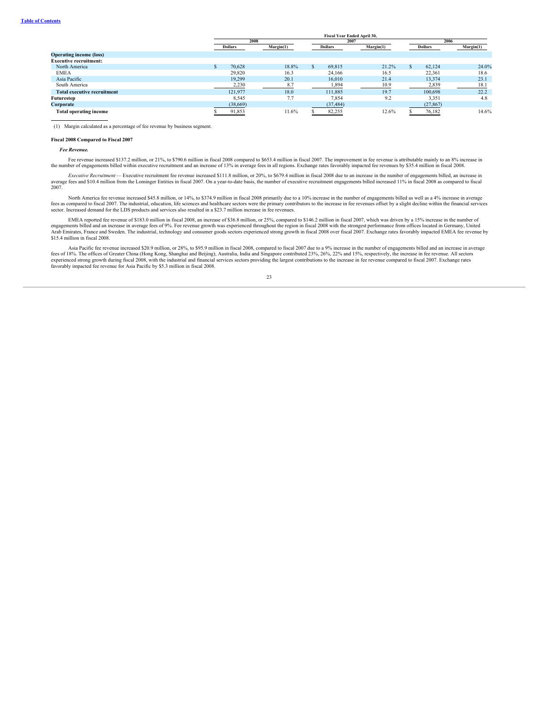|                                    | Fiscal Year Ended April 30, |                |           |              |                |           |                |           |           |  |  |  |  |  |
|------------------------------------|-----------------------------|----------------|-----------|--------------|----------------|-----------|----------------|-----------|-----------|--|--|--|--|--|
|                                    |                             | 2008           |           |              | 2007           |           |                | 2006      |           |  |  |  |  |  |
|                                    |                             | <b>Dollars</b> | Margin(1) |              | <b>Dollars</b> | Margin(1) | <b>Dollars</b> |           | Margin(1) |  |  |  |  |  |
| <b>Operating income (loss)</b>     |                             |                |           |              |                |           |                |           |           |  |  |  |  |  |
| <b>Executive recruitment:</b>      |                             |                |           |              |                |           |                |           |           |  |  |  |  |  |
| North America                      |                             | 70.628         | 18.8%     | $\mathbf{s}$ | 69.815         | 21.2%     | \$             | 62.124    | 24.0%     |  |  |  |  |  |
| <b>EMEA</b>                        |                             | 29.820         | 16.3      |              | 24.166         | 16.5      |                | 22,361    | 18.6      |  |  |  |  |  |
| Asia Pacific                       |                             | 19.299         | 20.1      |              | 16.010         | 21.4      |                | 13,374    | 23.1      |  |  |  |  |  |
| South America                      |                             | 2,230          | 8.7       |              | 1,894          | 10.9      |                | 2,839     | 18.1      |  |  |  |  |  |
| <b>Total executive recruitment</b> |                             | 121,977        | 18.0      |              | 111.885        | 19.7      |                | 100,698   | 22.2      |  |  |  |  |  |
| Futurestep                         |                             | 8,545          | 7.7       |              | 7,854          | 9.2       |                | 3,351     | 4.8       |  |  |  |  |  |
| Corporate                          |                             | (38,669)       |           |              | (37, 484)      |           |                | (27, 867) |           |  |  |  |  |  |
| <b>Total operating income</b>      |                             | 91,853         | 11.6%     |              | 82,255         | 12.6%     |                | 76,182    | 14.6%     |  |  |  |  |  |

(1) Margin calculated as a percentage of fee revenue by business segment.

## **Fiscal 2008 Compared to Fiscal 2007**

### *Fee Revenue.*

Fee revenue increased \$137.2 million, or 21%, to \$790.6 million in fiscal 2008 compared to \$653.4 million in fiscal 2007. The improvement in fee revenue is attributable mainly to an 8% increase in the number of engagements billed within executive recruitment and an increase of 13% in average fees in all regions. Exchange rates favorably impacted fee revenues by \$35.4 million in fiscal 2008.

*Executive Recruitment*— Executive recruitment fee revenue increased \$111.8 million, or 20%, to \$679.4 million in fiscal 2008 due to an increase in the number of engagements billed, an increase in average fees and \$10.4 million from the Lominger Entities in fiscal 2007. On a year-to-date basis, the number of executive recruitment engagements billed increased 11% in fiscal 2008 as compared to fiscal and the Lominger 2007.

North America fee revenue increased \$45.8 million, or 14%, to \$374.9 million in fiscal 2008 primarily due to a 10% increase in the number of engagements billed as well as a 4% increase in average fees as compared to fiscal 2007. The industrial, education, life sciences and healthcare sectors were the primary contributors to the increase in fee revenues offset by a slight decline within the financial services sector. Increased demand for the LDS products and services also resulted in a \$23.7 million increase in fee revenues.

EMEA reported fee revenue of \$183.0 million in fiscal 2008, an increase of \$36.8 million, or 25%, compared to \$146.2 million in fiscal 2007, which was driven by a 15% increase in the number of engagements billed and an increase in average fees of 9%. Fee revenue growth was experienced throughout the region in fiscal 2008 with the strongest performance from offices located in Germany, United<br>Arab Emirates, France \$15.4 million in fiscal 2008.

Asia Pacific fee revenue increased \$20.9 million, or 28%, to \$95.9 million in fiscal 2008, compared to fiscal 2007 due to a 9% increase in the number of engagements billed and an increase in average fees of 18%. The office favorably impacted fee revenue for Asia Pacific by \$5.3 million in fiscal 2008.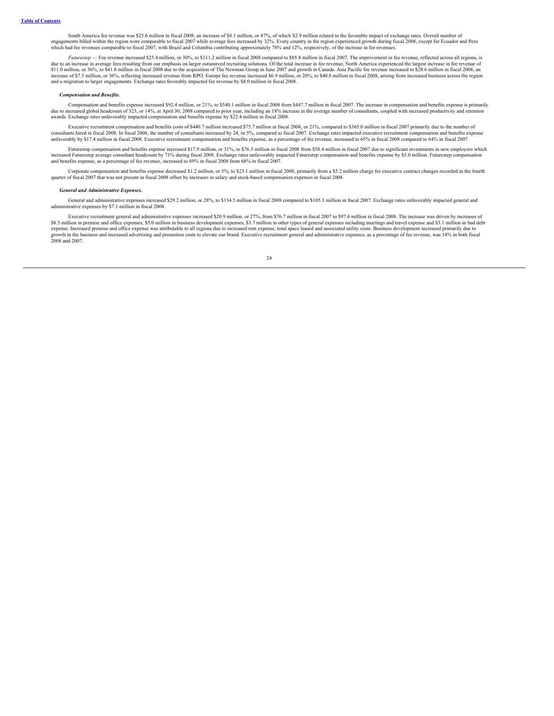South America fee revenue was \$25.6 million in fiscal 2008, an increase of \$8.1 million, or 47%, of which \$2.9 million related to the favorable impact of exchange rates. Overall number of engagements billed within the region were comparable to fiscal 2007 while average fees increased by 32%. Every country in the region experienced growth during fiscal 2008, except for Ecuador and Peru which had fee revenues comparable to fiscal 2007, with Brazil and Columbia contributing approximately 78% and 12%, respectively, of the increase in fee revenues.

Futurestep — Fee revenue increased \$25.4 million, or 30%, to \$111.2 million in fiscal 2008 compared to \$85.8 million in fiscal 2007. The improvement in fee revenue, reflected across all regions, is due to an increase in ev increase of \$7.5 million, or 36%, reflecting increased revenue from RPO. Europe fee revenue increased \$6.9 million, or 20%, to \$40.8 million in fiscal 2008, arising from increased business across the region and a migration to larger engagements. Exchange rates favorably impacted fee revenue by \$8.0 million in fiscal 2008.

#### *Compensation and Benefits.*

Compensation and benefits expense increased \$92.4 million, or 21%, to \$540.1 million in fiscal 2008 from \$447.7 million in fiscal 2007. The increase in compensation and benefits expense is primarily due to increased global headcount of 323, or 14%, at April 30, 2008 compared to prior year, including an 18% increase in the average number of consultants, coupled with increased productivity and retention<br>awards. Exchange

Executive recruitment compensation and benefits costs of \$440.7 million increased \$75.7 million in fiscal 2008, or 21%, compared to \$365.0 million in fiscal 2007 primarily due to the number of consultants hired in fiscal 2008. In fiscal 2008, the number of consultants increased by 24, or 5%, compared to fiscal 2007. Exchange rates impacted executive recruitment compensation and benefits expense unfavorably by \$17.4 million in fiscal 2008. Executive recruitment compensation and benefits expense, as a percentage of fee revenue, increased to 65% in fiscal 2008 compared to 64% in fiscal 2007.

Futurestep compensation and benefits expense increased \$17.9 million, or 31%, to \$76.3 million in fiscal 2008 from \$58.4 million in fiscal 2007 due to significant investments in new employees which increased Futurestep average consultant headcount by 71% during fiscal 2008. Exchange rates unfavorably impacted Futurestep compensation and benefits expense by \$5.0 million. Futurestep compensation<br>and benefits expense, a

Corporate compensation and benefits expense decreased \$1.2 million, or 5%, to \$23.1 million in fiscal 2008, primarily from a \$5.2 million charge for executive contract changes recorded in the fourth quarter of fiscal 2007

#### *General and Administrative Expenses.*

General and administrative expenses increased \$29.2 million, or 28%, to \$134.5 million in fiscal 2008 compared to \$105.3 million in fiscal 2007. Exchange rates unfavorably impacted general and administrative expenses by \$7.1 million in fiscal 2008.

Executive recruitment general and administrative expenses increased \$20.9 million, or 27%, from \$76.7 million in fiscal 2007 to \$97.6 million in fiscal 2008. The increase was driven by increases of \$8.5 million in premise and office expenses, \$5.0 million in business development expenses, \$3.7 million in other types of general expenses including meetings and travel expense and \$3.1 million in bad debt<br>expense. Increa growth in the business and increased advertising and promotion costs to elevate our brand. Executive recruitment general and administrative expenses, as a percentage of fee revenue, was 14% in both fiscal 2008 and 2007.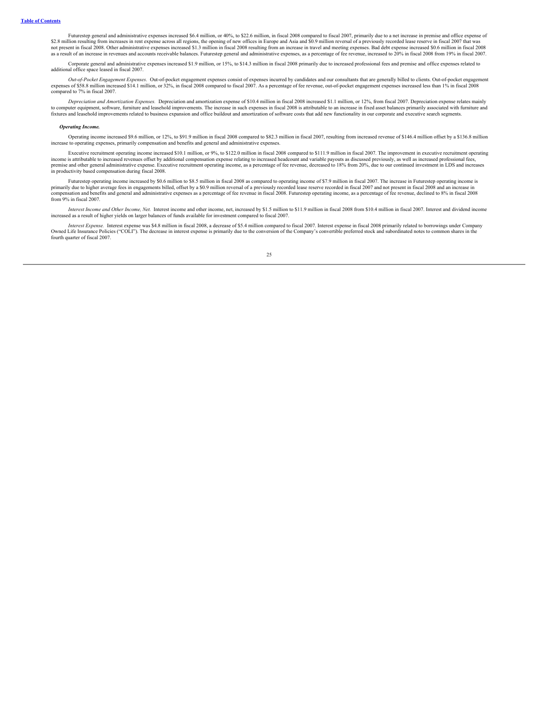Futurestep general and administrative expenses increased \$6.4 million, or 40%, to \$22.6 million, in fiscal 2008 compared to fiscal 2007, primarily due to a net increase in premise and office expense of \$2.8 million resulting from increases in rent expense across all regions, the opening of new offices in Europe and Asia and \$0.9 million reversal of a previously recorded lease reserve in fiscal 2007 that was<br>not present i as a result of an increase in revenues and accounts receivable balances. Futurestep general and administrative expenses, as a percentage of fee revenue, increased to 20% in fiscal 2008 from 19% in fiscal 2007.

Corporate general and administrative expenses increased \$1.9 million, or 15%, to \$14.3 million in fiscal 2008 primarily due to increased professional fees and premise and office expenses related to additional office space leased in fiscal 2007.

*Out-of-Pocket Engagement Expenses.* Out-of-pocket engagement expenses consist of expenses incurred by candidates and our consultants that are generally billed to clients. Out-of-pocket engagement expenses of \$58.8 million increased \$14.1 million, or 32%, in fiscal 2008 compared to fiscal 2007. As a percentage of fee revenue, out-of-pocket engagement expenses increased less than 1% in fiscal 2008 compared to 7% in fiscal 2007.

*Depreciation and Amortization Expenses.* Depreciation and amortization expense of \$10.4 million in fiscal 2008 increased \$1.1 million, or 12%, from fiscal 2007. Depreciation expense relates mainly to computer equipment, software, furniture and leasehold improvements. The increase in such expenses in fiscal 2008 is attributable to an increase in fixed asset balances primarily associated with furniture and expenses in fixtures and leasehold improvements related to business expansion and office buildout and amortization of software costs that add new functionality in our corporate and executive search segments.

#### *Operating Income.*

Operating income increased \$9.6 million, or 12%, to \$91.9 million in fiscal 2008 compared to \$82.3 million in fiscal 2007, resulting from increased revenue of \$146.4 million offset by a \$136.8 million offset by a \$136.8 mi increase to operating expenses, primarily compensation and benefits and general and administrative expenses.

Executive recruitment operating income increased \$10.1 million, or 9%, to \$122.0 million in fiscal 2008 compared to \$111.9 million in fiscal 2007. The improvement in executive recruitment operating income is attributable to increased revenues offset by additional compensation expense relating to increased headcount and variable payouts as discussed previously, as well as increased professional fees,<br>premise and other in productivity based compensation during fiscal 2008.

Futurestep operating income increased by \$0.6 million to \$8.5 million in fiscal 2008 as compared to operating income of \$7.9 million in fiscal 2007. The increase in Futurestep operating income is primarily due to higher average fees in engagements billed, offset by a \$0.9 million reversal of a previously recorded lease reserve recorded in fiscal 2007 and not present in fiscal 2008 and an increase in<br>compensation an from 9% in fiscal 2007.

Interest Income and Other Income, Net. Interest income and other income, net, increased by \$1.5 million to \$11.9 million in fiscal 2008 from \$10.4 million in fiscal 2007. Interest and dividend income increased as a result of higher yields on larger balances of funds available for investment compared to fiscal 2007.

*Interest Expense.* Interest expense was \$4.8 million in fiscal 2008, a decrease of \$5.4 million compared to fiscal 2007. Interest expense in fiscal 2008 primarily related to borrowings under Company Owned Life Insurance Policies ("COLI"). The decrease in interest expense is primarily due to the conversion of the Company's convertible preferred stock and subordinated notes to common fourth quarter of fiscal 2007.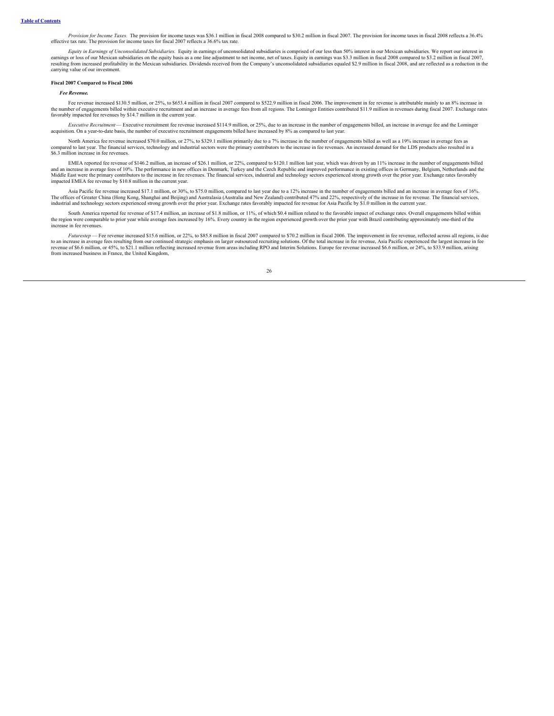*Provision for Income Taxes.* The provision for income taxes was \$36.1 million in fiscal 2008 compared to \$30.2 million in fiscal 2007. The provision for income taxes in fiscal 2008 reflects a 36.4% effective tax rate. The provision for income taxes for fiscal 2007 reflects a 36.6% tax rate.

Equity in Earnings of Unconsolidated Subsidiaries. Equity in earnings of unconsolidated subsidiaries is comprised of our less than 50% interest in our Mexican subsidiaries. We report our interest in earnings or loss of our Mexican subsidiaries on the equity basis as a one line adjustment to net income, net of taxes. Equity in earnings was \$3.3 million in fiscal 2008 compared to \$3.2 million in fiscal 2007,<br>resulting f carrying value of our investment.

## **Fiscal 2007 Compared to Fiscal 2006**

*Fee Revenue.*

Fee revenue increased \$130.5 million, or 25%, to \$653.4 million in fiscal 2007 compared to \$522.9 million in fiscal 2006. The improvement in fee revenue is attributable mainly to an 8% increase in average fees from all reg favorably impacted fee revenues by \$14.7 million in the current year.

*Executive Recruitment*— Executive recruitment fee revenue increased \$114.9 million, or 25%, due to an increase in the number of engagements billed, an increase in average fee and the Lominger acquisition. On a year-to-date basis, the number of executive recruitment engagements billed have increased by 8% as compared to last year.

North America fee revenue increased \$70.0 million, or 27%, to \$329.1 million primarily due to a 7% increase in the number of engagements billed as well as a 19% increase in average fees as compared to last year. The financial services, technology and industrial sectors were the primary contributors to the increase in fee revenues. An increased demand for the LDS products also resulted in a \$6.3 million increase in fee revenues.

EMEA reported fee revenue of \$146.2 million, an increase of \$26.1 million, or 22%, compared to \$120.1 million last year, which was driven by an 11% increase in the number of engagements billed and an increase in average fees of 10%. The performance in new offices in Denmark, Turkey and the Czech Republic and improved performance in existing offices in Germany, Belgium, Netherlands and the Middle East were the primary contributors to the increase in fee revenues. The financial services, industrial and technology sectors experienced strong growth over the prior year. Exchange rates favorably impacted EMEA fee revenue by \$10.8 million in the current year.

Asia Pacific fee revenue increased \$17.1 million, or 30%, to \$75.0 million, compared to last year due to a 12% increase in the number of engagements billed and an increase in average fees of 16%. The offices of Greater China (Hong Kong, Shanghai and Beijing) and Australasia (Australia and New Zealand) contributed 47% and 22%, respectively of the increase in fee revenue. The financial services,<br>industrial and techno

South America reported fee revenue of \$17.4 million, an increase of \$1.8 million, or 11%, of which \$0.4 million related to the favorable impact of exchange rates. Overall engagements billed within the region were comparable to prior year while average fees increased by 16%. Every country in the region experienced growth over the prior year with Brazil contributing approximately one-third of the prior year with Brazi increase in fee revenues.

*Futurestep* — Fee revenue increased \$15.6 million, or 22%, to \$85.8 million in fiscal 2007 compared to \$70.2 million in fiscal 2006. The improvement in fee revenue, reflected across all regions, is due to an increase in average fees resulting from our continued strategic emphasis on larger outsourced recruiting solutions. Of the total increase in fee revenue, Asia Pacific experienced the largest increase in fee revenue of \$6.6 million, or 45%, to \$21.1 million reflecting increased revenue from areas including RPO and Interim Solutions. Europe fee revenue increased \$6.6 million, or 24%, to \$33.9 million, arising from increased business in France, the United Kingdom,

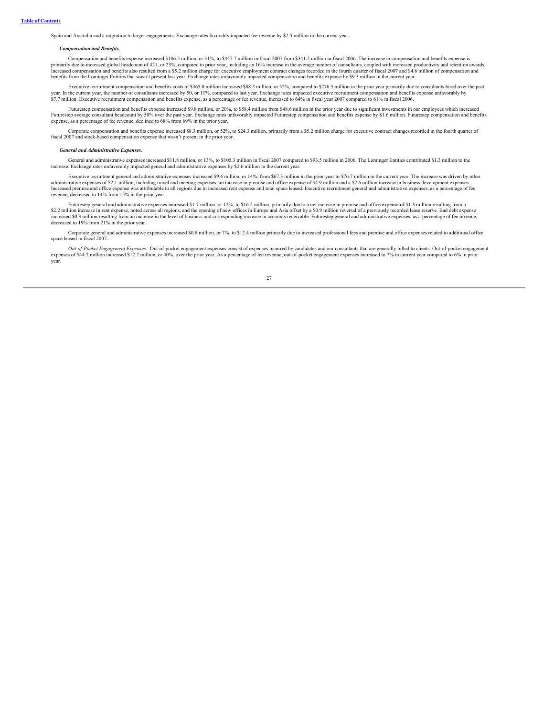Spain and Australia and a migration to larger engagements. Exchange rates favorably impacted fee revenue by \$2.5 million in the current year.

### *Compensation and Benefits.*

Compensation and benefits expense increased \$106.5 million, or 31%, to \$447.7 million in fiscal 2007 from \$341.2 million in fiscal 2006. The increase in compensation and benefits expense is primarily due to increased global headcount of 421, or 23%, compared to prior year, including an 16% increase in the average number of consultants, coupled with increased productivity and retention awards. Increased compensation and benefits also resulted from a \$5.2 million charge for executive employment contract changes recorded in the fourth quarter of fiscal 2007 and \$4.6 million of compensation and<br>benefits from the Lo

Executive recruitment compensation and benefits costs of \$365.0 million increased \$88.5 million, or 32%, compared to \$276.5 million in the prior year primarily due to consultants hired over the past year. In the current year, the number of consultants increased by 50, or 11%, compared to last year. Exchange rates impacted executive recruitment compensation and benefits expense unfavorably by \$7.7 million. Executive recruitment compensation and benefits expense, as a percentage of fee revenue, increased to 64% in fiscal year 2007 compared to 61% in fiscal 2006.

Futurestep compensation and benefits expense increased \$9.8 million, or 20%, to \$58.4 million from \$48.6 million in the prior year due to significant investments in our employees which increased Futurestep average consultant headcount by 50% over the past year. Exchange rates unfavorably impacted Futurestep compensation and benefits expense by \$1.6 million. Futurestep compensation and benefits expense, as a percentage of fee revenue, declined to 68% from 69% in the prior year.

Corporate compensation and benefits expense increased \$8.3 million, or 52%, to \$24.3 million, primarily from a \$5.2 million charge for executive contract changes recorded in the fourth quarter of fiscal 2007 and stock-based compensation expense that wasn't present in the prior year.

#### *General and Administrative Expenses.*

General and administrative expenses increased \$11.8 million, or 13%, to \$105.3 million in fiscal 2007 compared to \$93.5 million in 2006. The Lominger Entities contributed \$1.3 million to the increase. Exchange rates unfavorably impacted general and administrative expenses by \$2.6 million in the current year.

Executive recruitment general and administrative expenses increased \$9.4 million, or 14%, from \$67.3 million in the prior year to \$76.7 million in the current year. The increase was driven by other administrative expenses of \$2.1 million, including travel and meeting expenses, an increase in premise and office expense of \$4.9 million and a \$2.6 million increase in business development expenses.<br>Increased premise and revenue, decreased to 14% from 15% in the prior year.

Futurestep general and administrative expenses increased \$1.7 million, or 12%, to \$16.2 million, primarily due to a net increase in premise and office expense of \$1.3 million resulting from a<br>\$2.2 million increase in rent increased \$0.3 million resulting from an increase in the level of business and corresponding increase in accounts receivable. Futurestep general and administrative expenses, as a percentage of fee revenue, decreased to 19% from 21% in the prior year.

Corporate general and administrative expenses increased \$0.8 million, or 7%, to \$12.4 million primarily due to increased professional fees and premise and office expenses related to additional office space leased in fiscal 2007

Out-of-Pocket Engagement Expenses. Out-of-pocket engagement expenses consist of expenses incurred by candidates and our consultants that are generally billed to clients. Out-of-pocket engagement expenses. Out-of-pocket eng year.

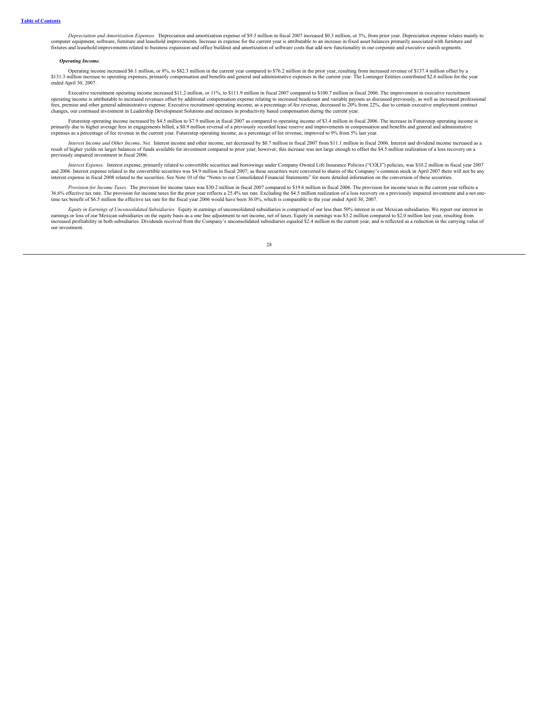*Depreciation and Amortization Expenses.* Depreciation and amortization expense of \$9.3 million in fiscal 2007 increased \$0.3 million, or 3%, from prior year. Depreciation expense relates mainly to computer equipment, software, furniture and leasehold improvements. Increase in expense for the current year is attributable to an increase in fixed asset balances primarily associated with furniture and<br>fixtures and lease

#### *Operating Income.*

Operating income increased \$6.1 million, or 8%, to \$82.3 million in the current year compared to \$76.2 million in the prior year, resulting from increased revenue of \$137.4 million offset by a<br>\$131.3 million increase to op ended April 30, 2007.

Executive recruitment operating income increased \$11.2 million, or 11%, to \$111.9 million in fiscal 2007 compared to \$100.7 million in fiscal 2006. The improvement in executive recruitment operating income is attributable to increased revenues offset by additional compensation expense relating to increased headcount and variable payouts as discussed previously, as well as increased professional professional changes, our continued investment in Leadership Development Solutions and increases in productivity based compensation during the current year.

Futurestep operating income increased by \$4.5 million to \$7.9 million in fiscal 2007 as compared to operating income of \$3.4 million in fiscal 2006. The increase in Futurestep operating income is<br>primarily due to higher av expenses as a percentage of fee revenue in the current year. Futurestep operating income, as a percentage of fee revenue, improved to 9% from 5% last year.

Interest Income and Other Income, Net. Interest income and other income, net decreased by \$0.7 million in fiscal 2007 from \$11.1 million in fiscal 2006. Interest and dividend income increased as a result of higher yields on larger balances of funds available for investment compared to prior year; however, this increase was not large enough to offset the \$4.5 million realization of a loss recovery on a previously impaired investment in fiscal 2006.

*Interest Expense.* Interest expense, primarily related to convertible securities and borrowings under Company Owned Life Insurance Policies ("COLI") policies, was \$10.2 million in fiscal year 2007 and 2006. Interest expense related to the convertible securities was \$4.9 million in fiscal 2007; as these securities were converted to shares of the Company's common stock in April 2007 there will not be any<br>interest expe

*Provision for Income Taxes.* The provision for income taxes was \$30.2 million in fiscal 2007 compared to \$19.6 million in fiscal 2006. The provision for income taxes in the current year reflects a 36.6% effective tax rate. The provision for income taxes for the prior year reflects a 25.4% tax rate. Excluding the \$4.5 million realization of a loss recovery on a previously impaired investment and a net one-<br>36.6% effe time tax benefit of \$6.5 million the effective tax rate for the fiscal year 2006 would have been 36.0%, which is comparable to the year ended April 30, 2007.

Equity in Earnings of Unconsolidated Subsidiaries. Equity in earnings of unconsolidated subsidiaries is comprised of our less than 50% interest in our Mexican subsidiaries. We report our interest in<br>earnings or loss of our our investment.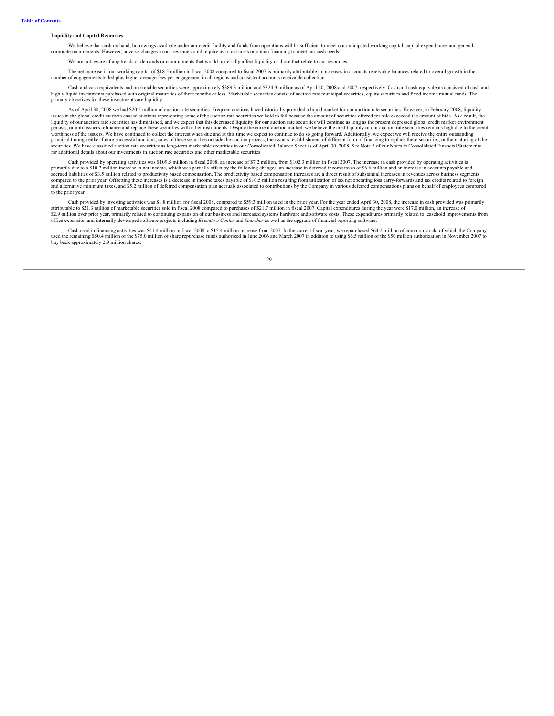# **Liquidity and Capital Resources**

We believe that cash on hand, borrowings available under our credit facility and funds from operations will be sufficient to meet our anticipated working capital, capital expenditures and general corporate requirements. However, adverse changes in our revenue could require us to cut costs or obtain financing to meet our cash needs.

We are not aware of any trends or demands or commitments that would materially affect liquidity or those that relate to our resources

The net increase in our working capital of \$18.5 million in fiscal 2008 compared to fiscal 2007 is primarily attributable to increases in accounts receivable balances related to overall growth in the number of engagements billed plus higher average fees per engagement in all regions and consistent accounts receivable collection.

Cash and cash equivalents and marketable securities were approximately \$389.3 million and \$324.3 million as of April 30, 2008 and 2007, respectively. Cash and cash equivalents consisted of cash and highly liquid investments purchased with original maturities of three months or less. Marketable securities consist of auction rate municipal securities, equity securities and fixed income mutual funds. The primary objectives for these investments are liquidity.

As of April 30, 2008 we had \$20.5 million of auction rate securities. Frequent auctions have historically provided a liquid market for our auction rate securities. However, in February 2008, liquidity issues in the global liquidity of our auction rate securities has diminished, and we expect that this decreased liquidity for our auction rate securities will continue as long as the present depressed global credit market environment persists, or until issuers refinance and replace these securities with other instruments. Despite the current auction market, we believe the credit quality of our auction rate securities remains high due to the credit worthiness of the issuers. We have continued to collect the interest when due and at this time we expect to continue to do so going forward. Additionally, we expect we will receive the entire outstanding  $\omega$ principal through either future successful auctions, sales of these securities outside the auction process, the issuers' establishment of different form of financing to replace these securities, or the maturing of the<br>secu for additional details about our investments in auction rate securities and other marketable securities.

Cash provided by operating activities was \$109.5 million in fiscal 2008, an increase of \$7.2 million, from \$102.3 million in fiscal 2007. The increase in cash provided by operating activities is primarily due to a \$10.7 million increase in net income, which was partially offset by the following changes: an increase in deferred income taxes of \$6.6 million and an increase in accounts payable and accrued liabilities of \$3.5 million related to productivity based compensation. The productivity based compensation increases are a direct result of substantial increases in revenues across business segments compared to the prior year. Offsetting these increases is a decrease in income taxes payable of \$10.5 million resulting from utilization of tax net operating loss carry-forwards and tax credits related to foreign<br>and alter to the prior year.

Cash provided by investing activities was \$1.8 million for fiscal 2008, compared to \$59.3 million used in the prior year. For the year ended April 30, 2008, the increase in cash provided was primarily attributable to \$21.3 \$2.9 million over prior year, primarily related to continuing expansion of our business and increased systems hardware and software costs. These expenditures primarily related to leasehold improvements from<br>office expansio

Cash used in financing activities was \$41.4 million in fiscal 2008, a \$15.4 million increase from 2007. In the current fiscal year, we repurchased \$64.2 million of common stock, of which the Company used the remaining \$50.4 million of the \$75.0 million of share repurchase funds authorized in June 2006 and March 2007 in addition to using \$6.5 million of the \$50 million authorization in November 2007 to see the \$50 mill buy back approximately 2.9 million shares.

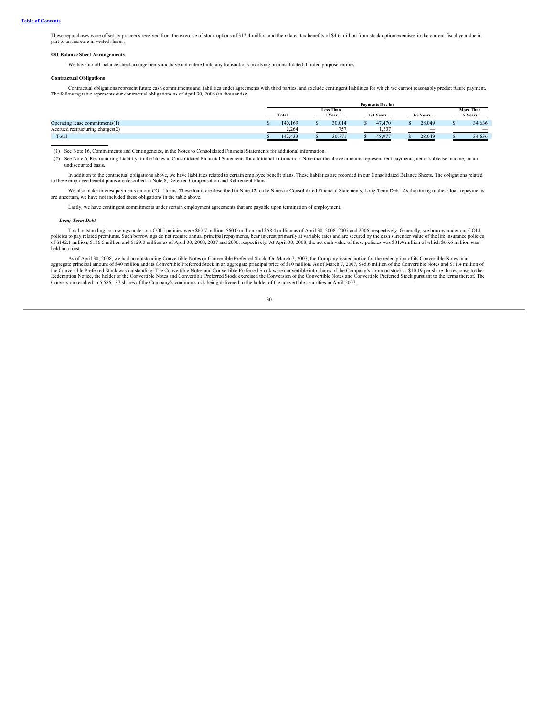These repurchases were offset by proceeds received from the exercise of stock options of \$17.4 million and the related tax benefits of \$4.6 million from stock option exercises in the current fiscal year due in part to an increase in vested shares

## **Off-Balance Sheet Arrangements**

We have no off-balance sheet arrangements and have not entered into any transactions involving unconsolidated, limited purpose entities.

## **Contractual Obligations**

Contractual obligations represent future cash commitments and liabilities under agreements with third parties, and exclude contingent liabilities for which we cannot reasonably predict future payment. The following table represents our contractual obligations as of April 30, 2008 (in thousands):

**Payments Due in:**

|                                   |       |         |  | <b>More Than</b> |  |           |  |                          |  |         |  |  |
|-----------------------------------|-------|---------|--|------------------|--|-----------|--|--------------------------|--|---------|--|--|
|                                   | Total |         |  | Year             |  | 1-3 Years |  | 3-5 Years                |  | 5 Years |  |  |
| Operating lease commitments $(1)$ |       | 140.169 |  | 30.014           |  | 47,470    |  | 28.049                   |  | 34,636  |  |  |
| Accrued restructuring charges(2)  |       | 2,264   |  | 751              |  | 507ء      |  | $\overline{\phantom{a}}$ |  | $-$     |  |  |
| Total                             |       | 142.433 |  | 30,771           |  | 48,977    |  | 28.049                   |  | 34.636  |  |  |

(1) See Note 16, Commitments and Contingencies, in the Notes to Consolidated Financial Statements for additional information.

(2) See Note 6, Restructuring Liability, in the Notes to Consolidated Financial Statements for additional information. Note that the above amounts represent rent payments, net of sublease income, on an undiscounted basis.

In addition to the contractual obligations above, we have liabilities related to certain employee benefit plans. These liabilities are recorded in our Consolidated Balance Sheets. The obligations related<br>to these employee

We also make interest payments on our COLI loans. These loans are described in Note 12 to the Notes to Consolidated Financial Statements, Long-Term Debt. As the timing of these loan repayments are uncertain, we have not included these obligations in the table above.

Lastly, we have contingent commitments under certain employment agreements that are payable upon termination of employment.

## *Long-Term Debt.*

Total outstanding borrowings under our COLI policies were \$60.7 million, \$60.0 million and \$58.4 million as of April 30, 2008, 2007 and 2006, respectively. Generally, we borrow under our COLI policies to pay related premiums. Such borrowings do not require annual principal repayments, bear interest primarily at variable rates and are secured by the cash surrender value of the life insurance policies<br>of \$142.1 m held in a trust.

As of April 30, 2008, we had no outstanding Convertible Notes or Convertible Preferred Stock. On March 7, 2007, the Company issued notice for the redemption of its Convertible Notes in an aggregate principal amount of \$40 million and its Convertible Preferred Stock in an aggregate principal price of \$10 million. As of March 7, 2007, \$45.6 million of the Convertible Protes and \$11.4 million of<br>the Convertibl Redemption Notice, the holder of the Convertible Notes and Convertible Preferred Stock exercised the Conversion of the Convertible Notes and Convertible Preferred Stock pursuant to the terms thereof. The Conversion resulte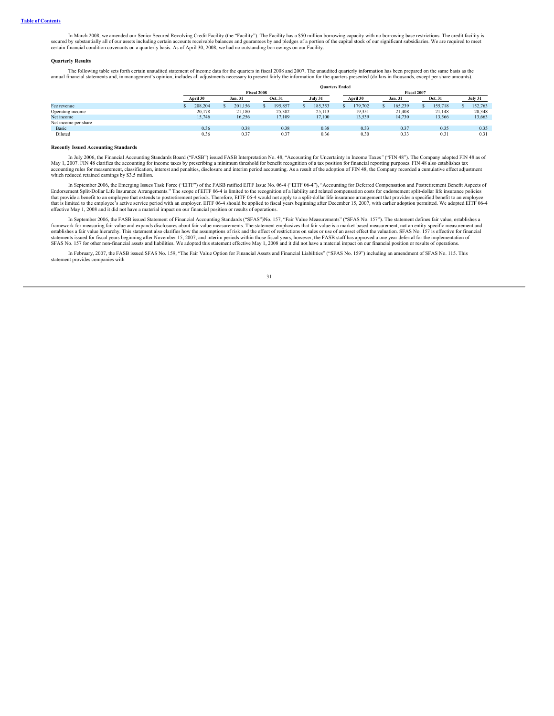In March 2008, we amended our Senior Secured Revolving Credit Facility (the "Facility"). The Facility has a \$50 million borrowing capacity with no borrowing base restrictions. The credit facility is secured by substantially all of our assets including certain accounts receivable balances and guarantees by and pledges of a portion of the capital stock of our significant subsidiaries. We are required to meet<br>certain fin

#### **Quarterly Results**

The following table sets forth certain unaudited statement of income data for the quarters in fiscal 2008 and 2007. The unaudited quarterly information has been prepared on the same basis as the annual financial statements and, in management's opinion, includes all adjustments necessary to present fairly the information for the quarters presented (dollars in thousands, except per share amounts).

|                      |          | <b>Ouarters Ended</b> |         |  |         |  |         |  |          |             |         |  |         |  |         |  |  |  |
|----------------------|----------|-----------------------|---------|--|---------|--|---------|--|----------|-------------|---------|--|---------|--|---------|--|--|--|
|                      |          | <b>Fiscal 2008</b>    |         |  |         |  |         |  |          | Fiscal 2007 |         |  |         |  |         |  |  |  |
|                      | April 30 | Jan. 31               |         |  | Oct. 31 |  | July 31 |  | April 30 |             | Jan. 31 |  | Oct. 31 |  | July 31 |  |  |  |
| Fee revenue          | 208,204  |                       | 201.156 |  | 195,857 |  | 185.353 |  | 179,702  |             | 165.239 |  | 155,718 |  | 152,763 |  |  |  |
| Operating income     | 20,178   |                       | 21.180  |  | 25,382  |  | 25,113  |  | 19.351   |             | 21,408  |  | 21,148  |  | 20,348  |  |  |  |
| Net income           | 15,746   |                       | 16,256  |  | 17,109  |  | 17,100  |  | 13,539   |             | 14,730  |  | 13,566  |  | 13,663  |  |  |  |
| Net income per share |          |                       |         |  |         |  |         |  |          |             |         |  |         |  |         |  |  |  |
| <b>Basic</b>         | 0.36     |                       | 0.38    |  | 0.38    |  | 0.38    |  | 0.33     |             | 0.37    |  | 0.35    |  | 0.35    |  |  |  |
| Diluted              | 0.36     |                       | 0.37    |  | 0.37    |  | 0.36    |  | 0.30     |             | 0.33    |  | 0.31    |  | 0.31    |  |  |  |

## **Recently Issued Accounting Standards**

In July 2006, the Financial Accounting Standards Board ("FASB") issued FASB Interpretation No. 48, "Accounting for Uncertainty in Income Taxes" ("FIN 48"). The Company adopted FIN 48 as of<br>May 1, 2007. FIN 48 clarifies the which reduced retained earnings by \$3.5 million.

In September 2006, the Emerging Issues Task Force ("EITF") of the FASB ratified EITF Issue No. 06-4 ("EITF 06-4"), "Accounting for Deferred Compensation and Postretirement Benefit Aspects of endorsement Split-Dollar Life I that provide a benefit to an employee that extends to postretirement periods. Therefore, EITF 06-4 would not apply to a split-dollar life insurance arrangement that provides a specified benefit to an employee<br>that is limit

In September 2006, the FASB issued Statement of Financial Accounting Standards ("SFAS")No. 157, "Fair Value Measurements" ("SFAS No. 157"). The statement defines fair value, establishes a framework for measuring fair value and expands disclosures about fair value measurements. The statement emphasizes that fair value is a market-based measurement, not an entity-specific measurement and<br>establishes a fair va statements issued for fiscal years beginning after November 15, 2007, and interim periods within those fiscal years, however, the FASB staff has approved a one year deferral for the implementation of<br>SFAS No. 157 for other

In February, 2007, the FASB issued SFAS No. 159, "The Fair Value Option for Financial Assets and Financial Liabilities" ("SFAS No. 159") including an amendment of SFAS No. 115. This statement provides companies with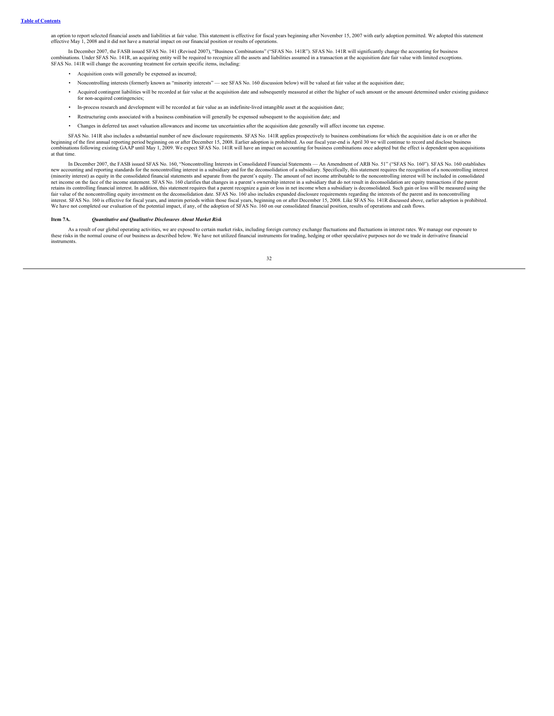an option to report selected financial assets and liabilities at fair value. This statement is effective for fiscal years beginning after November 15, 2007 with early adoption permitted. We adopted this statement effective May 1, 2008 and it did not have a material impact on our financial position or results of operations.

In December 2007, the FASB issued SFAS No. 141 (Revised 2007), "Business Combinations" ("SFAS No. 141R"). SFAS No. 141R will significantly change the accounting for business combinations. Under SFAS No. 141R, an acquiring entity will be required to recognize all the assets and liabilities assumed in a transaction at the acquisition date fair value with limited exceptions. SFAS No. 141R will change the accounting treatment for certain specific items, including:

- Acquisition costs will generally be expensed as incurred;
- Noncontrolling interests (formerly known as "minority interests" see SFAS No. 160 discussion below) will be valued at fair value at the acquisition date;
- Acquired contingent liabilities will be recorded at fair value at the acquisition date and subsequently measured at either the higher of such amount or the amount determined under existing guidance for non-acquired conting
- In-process research and development will be recorded at fair value as an indefinite-lived intangible asset at the acquisition date;
- Restructuring costs associated with a business combination will generally be expensed subsequent to the acquisition date; and
- Changes in deferred tax asset valuation allowances and income tax uncertainties after the acquisition date generally will affect income tax expense.

SFAS No. 141R also includes a substantial number of new disclosure requirements. SFAS No. 141R applies prospectively to business combinations for which the acquisition date is on or after the beginning of the first annual reporting period beginning on or after December 15, 2008. Earlier adoption is prohibited. As our fiscal year-end is April 30 we will continue to record and disclose busine combinations following existing GAAP until May 1, 2009. We expect SFAS No. 141R will have an impact on accounting for business combinations once adopted but the effect is dependent upon acquisitions combinations once adopt at that time.

In December 2007, the FASB issued SFAS No. 160, "Noncontrolling Interests in Consolidated Financial Statements — An Amendment of ARB No. 51" ("SFAS No. 160"). SFAS No. 160 establishes<br>new accounting and reporting standards (minority interest) as equity in the consolidated financial statements and separate from the parent's equity. The amount of net income attributable to the noncontrolling interest will be included in consolidated net income on the face of the income statement. SFAS No. 160 clarifies that changes in a parent's ownership interest in a subsidiary that do not result in deconsolidation are equity transactions if the parent retains its controlling financial interest. In addition, this statement requires that a parent recognize a gain or loss in net income when a subsidiary is deconsolidated. Such gain or loss will be measured using the<br>fair v interest. SFAS No. 160 is effective for fiscal years, and interim periods within those fiscal years, beginning on or after December 15, 2008. Like SFAS No. 141R discussed above, earlier adoption is prohibited. We have not completed our evaluation of the potential impact, if any, of the adoption of SFAS No. 160 on our consolidated financial position, results of operations and cash flows.

## <span id="page-31-0"></span>**Item 7A.** *Quantitative and Qualitative Disclosures About Market Risk*

As a result of our global operating activities, we are exposed to certain market risks, including foreign currency exchange fluctuations and fluctuations in interest rates. We manage our exposure to these risks in the normal course of our business as described below. We have not utilized financial instruments for trading, hedging or other speculative purposes nor do we trade in derivative financial instruments.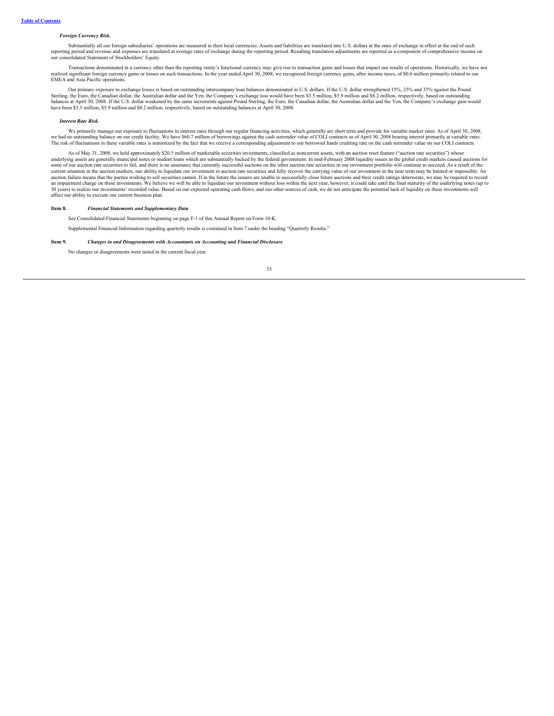## *Foreign Currency Risk.*

Substantially all our foreign subsidiaries' operations are measured in their local currencies. Assets and liabilities are translated into U.S. dollars at the rates of exchange in effect at the end of each reporting period and revenue and expenses are translated at average rates of exchange during the reporting period. Resulting translation adjustments are reported as a component of comprehensive income on<br>our consolidated S

Transactions denominated in a currency other than the reporting entity's functional currency may give rise to transaction gains and losses that impact our results of operations. Historically, we have not realized significant foreign currency gains or losses on such transactions. In the year ended April 30, 2008, we recognized foreign currency gains, after income taxes, of \$0.6 million primarily related to our EMEA and Asia Pacific operations.

Our primary exposure to exchange losses is based on outstanding intercompany loan balances denominated in U.S. dollars. If the U.S. dollar strengthened 15%, 25% and 35% against the Pound<br>Sterling, the Euro, the Canadian do balances at April 30, 2008. If the U.S. dollar weakened by the same increments against Pound Sterling, the Euro, the Canadian dollar, the Australian dollar and the Yen, the Company's exchange gain would<br>have been \$3.5 mill

#### *Interest Rate Risk.*

We primarily manage our exposure to fluctuations in interest rates through our regular financing activities, which generally are short term and provide for variable market rates. As of April 30, 2008, we had no outstanding balance on our credit facility. We have \$60.7 million of borrowings against the cash surrender value of COLI contracts as of April 30, 2008 bearing interest primarily at variable rates. The risk of fluctuations in these variable rates is minimized by the fact that we receive a corresponding adjustment to our borrowed funds crediting rate on the cash surrender value on our COLI contracts.

As of May 31, 2008, we held approximately \$20.5 million of marketable securities investments, classified as noncurrent assets, with an auction reset feature ("auction rate securities") whose underlying assets are generally municipal notes or student loans which are substantially backed by the federal government. In mid-February 2008 liquidity issues in the global credit markets caused auctions for<br>some of our current situation in the auction markets, our ability to liquidate our investment in auction rate securities and fully recover the carrying value of our investment in the near term may be limited or impossible. An<br>auction an impairment charge on these investments. We believe we will be able to liquidate our investment without loss within the next year, however, it could take until the final maturity of the underlying notes (up to 30 years) to realize our investments' recorded value. Based on our expected operating cash flows, and our other sources of cash, we do not anticipate the potential lack of liquidity on these investments will affect our ability to execute our current business plan.

### **Item 8.** *Financial Statements and Supplementary Data*

<span id="page-32-0"></span>See Consolidated Financial Statements beginning on page F-1 of this Annual Report on Form 10-K.

<span id="page-32-1"></span>Supplemental Financial Information regarding quarterly results is contained in Item 7 under the heading "Quarterly Results."

## **Item 9.** *Changes in and Disagreements with Accountants on Accounting and Financial Disclosure*

No changes or disagreements were noted in the current fiscal year.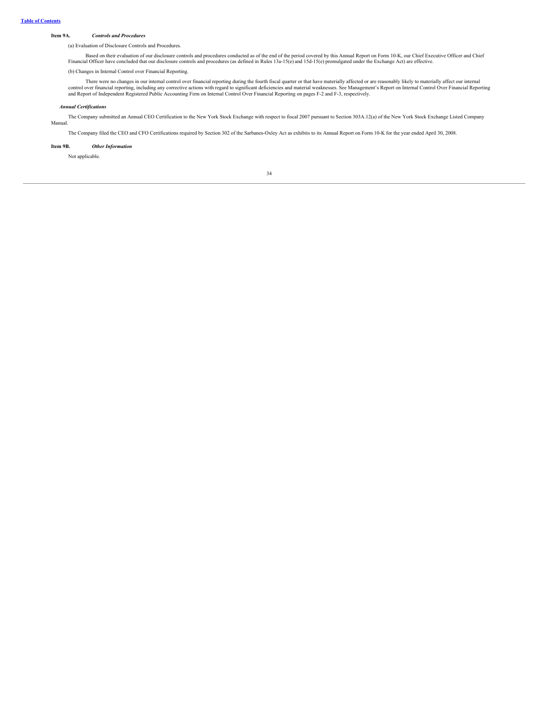## **Item 9A.** *Controls and Procedures*

<span id="page-33-0"></span>(a) Evaluation of Disclosure Controls and Procedures.

Based on their evaluation of our disclosure controls and procedures conducted as of the end of the period covered by this Annual Report on Form 10-K, our Chief Executive Officer and Chief<br>Financial Officer have concluded t

(b) Changes in Internal Control over Financial Reporting.

There were no changes in our internal control over financial reporting during the fourth fiscal quarter or that have materially affected or are reasonably likely to materially affect our internal control over financial reporting, including any corrective actions with regard to significant deficiencies and material weaknesses. See Management's Report on Internal Control Over Financial Reporting<br>and Report of Indepen

## *Annual Certifications*

The Company submitted an Annual CEO Certification to the New York Stock Exchange with respect to fiscal 2007 pursuant to Section 303A.12(a) of the New York Stock Exchange Listed Company Manual.

The Company filed the CEO and CFO Certifications required by Section 302 of the Sarbanes-Oxley Act as exhibits to its Annual Report on Form 10-K for the year ended April 30, 2008.

# **Item 9B.** *Other Information*

<span id="page-33-1"></span>Not applicable.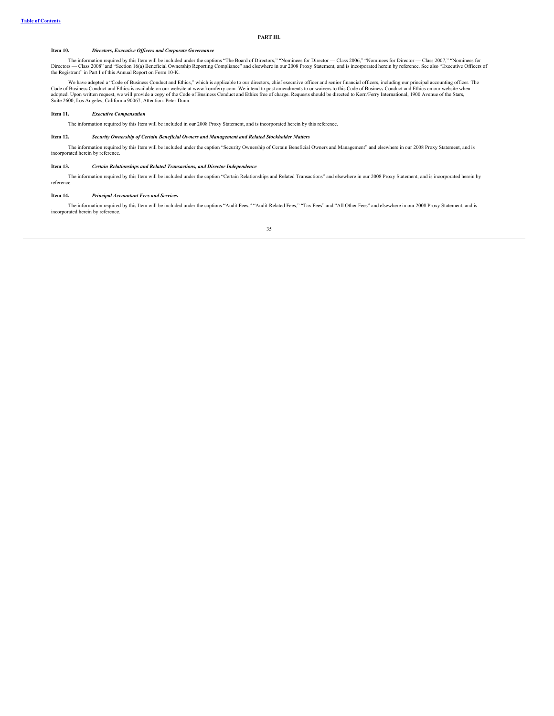## **PART III.**

## <span id="page-34-0"></span>**Item 10.** *Directors, Executive Of icers and Corporate Governance*

The information required by this Item will be included under the captions "The Board of Directors," "Nominees for Director — Class 2006," "Nominees for Director — Class 2007," "Nominees for Directors — Class 2008" and "Section 16(a) Beneficial Ownership Reporting Compliance" and elsewhere in our 2008 Proxy Statement, and is incorporated herein by reference. See also "Executive Officers of<br>the Registrant" in P

We have adopted a "Code of Business Conduct and Ethics," which is applicable to our directors, chief executive officer and senior financial officers, including our principal accounting officer. The Code of Business Conduct adopted. Upon written request, we will provide a copy of the Code of Business Conduct and Ethics free of charge. Requests should be directed to Korn/Ferry International, 1900 Avenue of the Stars,<br>Suite 2600, Los Angeles, C

# **Item 11.** *Executive Compensation*

<span id="page-34-2"></span><span id="page-34-1"></span>The information required by this Item will be included in our 2008 Proxy Statement, and is incorporated herein by this reference.

## **Item 12.** *Security Ownership of Certain Beneficial Owners and Management and Related Stockholder Matters*

The information required by this Item will be included under the caption "Security Ownership of Certain Beneficial Owners and Management" and elsewhere in our 2008 Proxy Statement, and is incorporated herein by reference.

## <span id="page-34-3"></span>**Item 13.** *Certain Relationships and Related Transactions, and Director Independence*

The information required by this Item will be included under the caption "Certain Relationships and Related Transactions" and elsewhere in our 2008 Proxy Statement, and is incorporated herein by reference.

## <span id="page-34-4"></span>**Item 14.** *Principal Accountant Fees and Services*

The information required by this Item will be included under the captions "Audit Fees," "Audit-Related Fees," "Tax Fees" and "All Other Fees" and elsewhere in our 2008 Proxy Statement, and is incorporated herein by reference.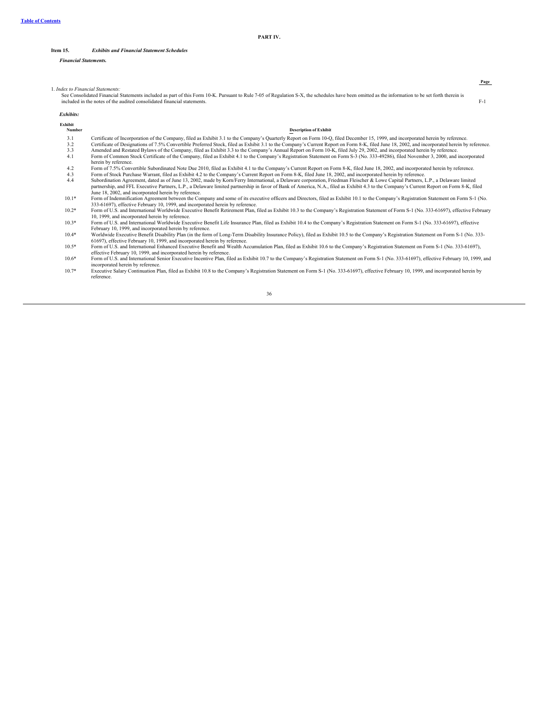**PART IV.**

**Item 15.** *Exhibits and Financial Statement Schedules*

<span id="page-35-0"></span>*Financial Statements.*

**Page** 1. *Index to Financial Statements:* See Consolidated Financial Statements included as part of this Form 10-K. Pursuant to Rule 7-05 of Regulation S-X, the schedules have been omitted as the information to be set forth therein is included in the notes of the audited consolidated financial statements. F-1

# *Exhibits:* **Exhibit Number Description** of **Exhibit** 3.1 Certificate of Incorporation of the Company, filed as Exhibit 3.1 to the Company's Quarterly Report on Form 10-Q, filed December 15, 1999, and incorporated herein by reference.<br>3.2 Certificate of Designations of 7.5% C 3.2 Certificate of Designations of 7.5% Convertible Preferred Stock, filed as Exhibit 3.1 to the Company's Current Report on Form 8-K, filed June 18, 2002, and incorporated herein by reference.<br>3.3 Amended and Restated Byl 4.1 Form of Common Stock Certificate of the Company, filed as Exhibit 4.1 to the Company's Registration Statement on Form S-3 (No. 333-49286), filed November 3, 2000, and incorporated herein by reference. 4.2 Form of 7.5% Convertible Subordinated Note Due 2010, filed as Exhibit 4.1 to the Company's Current Report on Form 8-K, filed June 18, 2002, and incorporated herein by reference.<br>4.3 Form of Stock Purchase Warrant, file Form of Stock Purchase Warrant, filed as Exhibit 4.2 to the Company's Current Report on Form 8-K, filed June 18, 2002, and incorporated herein by reference.<br>4.4 Subordination Agreement dated as of June 13, 2002 ande by Kor 4.4 Subordination Agreement, dated as of June 13, 2002, made by Korn/Ferry International, a Delaware corporation, Friedman Fleischer & Lowe Capital Partners, L.P., a Delaware limited<br>partnership, and FFL Executive Partners June 18, 2002, and incorporated herein by reference.<br>10.1\* Form of Indemnification Agreement between the Company and some of its executive officers and Directors, filed as Exhibit 10.1 to the Company's Registration Stateme 333-61697), effective February 10, 1999, and incorporated herein by reference.<br>10.2\* Form of U.S. and International Worldwide Executive Benefit Retirement Plan, filed as Exhibit 10.3 to the Company's Registration Statement 10, 1999, and incorporated herein by reference. 10.3\* Form of U.S. and International Worldwide Executive Benefit Life Insurance Plan, filed as Exhibit 10.4 to the Company's Registration Statement on Form S-1 (No. 333-61697), effective February 10, 1999, and incorporated herein by reference. 10.4\* Worldwide Executive Benefit Disability Plan (in the form of Long-Term Disability Insurance Policy), filed as Exhibit 10.5 to the Company's Registration Statement on Form S-1 (No. 333- 61697), effective February 10, 1999, and incorporated herein by reference.

10.5\* Form of U.S. and International Enhanced Executive Benefit and Wealth Accumulation Plan, filed as Exhibit 10.6 to the Company's Registration Statement on Form S-1 (No. 333-61697),

effective February 10, 1999, and incorporated herein by reference.<br>10.6\* Form of U.S. and International Senior Executive Incentive Plan, filed as Exhibit 10.7 to the Company's Registration Statement on Form S-1 (No. 333-61 incorporated herein by reference.

10.7\* Executive Salary Continuation Plan, filed as Exhibit 10.8 to the Company's Registration Statement on Form S-1 (No. 333-61697), effective February 10, 1999, and incorporated herein by reference.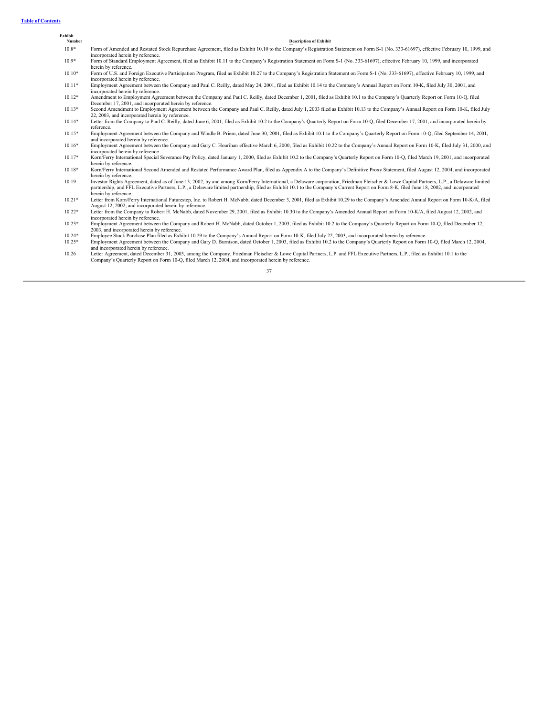## **Table of [Contents](#page-1-0)**

**Exhibit**

## **Number Description of Exhibit**

| Number   | <b>Description of Exhibit</b>                                                                                                                                                                                                                                                                                                                                                                                |
|----------|--------------------------------------------------------------------------------------------------------------------------------------------------------------------------------------------------------------------------------------------------------------------------------------------------------------------------------------------------------------------------------------------------------------|
| $10.8*$  | Form of Amended and Restated Stock Repurchase Agreement, filed as Exhibit 10.10 to the Company's Registration Statement on Form S-1 (No. 333-61697), effective February 10, 1999, and<br>incorporated herein by reference.                                                                                                                                                                                   |
| $10.9*$  | Form of Standard Employment Agreement, filed as Exhibit 10.11 to the Company's Registration Statement on Form S-1 (No. 333-61697), effective February 10, 1999, and incorporated<br>herein by reference.                                                                                                                                                                                                     |
| $10.10*$ | Form of U.S. and Foreign Executive Participation Program, filed as Exhibit 10.27 to the Company's Registration Statement on Form S-1 (No. 333-61697), effective February 10, 1999, and<br>incorporated herein by reference.                                                                                                                                                                                  |
| $10.11*$ | Employment Agreement between the Company and Paul C. Reilly, dated May 24, 2001, filed as Exhibit 10.14 to the Company's Annual Report on Form 10-K, filed July 30, 2001, and<br>incorporated herein by reference.                                                                                                                                                                                           |
| $10.12*$ | Amendment to Employment Agreement between the Company and Paul C. Reilly, dated December 1, 2001, filed as Exhibit 10.1 to the Company's Quarterly Report on Form 10-Q, filed<br>December 17, 2001, and incorporated herein by reference.                                                                                                                                                                    |
| $10.13*$ | Second Amendment to Employment Agreement between the Company and Paul C. Reilly, dated July 1, 2003 filed as Exhibit 10.13 to the Company's Annual Report on Form 10-K, filed July<br>22, 2003, and incorporated herein by reference.                                                                                                                                                                        |
| $10.14*$ | Letter from the Company to Paul C. Reilly, dated June 6, 2001, filed as Exhibit 10.2 to the Company's Quarterly Report on Form 10-Q, filed December 17, 2001, and incorporated herein by<br>reference.                                                                                                                                                                                                       |
| $10.15*$ | Employment Agreement between the Company and Windle B. Priem, dated June 30, 2001, filed as Exhibit 10.1 to the Company's Quarterly Report on Form 10-Q, filed September 14, 2001,<br>and incorporated herein by reference.                                                                                                                                                                                  |
| $10.16*$ | Employment Agreement between the Company and Gary C. Hourihan effective March 6, 2000, filed as Exhibit 10.22 to the Company's Annual Report on Form 10-K, filed July 31, 2000, and<br>incorporated herein by reference.                                                                                                                                                                                     |
| $10.17*$ | Korn/Ferry International Special Severance Pay Policy, dated January 1, 2000, filed as Exhibit 10.2 to the Company's Quarterly Report on Form 10-Q, filed March 19, 2001, and incorporated<br>herein by reference.                                                                                                                                                                                           |
| $10.18*$ | Korn/Ferry International Second Amended and Restated Performance Award Plan, filed as Appendix A to the Company's Definitive Proxy Statement, filed August 12, 2004, and incorporated<br>herein by reference.                                                                                                                                                                                                |
| 10.19    | Investor Rights Agreement, dated as of June 13, 2002, by and among Korn/Ferry International, a Delaware corporation, Friedman Fleischer & Lowe Capital Partners, L.P., a Delaware limited<br>partnership, and FFL Executive Partners, L.P., a Delaware limited partnership, filed as Exhibit 10.1 to the Company's Current Report on Form 8-K, filed June 18, 2002, and incorporated<br>herein by reference. |
| $10.21*$ | Letter from Korn/Ferry International Futurestep, Inc. to Robert H. McNabb, dated December 3, 2001, filed as Exhibit 10.29 to the Company's Amended Annual Report on Form 10-K/A, filed<br>August 12, 2002, and incorporated herein by reference.                                                                                                                                                             |
| $10.22*$ | Letter from the Company to Robert H. McNabb, dated November 29, 2001, filed as Exhibit 10.30 to the Company's Amended Annual Report on Form 10-K/A, filed August 12, 2002, and<br>incorporated herein by reference.                                                                                                                                                                                          |
| $10.23*$ | Employment Agreement between the Company and Robert H. McNabb, dated October 1, 2003, filed as Exhibit 10.2 to the Company's Quarterly Report on Form 10-Q, filed December 12,<br>2003, and incorporated herein by reference.                                                                                                                                                                                |
| $10.24*$ | Employee Stock Purchase Plan filed as Exhibit 10.29 to the Company's Annual Report on Form 10-K, filed July 22, 2003, and incorporated herein by reference.                                                                                                                                                                                                                                                  |
| $10.25*$ | Employment Agreement between the Company and Gary D. Burnison, dated October 1, 2003, filed as Exhibit 10.2 to the Company's Quarterly Report on Form 10-Q, filed March 12, 2004,<br>and incorporated herein by reference.                                                                                                                                                                                   |
| 10.26    | Letter Agreement, dated December 31, 2003, among the Company, Friedman Fleischer & Lowe Capital Partners, L.P. and FFL Executive Partners, L.P., filed as Exhibit 10.1 to the<br>Company's Ouarterly Report on Form 10-O, filed March 12, 2004, and incorporated herein by reference.                                                                                                                        |

37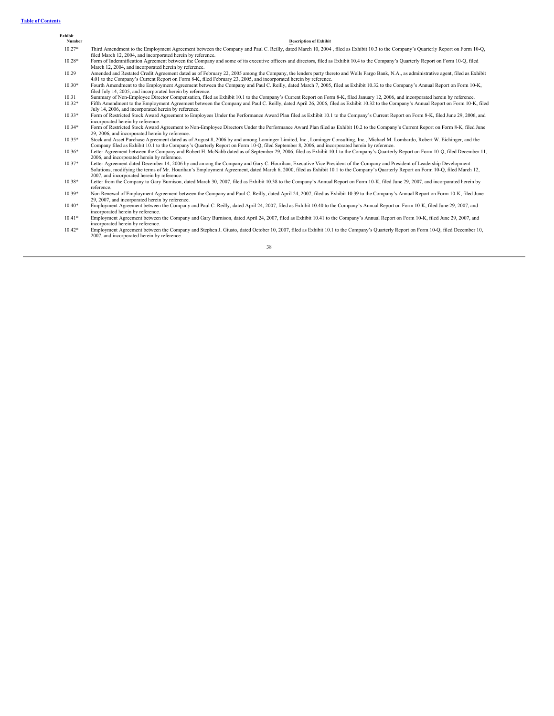# **Exhibit**

| :nıdıt<br>Number  | <b>Description of Exhibit</b>                                                                                                                                                                                                                                                                                                                                                                                                  |
|-------------------|--------------------------------------------------------------------------------------------------------------------------------------------------------------------------------------------------------------------------------------------------------------------------------------------------------------------------------------------------------------------------------------------------------------------------------|
| $10.27*$          | Third Amendment to the Employment Agreement between the Company and Paul C. Reilly, dated March 10, 2004, filed as Exhibit 10.3 to the Company's Quarterly Report on Form 10-Q,<br>filed March 12, 2004, and incorporated herein by reference.                                                                                                                                                                                 |
| 10.28*            | Form of Indemnification Agreement between the Company and some of its executive officers and directors, filed as Exhibit 10.4 to the Company's Quarterly Report on Form 10-Q, filed<br>March 12, 2004, and incorporated herein by reference.                                                                                                                                                                                   |
| 10.29             | Amended and Restated Credit Agreement dated as of February 22, 2005 among the Company, the lenders party thereto and Wells Fargo Bank, N.A., as administrative agent, filed as Exhibit<br>4.01 to the Company's Current Report on Form 8-K, filed February 23, 2005, and incorporated herein by reference.                                                                                                                     |
| $10.30*$          | Fourth Amendment to the Employment Agreement between the Company and Paul C. Reilly, dated March 7, 2005, filed as Exhibit 10.32 to the Company's Annual Report on Form 10-K,<br>filed July 14, 2005, and incorporated herein by reference.                                                                                                                                                                                    |
| 10.31<br>$10.32*$ | Summary of Non-Employee Director Compensation, filed as Exhibit 10.1 to the Company's Current Report on Form 8-K, filed January 12, 2006, and incorporated herein by reference.<br>Fifth Amendment to the Employment Agreement between the Company and Paul C. Reilly, dated April 26, 2006, filed as Exhibit 10.32 to the Company's Annual Report on Form 10-K, filed<br>July 14, 2006, and incorporated herein by reference. |
| $10.33*$          | Form of Restricted Stock Award Agreement to Employees Under the Performance Award Plan filed as Exhibit 10.1 to the Company's Current Report on Form 8-K, filed June 29, 2006, and<br>incorporated herein by reference.                                                                                                                                                                                                        |
| $10.34*$          | Form of Restricted Stock Award Agreement to Non-Employee Directors Under the Performance Award Plan filed as Exhibit 10.2 to the Company's Current Report on Form 8-K, filed June<br>29, 2006, and incorporated herein by reference.                                                                                                                                                                                           |
| $10.35*$          | Stock and Asset Purchase Agreement dated as of August 8, 2006 by and among Lominger Limited, Inc., Lominger Consulting, Inc., Michael M. Lombardo, Robert W. Eichinger, and the<br>Company filed as Exhibit 10.1 to the Company's Quarterly Report on Form 10-Q, filed September 8, 2006, and incorporated herein by reference.                                                                                                |
| $10.36*$          | Letter Agreement between the Company and Robert H. McNabb dated as of September 29, 2006, filed as Exhibit 10.1 to the Company's Quarterly Report on Form 10-Q, filed December 11,<br>2006, and incorporated herein by reference.                                                                                                                                                                                              |
| $10.37*$          | Letter Agreement dated December 14, 2006 by and among the Company and Gary C. Hourihan, Executive Vice President of the Company and President of Leadership Development<br>Solutions, modifying the terms of Mr. Hourihan's Employment Agreement, dated March 6, 2000, filed as Exhibit 10.1 to the Company's Quarterly Report on Form 10-Q, filed March 12,<br>2007, and incorporated herein by reference.                    |
| $10.38*$          | Letter from the Company to Gary Burnison, dated March 30, 2007, filed as Exhibit 10.38 to the Company's Annual Report on Form 10-K, filed June 29, 2007, and incorporated herein by<br>reference.                                                                                                                                                                                                                              |
| $10.39*$          | Non Renewal of Employment Agreement between the Company and Paul C. Reilly, dated April 24, 2007, filed as Exhibit 10.39 to the Company's Annual Report on Form 10-K, filed June<br>29, 2007, and incorporated herein by reference.                                                                                                                                                                                            |
| $10.40*$          | Employment Agreement between the Company and Paul C. Reilly, dated April 24, 2007, filed as Exhibit 10.40 to the Company's Annual Report on Form 10-K, filed June 29, 2007, and<br>incorporated herein by reference.                                                                                                                                                                                                           |
| $10.41*$          | Employment Agreement between the Company and Gary Burnison, dated April 24, 2007, filed as Exhibit 10.41 to the Company's Annual Report on Form 10-K, filed June 29, 2007, and<br>incorporated herein by reference.                                                                                                                                                                                                            |
| $10.42*$          | Employment Agreement between the Company and Stephen J. Giusto, dated October 10, 2007, filed as Exhibit 10.1 to the Company's Quarterly Report on Form 10-Q, filed December 10,<br>2007, and incorporated herein by reference.                                                                                                                                                                                                |

38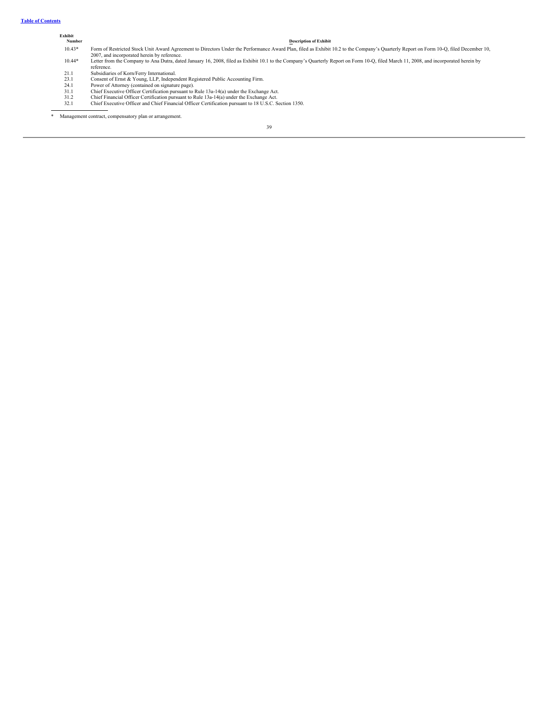## **Table of [Contents](#page-1-0)**

**Exhibit Number Description** of **Exhibit** 10.43\* Form of Restricted Stock Unit Award Agreement to Directors Under the Performance Award Plan, filed as Exhibit 10.2 to the Company's Quarterly Report on Form 10-Q, filed December 10, 2007, and incorporated herein by reference.<br>10.44\* Letter from the Company to Ana Dutra, dated January 16, 2008, filed as Exhibit 10.1 to the Company's Quarterly Report on Form 10-Q, filed March 11, 2008, and incorporated 21.1 Subsidiaries of Korn/Ferry International.<br>23.1 Consent of Ernst & Young, LLP, Independent Registered Public Accounting Firm.<br>24.1 Power of Attorney (contained on signature page).<br>31.1 Chief Executive Officer Certifica

31.2 Chief Financial Officer Certification pursuant to Rule 13a-14(a) under the Exchange Act. 32.1 Chief Executive Officer and Chief Financial Officer Certification pursuant to 18 U.S.C. Section 1350.

\* Management contract, compensatory plan or arrangement.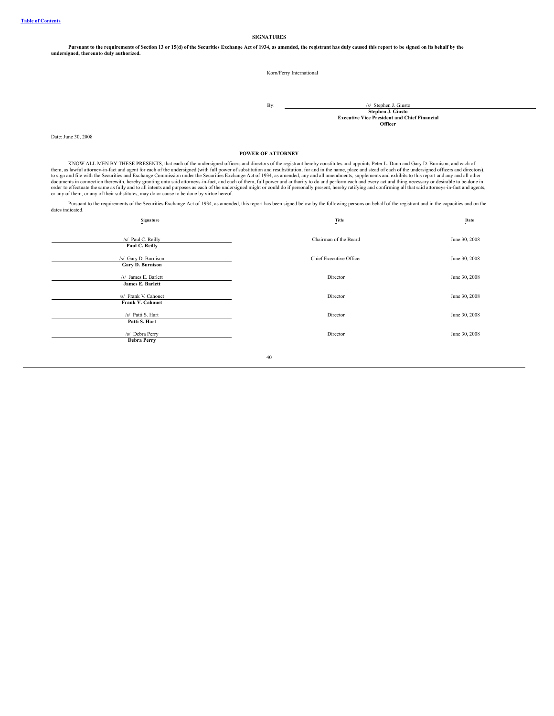**SIGNATURES**

Pursuant to the requirements of Section 13 or 15(d) of the Securities Exchange Act of 1934, as amended, the registrant has duly caused this report to be signed on its behalf by the<br>undersigned, thereunto duly authorized.

Korn/Ferry International

By: /s/ Stephen J. Giusto **Stephen J. Giusto Executive Vice President and Chief Financial Officer**

Date: June 30, 2008

### **POWER OF ATTORNEY**

KNOW ALL MEN BY THESE PRESENTS, that each of the undersigned officers and directors of the registrant hereby constitutes and appoints Peter L. Dunn and Gary D. Burnison, and each of<br>them, as law will attomey-in-fact and ag

Pursuant to the requirements of the Securities Exchange Act of 1934, as amended, this report has been signed below by the following persons on behalf of the registrant and in the capacities and on the dates indicated.

| Signature                                       | Title                   | Date          |
|-------------------------------------------------|-------------------------|---------------|
| /s/ Paul C. Reilly<br>Paul C. Reilly            | Chairman of the Board   | June 30, 2008 |
| /s/ Gary D. Burnison<br>Gary D. Burnison        | Chief Executive Officer | June 30, 2008 |
| /s/ James E. Barlett<br>James E. Barlett        | Director                | June 30, 2008 |
| /s/ Frank V. Cahouet<br><b>Frank V. Cahouet</b> | Director                | June 30, 2008 |
| /s/ Patti S. Hart<br>Patti S. Hart              | Director                | June 30, 2008 |
| /s/ Debra Perry<br><b>Debra Perry</b>           | Director                | June 30, 2008 |
|                                                 | 40                      |               |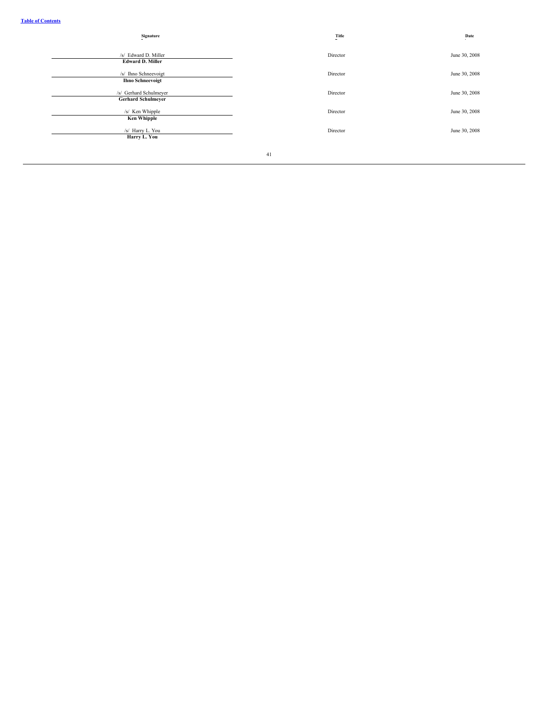| Signature                                           | Title    | Date          |
|-----------------------------------------------------|----------|---------------|
| /s/ Edward D. Miller<br><b>Edward D. Miller</b>     | Director | June 30, 2008 |
| /s/ Ihno Schneevoigt<br><b>Ihno Schneevoigt</b>     | Director | June 30, 2008 |
| /s/ Gerhard Schulmeyer<br><b>Gerhard Schulmeyer</b> | Director | June 30, 2008 |
| /s/ Ken Whipple<br><b>Ken Whipple</b>               | Director | June 30, 2008 |
| /s/ Harry L. You<br>Harry L. You                    | Director | June 30, 2008 |
|                                                     |          |               |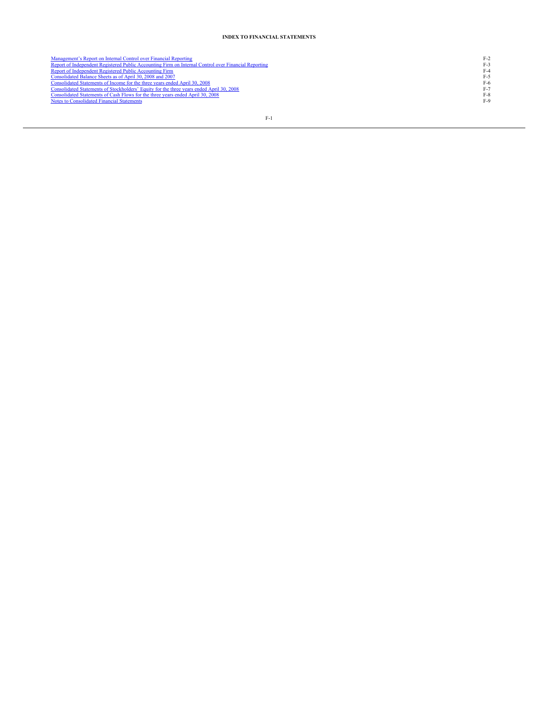## **INDEX TO FINANCIAL STATEMENTS**

| Management's Report on Internal Control over Financial Reporting                                     | $F-2$ |
|------------------------------------------------------------------------------------------------------|-------|
| Report of Independent Registered Public Accounting Firm on Internal Control over Financial Reporting | F-3   |
| Report of Independent Registered Public Accounting Firm                                              | $F-4$ |
| Consolidated Balance Sheets as of April 30, 2008 and 2007                                            | $F-5$ |
| Consolidated Statements of Income for the three years ended April 30, 2008                           | $F-6$ |
| Consolidated Statements of Stockholders' Equity for the three years ended April 30, 2008             | $F-7$ |
| Consolidated Statements of Cash Flows for the three years ended April 30, 2008                       | $F-8$ |
| Notes to Consolidated Financial Statements                                                           | $F-9$ |
|                                                                                                      |       |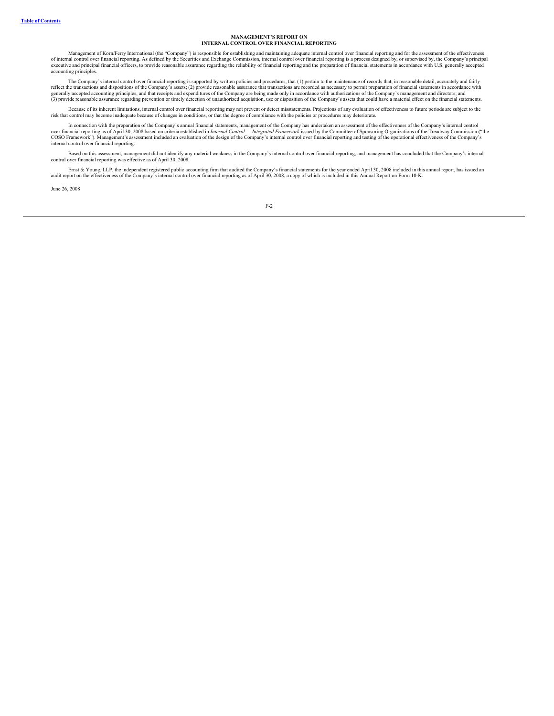#### **MANAGEMENT'S REPORT ON INTERNAL CONTROL OVER FINANCIAL REPORTING**

Management of Korn/Ferry International (the "Company") is responsible for establishing and maintaining adequate internal control over financial reporting and for the assessment of the effectiveness of internal control over financial reporting. As defined by the Securities and Exchange Commission, internal control over financial reporting is a process designed by, or supervised by, the Company's principal<br>executive an accounting principles.

The Company's internal control over financial reporting is supported by written policies and procedures, that (1) pertain to the maintenance of records that, in reasonable detail, accurately and fairly reflect the transactions and dispositions of the Company's assets; (2) provide reasonable assurance that transactions are recorded as necessary to permit preparation of financial statements in accordance with<br>generally acc (3) provide reasonable assurance regarding prevention or timely detection of unauthorized acquisition, use or disposition of the Company's assets that could have a material effect on the financial statements.

Because of its inherent limitations, internal control over financial reporting may not prevent or detect misstatements. Projections of any evaluation of effectiveness to future periods are subject to the risk that control may become inadequate because of changes in conditions, or that the degree of compliance with the policies or procedures may deteriorate.

In connection with the preparation of the Company's annual financial statements, management of the Company has undertaken an assessment of the effectiveness of the Company's internal control<br>over financial reporting as of internal control over financial reporting.

Based on this assessment, management did not identify any material weakness in the Company's internal control over financial reporting, and management has concluded that the Company's internal control over financial reporting was effective as of April 30, 2008.

Ernst & Young, LLP, the independent registered public accounting firm that audited the Company's financial statements for the year ended April 30, 2008 included in this annual report, has issued an audit report on the effe

June 26, 2008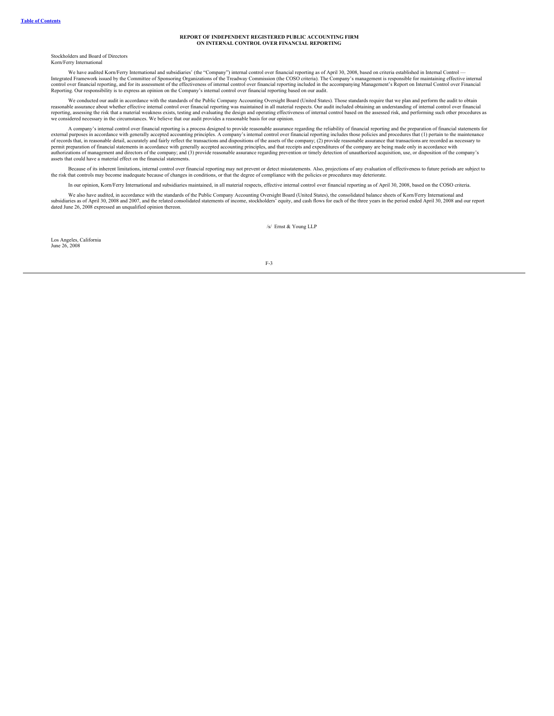#### **REPORT OF INDEPENDENT REGISTERED PUBLIC ACCOUNTING FIRM ON INTERNAL CONTROL OVER FINANCIAL REPORTING**

Stockholders and Board of Directors Korn/Ferry International

— We have audited Korn/Ferry International and subsidiaries' (the "Company") internal control over financial reporting as of April 30, 2008, based on criteria established in Internal Control —<br>Integrated Framework issued b Reporting. Our responsibility is to express an opinion on the Company's internal control over financial reporting based on our audit.

We conducted our audit in accordance with the standards of the Public Company Accounting Oversight Board (United States). Those standards require that we plan and perform the audit to obtain reasonable assurance about whether effective internal control over financial reporting was maintained in all material respects. Our audit included obtaining an understanding of internal control over financial<br>reporting, as we considered necessary in the circumstances. We believe that our audit provides a reasonable basis for our opinion.

A company's internal control over financial reporting is a process designed to provide reasonable assurance regarding the reliability of financial reporting and the preparation of financial statements for external purposes permit preparation of financial statements in accordance with generally accepted accounting principles, and that receipts and expenditures of the company are being made only in accordance with<br>authorizations of management assets that could have a material effect on the financial statements.

Because of its inherent limitations, internal control over financial reporting may not prevent or detect misstatements. Also, projections of any evaluation of effectiveness to future periods are subject to the risk that controls may become inadequate because of changes in conditions, or that the degree of compliance with the policies or procedures may deteriorate.

In our opinion, Korn/Ferry International and subsidiaries maintained, in all material respects, effective internal control over financial reporting as of April 30, 2008, based on the COSO criteria.

We also have audited, in accordance with the standards of the Public Company Accounting Oversight Board (United States), the consolidated balance sheets of Korn/Ferry International and<br>subsidiaries as of April 30, 2008 and dated June 26, 2008 expressed an unqualified opinion thereon.

/s/ Ernst & Young LLP

Los Angeles, California June 26, 2008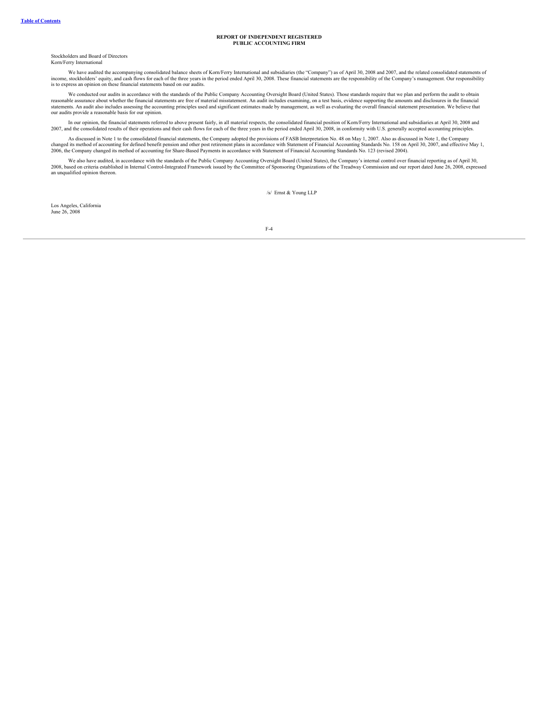#### **REPORT OF INDEPENDENT REGISTERED PUBLIC ACCOUNTING FIRM**

Stockholders and Board of Directors Korn/Ferry International

We have audited the accompanying consolidated balance sheets of Korn/Ferry International and subsidiaries (the "Company") as of April 30, 2008 and 2007, and the related consolidated statements of<br>income, stockholders' equi is to express an opinion on these financial statements based on our audits.

We conducted our audits in accordance with the standards of the Public Company Accounting Oversight Board (United States). Those standards require that we plan and perform the audit to obtain reasonable assurance about whe statements. An audit also includes assessing the accounting principles used and significant estimates made by management, as well as evaluating the overall financial statement presentation. We believe that<br>our audits provi

In our opinion, the financial statements referred to above present fairly, in all material respects, the consolidated financial position of Korn/Ferry International and subsidiaries at April 30, 2008 and<br>2007, and the cons

As discussed in Note 1 to the consolidated financial statements, the Company adopted the provisions of FASB Interpretation No. 48 on May 1, 2007. Also as discussed in Note 1, the Company changed its method of accounting for defined benefit pension and other post retirement plans in accordance with Statement of Financial Accounting Standards No. 158 on April 30, 2007, and effective May 1,<br>2006, the Company

We also have audited, in accordance with the standards of the Public Company Accounting Oversight Board (United States), the Company's internal control over financial reporting as of April 30,<br>2008, based on criteria estab an unqualified opinion thereon.

/s/ Ernst & Young LLP

Los Angeles, California June 26, 2008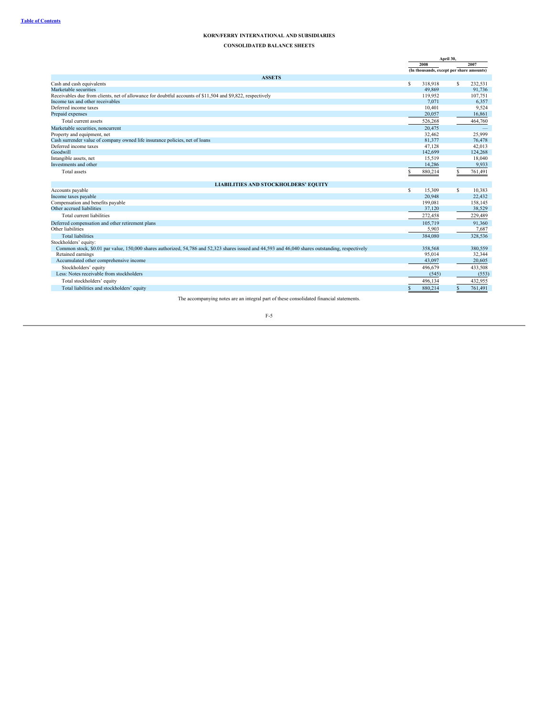<span id="page-45-0"></span>**CONSOLIDATED BALANCE SHEETS**

|                                                                                                                                                   |   | April 30,                                |   |         |
|---------------------------------------------------------------------------------------------------------------------------------------------------|---|------------------------------------------|---|---------|
|                                                                                                                                                   |   | 2008                                     |   | 2007    |
|                                                                                                                                                   |   | (In thousands, except per share amounts) |   |         |
| <b>ASSETS</b>                                                                                                                                     |   |                                          |   |         |
| Cash and cash equivalents                                                                                                                         | S | 318,918                                  | s | 232,531 |
| Marketable securities                                                                                                                             |   | 49,869                                   |   | 91.736  |
| Receivables due from clients, net of allowance for doubtful accounts of \$11,504 and \$9,822, respectively                                        |   | 119,952                                  |   | 107,751 |
| Income tax and other receivables                                                                                                                  |   | 7.071                                    |   | 6.357   |
| Deferred income taxes                                                                                                                             |   | 10,401                                   |   | 9,524   |
| Prepaid expenses                                                                                                                                  |   | 20,057                                   |   | 16,861  |
| Total current assets                                                                                                                              |   | 526,268                                  |   | 464,760 |
| Marketable securities, noncurrent                                                                                                                 |   | 20.475                                   |   |         |
| Property and equipment, net                                                                                                                       |   | 32,462                                   |   | 25.999  |
| Cash surrender value of company owned life insurance policies, net of loans                                                                       |   | 81,377                                   |   | 76,478  |
| Deferred income taxes                                                                                                                             |   | 47,128                                   |   | 42,013  |
| Goodwill                                                                                                                                          |   | 142,699                                  |   | 124,268 |
| Intangible assets, net                                                                                                                            |   | 15,519                                   |   | 18,040  |
| Investments and other                                                                                                                             |   | 14,286                                   |   | 9,933   |
| Total assets                                                                                                                                      | S | 880,214                                  | s | 761,491 |
| <b>LIABILITIES AND STOCKHOLDERS' EQUITY</b>                                                                                                       |   |                                          |   |         |
| Accounts payable                                                                                                                                  | S | 15.309                                   | s | 10,383  |
| Income taxes payable                                                                                                                              |   | 20,948                                   |   | 22,432  |
| Compensation and benefits payable                                                                                                                 |   | 199,081                                  |   | 158,145 |
| Other accrued liabilities                                                                                                                         |   | 37,120                                   |   | 38,529  |
| Total current liabilities                                                                                                                         |   | 272,458                                  |   | 229,489 |
| Deferred compensation and other retirement plans                                                                                                  |   | 105,719                                  |   | 91,360  |
| Other liabilities                                                                                                                                 |   | 5,903                                    |   | 7,687   |
| <b>Total liabilities</b>                                                                                                                          |   | 384,080                                  |   | 328,536 |
| Stockholders' equity:                                                                                                                             |   |                                          |   |         |
| Common stock, \$0.01 par value, 150,000 shares authorized, 54,786 and 52,323 shares issued and 44,593 and 46,040 shares outstanding, respectively |   | 358,568                                  |   | 380,559 |
| Retained earnings                                                                                                                                 |   | 95.014                                   |   | 32.344  |
| Accumulated other comprehensive income                                                                                                            |   | 43,097                                   |   | 20,605  |
| Stockholders' equity                                                                                                                              |   | 496,679                                  |   | 433,508 |
| Less: Notes receivable from stockholders                                                                                                          |   | (545)                                    |   | (553)   |
| Total stockholders' equity                                                                                                                        |   | 496,134                                  |   | 432,955 |
| Total liabilities and stockholders' equity                                                                                                        |   | 880,214                                  | s | 761,491 |
|                                                                                                                                                   |   |                                          |   |         |

The accompanying notes are an integral part of these consolidated financial statements.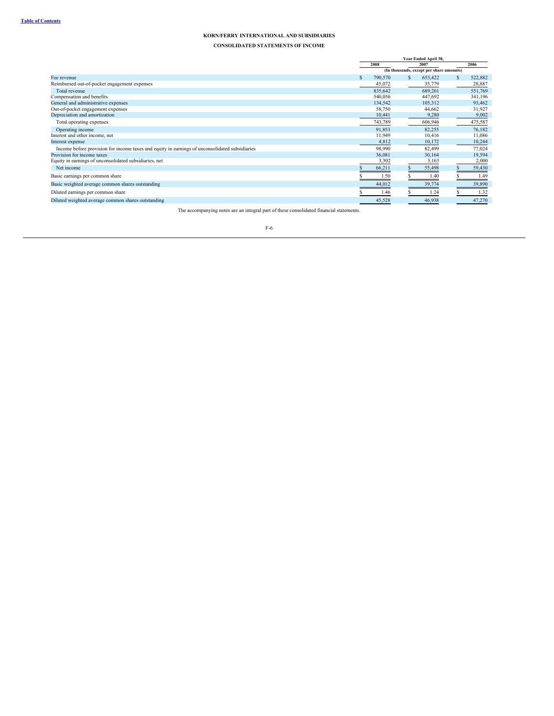**CONSOLIDATED STATEMENTS OF INCOME**

|                                                                                                |              |                                          |    | Year Ended April 30, |      |         |
|------------------------------------------------------------------------------------------------|--------------|------------------------------------------|----|----------------------|------|---------|
|                                                                                                | 2008<br>2007 |                                          |    |                      | 2006 |         |
|                                                                                                |              | (In thousands, except per share amounts) |    |                      |      |         |
| Fee revenue                                                                                    | S.           | 790,570                                  | S. | 653,422              | s    | 522,882 |
| Reimbursed out-of-pocket engagement expenses                                                   |              | 45,072                                   |    | 35,779               |      | 28,887  |
| Total revenue                                                                                  |              | 835,642                                  |    | 689,201              |      | 551,769 |
| Compensation and benefits                                                                      |              | 540,056                                  |    | 447,692              |      | 341,196 |
| General and administrative expenses                                                            |              | 134,542                                  |    | 105,312              |      | 93,462  |
| Out-of-pocket engagement expenses                                                              |              | 58,750                                   |    | 44,662               |      | 31,927  |
| Depreciation and amortization                                                                  |              | 10,441                                   |    | 9,280                |      | 9,002   |
| Total operating expenses                                                                       |              | 743,789                                  |    | 606,946              |      | 475,587 |
| Operating income                                                                               |              | 91,853                                   |    | 82,255               |      | 76,182  |
| Interest and other income, net                                                                 |              | 11,949                                   |    | 10,416               |      | 11,086  |
| Interest expense                                                                               |              | 4,812                                    |    | 10,172               |      | 10,244  |
| Income before provision for income taxes and equity in earnings of unconsolidated subsidiaries |              | 98,990                                   |    | 82,499               |      | 77,024  |
| Provision for income taxes                                                                     |              | 36,081                                   |    | 30,164               |      | 19,594  |
| Equity in earnings of unconsolidated subsidiaries, net                                         |              | 3,302                                    |    | 3,163                |      | 2,000   |
| Net income                                                                                     |              | 66,211                                   |    | 55,498               |      | 59,430  |
| Basic earnings per common share                                                                |              | 1.50                                     |    | 1.40                 |      | 1.49    |
| Basic weighted average common shares outstanding                                               |              | 44,012                                   |    | 39,774               |      | 39,890  |
| Diluted earnings per common share                                                              |              | 1.46                                     |    | 1.24                 |      | 1.32    |
| Diluted weighted average common shares outstanding                                             |              | 45,528                                   |    | 46,938               |      | 47,270  |

The accompanying notes are an integral part of these consolidated financial statements.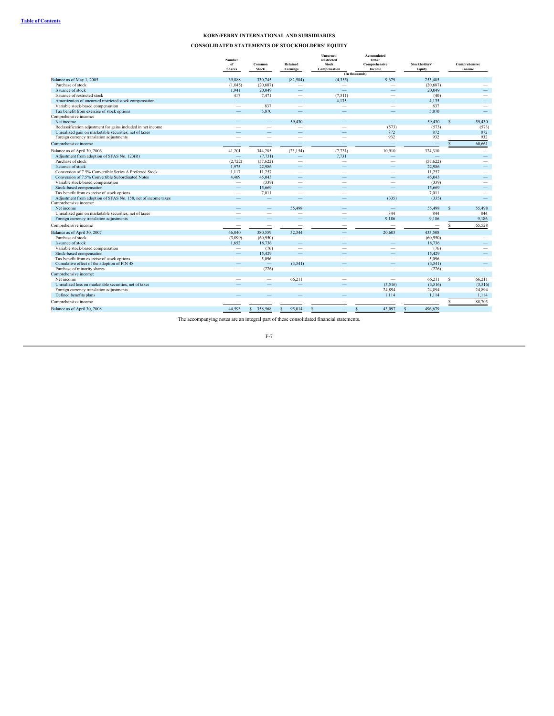## **CONSOLIDATED STATEMENTS OF STOCKHOLDERS' EQUITY**

|                                                               | Number<br>of<br><b>Shares</b> | Common<br><b>Stock</b>          | <b>Retained</b><br>Earnings           | Unearned<br><b>Restricted</b><br><b>Stock</b><br>Compensation | Accumulated<br>Other<br>Comprehensive<br>Income<br>(In thousands) | Stockholders'<br>Equity  | Comprehensive<br>Income  |
|---------------------------------------------------------------|-------------------------------|---------------------------------|---------------------------------------|---------------------------------------------------------------|-------------------------------------------------------------------|--------------------------|--------------------------|
|                                                               |                               |                                 |                                       |                                                               |                                                                   |                          |                          |
| Balance as of May 1, 2005<br>Purchase of stock                | 39,888<br>(1,045)             | 330,745<br>(20, 687)            | (82, 584)<br>$\overline{\phantom{a}}$ | (4,355)                                                       | 9,679                                                             | 253,485<br>(20, 687)     |                          |
| Issuance of stock                                             | 1,941                         | 20,049                          | $\sim$                                |                                                               |                                                                   | 20,049                   |                          |
| Issuance of restricted stock                                  | 417                           | 7,471                           | $\overline{\phantom{a}}$              | (7, 511)                                                      |                                                                   | (40)                     |                          |
| Amortization of unearned restricted stock compensation        | $\overline{\phantom{a}}$      | $\sim$                          |                                       | 4,135                                                         |                                                                   | 4,135                    |                          |
| Variable stock-based compensation                             | $\overline{\phantom{a}}$      | 837                             | $\overline{\phantom{a}}$              | $\overline{\phantom{a}}$                                      | -                                                                 | 837                      | $\overline{\phantom{a}}$ |
| Tax benefit from exercise of stock options                    |                               | 5,870                           |                                       |                                                               |                                                                   | 5,870                    | $\overline{\phantom{a}}$ |
| Comprehensive income:                                         |                               |                                 |                                       |                                                               |                                                                   |                          |                          |
| Net income                                                    |                               |                                 | 59.430                                |                                                               |                                                                   | 59.430                   | S<br>59,430              |
| Reclassification adjustment for gains included in net income  |                               | $\overline{\phantom{a}}$        | $\overline{\phantom{a}}$              |                                                               | (573)                                                             | (573)                    | (573)                    |
| Unrealized gain on marketable securities, net of taxes        |                               |                                 |                                       |                                                               | 872                                                               | 872                      | 872                      |
| Foreign currency translation adjustments                      |                               |                                 |                                       |                                                               | 932                                                               | 932                      | 932                      |
| Comprehensive income                                          |                               | $\sim$                          | $\overline{\phantom{a}}$              | $\overline{\phantom{a}}$                                      | $\overline{\phantom{a}}$                                          | $\overline{\phantom{a}}$ | 60,661<br>S              |
| Balance as of April 30, 2006                                  | 41,201                        | 344,285                         | (23, 154)                             | (7, 731)                                                      | 10,910                                                            | 324,310                  | $\overline{\phantom{a}}$ |
| Adjustment from adoption of SFAS No. 123(R)                   |                               | (7, 731)                        | $\overline{\phantom{a}}$              | 7,731                                                         |                                                                   |                          |                          |
| Purchase of stock                                             | (2, 722)                      | (57, 622)                       | $\overline{\phantom{a}}$              | $\equiv$                                                      | -                                                                 | (57, 622)                | $\overline{\phantom{a}}$ |
| Issuance of stock                                             | 1,975                         | 22,986                          | $\sim$                                |                                                               | -                                                                 | 22,986                   |                          |
| Conversion of 7.5% Convertible Series A Preferred Stock       | 1.117                         | 11.257                          | $\overline{\phantom{a}}$              | -                                                             | -                                                                 | 11.257                   |                          |
| Conversion of 7.5% Convertible Subordinated Notes             | 4,469                         | 45,043                          |                                       |                                                               |                                                                   | 45,043                   |                          |
| Variable stock-based compensation                             |                               | (339)                           | $\overline{\phantom{a}}$              |                                                               |                                                                   | (339)                    |                          |
| Stock-based compensation                                      |                               | 15,669                          |                                       |                                                               |                                                                   | 15,669                   |                          |
| Tax benefit from exercise of stock options                    |                               | 7,011                           | $\overline{\phantom{a}}$              |                                                               | -                                                                 | 7,011                    | $\overline{\phantom{a}}$ |
| Adjustment from adoption of SFAS No. 158, net of income taxes |                               |                                 |                                       |                                                               | (335)                                                             | (335)                    |                          |
| Comprehensive income:                                         |                               |                                 |                                       |                                                               |                                                                   |                          |                          |
| Net income                                                    |                               | $\qquad \qquad =$               | 55,498                                |                                                               |                                                                   | 55,498                   | S.<br>55,498             |
| Unrealized gain on marketable securities, net of taxes        |                               | $\overline{\phantom{a}}$        | -                                     |                                                               | 844                                                               | 844                      | 844                      |
| Foreign currency translation adjustments                      |                               |                                 |                                       |                                                               | 9.186                                                             | 9,186                    | 9.186                    |
| Comprehensive income                                          |                               |                                 |                                       |                                                               |                                                                   |                          | 65,528<br>S              |
| Balance as of April 30, 2007                                  | 46,040                        | 380,559                         | 32,344                                |                                                               | 20,605                                                            | 433,508                  |                          |
| Purchase of stock                                             | (3,099)                       | (60.950)                        | $\overline{\phantom{a}}$              | $\equiv$                                                      | -                                                                 | (60, 950)                |                          |
| Issuance of stock                                             | 1.652                         | 18,736                          | $\overline{\phantom{a}}$              | $\overline{\phantom{a}}$                                      | -                                                                 | 18,736                   |                          |
| Variable stock-based compensation                             | $\overline{\phantom{a}}$      | (76)                            | $\overline{\phantom{a}}$              | -                                                             | -                                                                 | (76)                     | $\overline{\phantom{a}}$ |
| Stock-based compensation                                      | $\overline{\phantom{a}}$      | 15,429                          | $\overline{\phantom{a}}$              |                                                               |                                                                   | 15,429                   |                          |
| Tax benefit from exercise of stock options                    | $\overline{\phantom{a}}$      | 5,096                           | $\overline{\phantom{m}}$              | $\overline{\phantom{a}}$                                      | $\overline{\phantom{0}}$                                          | 5,096                    |                          |
| Cumulative effect of the adoption of FIN 48                   |                               | $\hspace{0.1mm}-\hspace{0.1mm}$ | (3, 541)                              |                                                               |                                                                   | (3,541)                  |                          |
| Purchase of minority shares                                   | $\overline{\phantom{a}}$      | (226)                           | $\overline{\phantom{a}}$              | -                                                             |                                                                   | (226)                    | $\overline{\phantom{a}}$ |
| Comprehensive income:                                         |                               |                                 |                                       |                                                               |                                                                   |                          |                          |
| Net income                                                    |                               | $\overline{\phantom{a}}$        | 66,211                                |                                                               | -                                                                 | 66,211                   | s<br>66,211              |
| Unrealized loss on marketable securities, net of taxes        |                               |                                 | $\sim$                                |                                                               | (3,516)                                                           | (3,516)                  | (3,516)                  |
| Foreign currency translation adjustments                      |                               | $\overline{\phantom{a}}$        | $\overline{\phantom{a}}$              |                                                               | 24.894                                                            | 24.894                   | 24.894                   |
| Defined benefits plans                                        |                               |                                 |                                       |                                                               | 1,114                                                             | 1,114                    | 1,114                    |
| Comprehensive income                                          |                               |                                 |                                       |                                                               |                                                                   |                          | 88,703<br>s              |
| Balance as of April 30, 2008                                  | 44.593                        | 358,568<br><sup>\$</sup>        | 95.014<br>$\hat{\mathbf{x}}$          | $\mathbf{s}$                                                  | $\mathbf S$<br>43.097                                             | S<br>496,679             |                          |

The accompanying notes are an integral part of these consolidated financial statements.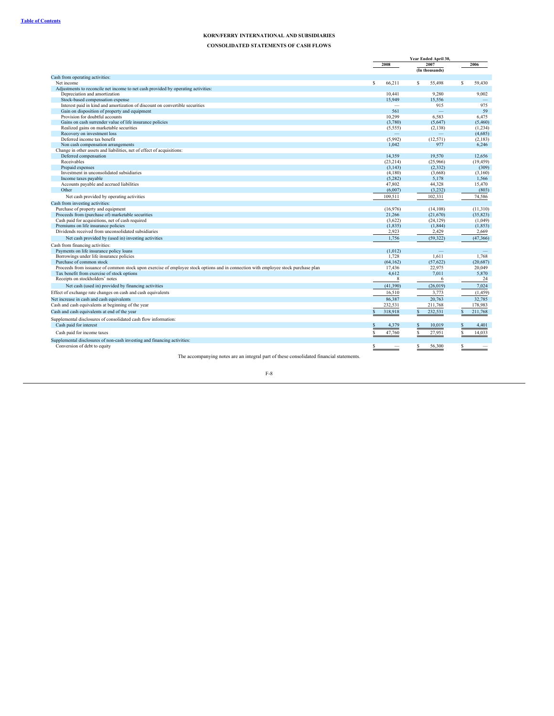## **KORN/FERRY INTERNATIONAL AND SUBSIDIARIES CONSOLIDATED STATEMENTS OF CASH FLOWS**

**Year Ended April 30, 2008 2007 2006 (In thousands)** Cash from operating activities: Same Secure 2016 and the secure of the secure of the secure of the secure of the secure of the secure of the secure of the secure of the secure of the secure of the secure of the secure of t Depreciation and amortization 10,441 9,280 9,002<br>Stock-based compensation expense 15,956 15,949 15,556 15,949 15,949 15,949 15,956 15,949 15,556 15,956 15,956<br>Interest paid in kind and amortization of discount on convertib Gain on disposition of property and equipment<br>
Gain on disposition for doubtful accounts and the surrender of the surrender of the surrender of the surrender<br>
Gains on cash surrender value of life insurance policies (3,460 Realized gains on marketable securities (5,555) (2,138) (1,234) (1,234) (1,234) (1,234) (1,234) (1,234) (1,234) (1,234) (1,234) (1,234) (1,234) (1,234) (1,234) (1,234) (1,234) (1,234) (1,234) (1,234) (1,234) (1,234) (1,234 Recovery on investment loss — — (4,685)<br>
Recovery on investment loss — (4,685)<br>
Deferred income tax benefit – (4,685)<br>
Non cash compensation arrangements (5,992) (12,571)<br>
Non cash compensation arrangements (5,992) Deferred income tax benefit (5,992) (12,571) (2,183)<br>Non cash compensation arrangements (5,992) (12,571) (2,183) Non cash compensation arrangements 1,042 977 6,246<br>
Change in other assets and liabilities, net of effect of acquisitions: Deferred compensation 14,359 19,570 12,656 Receivables (23,214) (25,966) (19,459) Prepaid expenses  $(3,143)$   $(2,332)$   $(309)$ Investment in unconsolidated subsidiaries (4,180) (3,160) (3,160) (3,160)<br>Income taxes payable (5,282) 44,328 1,566 Accounts payable and accrued liabilities (5,282) 44,328 1,5470 1,5470<br>Accounts payable and accrued liabili Other (6,007) (3,232) (803) Net cash provided by operating activities  $109,511$  102,331 74,586 Cash from investing activities: Purchase of property and equipment<br>Proceeds from (purchase of) marketable securities 21,266 (14,108) (11,310)<br>Cash paid for acquisitions, net of cash required (3,622) (24,129) (1,049) Premiums on life insurance policies (1,853) (1,844) (1,853) (1,844) (1,853) (1,844) (1,853) (1,853) (1,8653) (1,8653) (1,8653) (1,8653) (1,8653) (1,8653) (1,853) (1,8653) (1,853) (1,853) (1,853) (1,853) (1,853) (1,853) (1, Net cash provided by (used in) investing activities (47,366) (59,322) (47,366) Cash from financing activities:<br>Payments on life insurance policy loans Payments on life insurance policy loans<br>
1.728<br>
Purochase of common stock upon exercise of employee stock options and in connection with employee stock purchase plan<br>
Proceeds from issuance of common stock upon exercise of Tax benefit from exercise of stock options 5,870<br>Receipts on stockholders' notes 8 6 24<br>Receipts on stockholders' notes 8 6 24 Net cash (used in) provided by financing activities (41,390) (26,019) 7,024 Effect of exchange rate changes on cash and cash equivalents (1,459) (1,459) (1,459) Net increase in cash and cash equivalents the vear the vear the cash of the vear the cash and cash equivalents at hegining of the vear the cash and cash equivalents at hegining of the vear the cash and cash equivalents at Cash and cash equivalents at beginning of the year Cash and cash equivalents at end of the year  $\frac{8}{3}$   $\frac{318,918}{3}$   $\frac{8}{3}$   $\frac{232,531}{3}$   $\frac{8}{3}$   $\frac{211,768}{3}$ Supplemental disclosures of consolidated cash flow information:<br>
Cash paid for interest \$ 4,401 \$ 4,401 Cash paid for income taxes  $\begin{array}{cccc} \text{S} & 47,760 & \text{S} & 27,951 & \text{S} & 14,033 \end{array}$ Supplemental disclosures of non-cash investing and financing activities:<br>
Conversion of debt to equity  $\begin{array}{ccc} \text{S} & - & \text{S} & 56,300 & \text{S} & - \end{array}$ 

The accompanying notes are an integral part of these consolidated financial statements.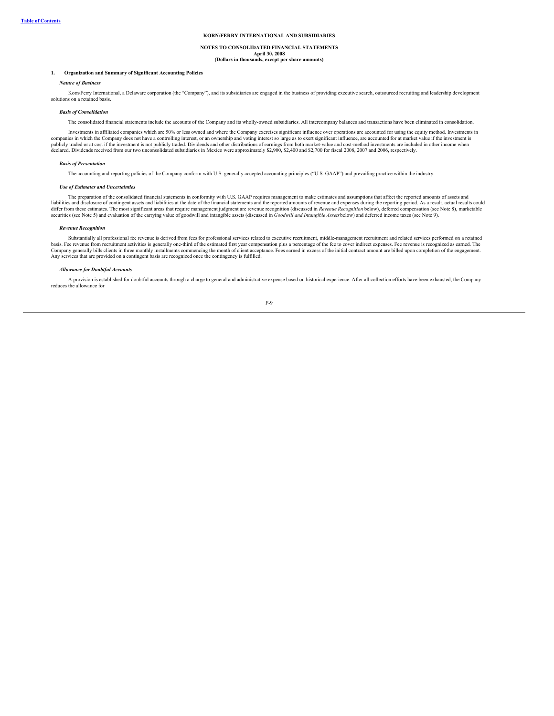#### <span id="page-49-0"></span>**NOTES TO CONSOLIDATED FINANCIAL STATEMENTS**

**April 30, 2008 (Dollars in thousands, except per share amounts)**

#### **1. Organization and Summary of Significant Accounting Policies**

## *Nature of Business*

Korn/Ferry International, a Delaware corporation (the "Company"), and its subsidiaries are engaged in the business of providing executive search, outsourced recruiting and leadership development solutions on a retained basis.

#### *Basis of Consolidation*

The consolidated financial statements include the accounts of the Company and its wholly-owned subsidiaries. All intercompany balances and transactions have been eliminated in consolidation.

Investments in affiliated companies which are 50% or less owned and where the Company exercises significant influence over operations are accounted for using the equity method. Investments in companies in which the Company does not have a controlling interest, or an ownership and voting interest so large as to exert significant influence, are accounted for at market value if the investment is publicly traded or at cost if the investment is not publicly traded. Dividends and other distributions of earnings from both market-value and cost-method investments are included in other income when<br>declared. Dividends re

#### *Basis of Presentation*

The accounting and reporting policies of the Company conform with U.S. generally accepted accounting principles ("U.S. GAAP") and prevailing practice within the industry.

#### *Use of Estimates and Uncertainties*

The preparation of the consolidated financial statements in conformity with U.S. GAAP requires management to make estimates and assumptions that affect the reported amounts of assets and lines and disclosure of contingent assets and liabilities at the date of the financial statements and the reported amounts of revenue and expenses during the reporting period. As a result, actual results could inclusion of differ from these estimates. The most significant areas that require management judgment are revenue recognition (discussed in *Revenue Recognition* below), deferred compensation (see Note 8), marketable securities (see No

#### *Revenue Recognition*

Substantially all professional fee revenue is derived from fees for professional services related to executive recruitment, middle-management recruitment and related services performed on a retained basis. Fee revenue from recruitment activities is generally one-third of the estimated first year compensation plus a percentage of the fee to cover indirect expenses. Fee revenue is recognized as earned. The<br>Company gener Any services that are provided on a contingent basis are recognized once the contingency is fulfilled.

### *Allowance for Doubtful Accounts*

A provision is established for doubtful accounts through a charge to general and administrative expense based on historical experience. After all collection efforts have been exhausted, the Company reduces the allowance for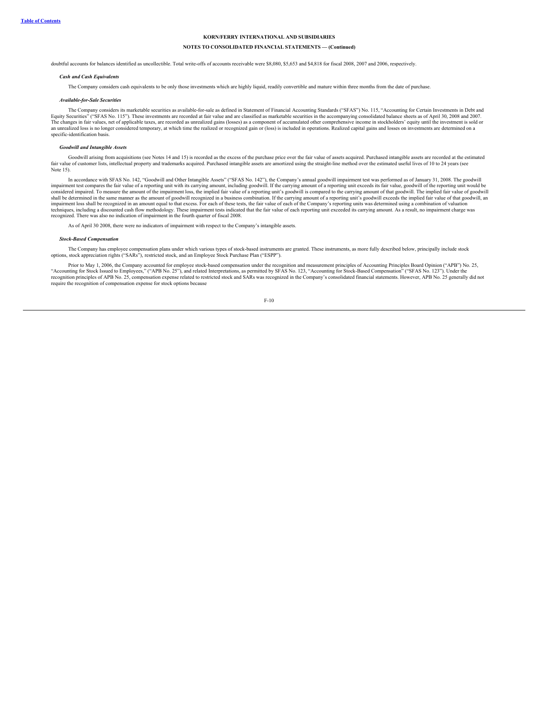#### **NOTES TO CONSOLIDATED FINANCIAL STATEMENTS — (Continued)**

doubtful accounts for balances identified as uncollectible. Total write-offs of accounts receivable were \$8,080, \$5,653 and \$4,818 for fiscal 2008, 2007 and 2006, respectively.

#### *Cash and Cash Equivalents*

The Company considers cash equivalents to be only those investments which are highly liquid, readily convertible and mature within three months from the date of purchase.

#### *Available-for-Sale Securities*

The Company considers its marketable securities as available-for-sale as defined in Statement of Financial Accounting Standards ("SFAS") No. 115, "Accounting for Certain Investments in Debt and Equity Securities" ("SFAS No. 115"). These investments are recorded at fair value and are classified as marketable securities in the accompanying consolidated balance sheets as of April 30, 2008 and 2007. The changes in fair values, net of applicable taxes, are recorded as unrealized gains (losses) as a component of accumulated other comprehensive income in stockholders' equity until the investment is sold or an unrealized loss is no longer considered temporary, at which time the realized or recognized gain or (loss) is included in operations. Realized capital gains and losses on investments are determined on a specific-identification basis.

## *Goodwill and Intangible Assets*

Goodwill arising from acquisitions (see Notes 14 and 15) is recorded as the excess of the purchase price over the fair value of assets acquired. Purchased intangible assets are recorded at the estimated fair value of customer lists, intellectual property and trademarks acquired. Purchased intangible assets are amortized using the straight-line method over the estimated useful lives of 10 to 24 years (see Note 15).

In accordance with SFAS No. 142, "Goodwill and Other Intangible Assets" ("SFAS No. 142"), the Company's annual goodwill impairment test was performed as of January 31, 2008. The goodwill impairment test compares the fair value of a reporting unit with its carrying amount, including goodwill. If the carrying amount of a reporting unit exceeds its fair value, goodwill of the reporting unit would be<br>considere shall be determined in the same manner as the amount of goodwill recognized in a business combination. If the carrying amount of a reporting unit's goodwill exceeds the implied fair value of that goodwill, an<br>impairment lo techniques, including a discounted cash flow methodology. These impairment tests indicated that the fair value of each reporting unit exceeded its carrying amount. As a result, no impairment charge was recognized. There was also no indication of impairment in the fourth quarter of fiscal 2008.

As of April 30 2008, there were no indicators of impairment with respect to the Company's intangible assets.

## *Stock-Based Compensation*

The Company has employee compensation plans under which various types of stock-based instruments are granted. These instruments, as more fully described below, principally include stock options, stock appreciation rights ("SARs"), restricted stock, and an Employee Stock Purchase Plan ("ESPP").

Prior to May 1, 2006, the Company accounted for employee stock-based compensation under the recognition and measurement principles of Accounting Principles Board Opinion ("APB") No. 25, "Accounting for Stock Issued to Employees," ("APB No. 25"), and related Interpretations, as permitted by SFAS No. 123, "Accounting for Stock-Based Compensation" ("SFAS No. 123"). Under the<br>recognition principles of APB No. require the recognition of compensation expense for stock options because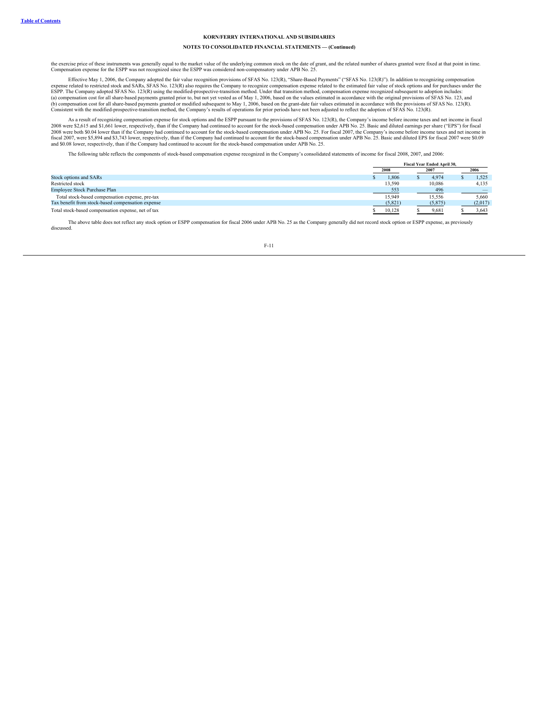#### **NOTES TO CONSOLIDATED FINANCIAL STATEMENTS — (Continued)**

the exercise price of these instruments was generally equal to the market value of the underlying common stock on the date of grant, and the related number of shares granted were fixed at that point in time.<br>Compensation e

Effective May 1, 2006, the Company adopted the fair value recognition provisions of SFAS No. 123(R), "Share-Based Payments" ("SFAS No. 123(R),"). In addition to recognizing compensation expense related to the estimated fai ESPP. The Company adopted SFAS No. 123(R) using the modified-prospective-transition method. Under that transition method, compensation expense recognized subsequent to adoption includes:<br>(a) compensation cost for all share (b) compensation cost for all share-based payments granted or modified subsequent to May 1, 2006, based on the grant-date fair values estimated in accordance with the provisions of SFAS No. 123(R).<br>Consistent with the modi

As a result of recognizing compensation expense for stock options and the ESPP pursuant to the provisions of SFAS No. 123(R), the Company's income before income taxes and net income in fiscal 2008 were \$2,615 and \$1,661 lower, respectively, than if the Company had continued to account for the stock-based compensation under APB No. 25. Basic and diluted earnings per share ("EPS") for fiscal<br>2008 were both \$0.04 fiscal 2007, were \$5,894 and \$3,743 lower, respectively, than if the Company had continued to account for the stock-based compensation under APB No. 25. Basic and diluted EPS for fiscal 2007 were \$0.09<br>and \$0.08 lower, res

The following table reflects the components of stock-based compensation expense recognized in the Company's consolidated statements of income for fiscal 2008, 2007, and 2006:

|                                                    | <b>Fiscal Year Ended April 30.</b> |  |         |  |         |
|----------------------------------------------------|------------------------------------|--|---------|--|---------|
|                                                    | 2008                               |  | 2007    |  | 2006    |
| Stock options and SARs                             | 1,806                              |  | 4.974   |  | 1,525   |
| Restricted stock                                   | 13.590                             |  | 10,086  |  | 4.135   |
| Employee Stock Purchase Plan                       | 553                                |  | 496     |  |         |
| Total stock-based compensation expense, pre-tax    | 15.949                             |  | 15.556  |  | 5.660   |
| Tax benefit from stock-based compensation expense  | (5,821)                            |  | (5,875) |  | (2,017) |
| Total stock-based compensation expense, net of tax | 10,128                             |  | 9,681   |  | 3,643   |

The above table does not reflect any stock option or ESPP compensation for fiscal 2006 under APB No. 25 as the Company generally did not record stock option or ESPP expense, as previously discussed.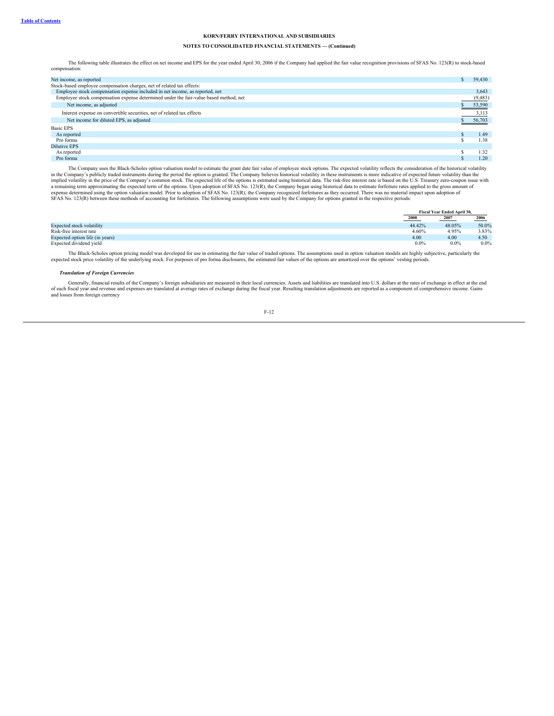## **NOTES TO CONSOLIDATED FINANCIAL STATEMENTS — (Continued)**

The following table illustrates the effect on net income and EPS for the year ended April 30, 2006 if the Company had applied the fair value recognition provisions of SFAS No. 123(R) to stock-based compensation:

| Net income, as reported                                                               | 59,430  |
|---------------------------------------------------------------------------------------|---------|
| Stock-based employee compensation charges, net of related tax effects:                |         |
| Employee stock compensation expense included in net income, as reported, net          | 3,643   |
| Employee stock compensation expense determined under the fair-value based method, net | (9,483) |
| Net income, as adjusted                                                               | 53,590  |
| Interest expense on convertible securities, net of related tax effects                | 3,113   |
| Net income for diluted EPS, as adjusted                                               | 56,703  |
| <b>Basic EPS</b>                                                                      |         |
| As reported                                                                           | 1.49    |
| Pro forma                                                                             | 1.38    |
| <b>Dilutive EPS</b>                                                                   |         |
| As reported                                                                           | 1.32    |
| Pro forma                                                                             | 1.20    |

The Company uses the Black-Scholes option valuation model to estimate the grant date fair value of employee stock options. The expected volatility reflects the consideration of the historical volatility in the Company's pu expense determined using the option valuation model. Prior to adoption of SFAS No. 123(R), the Company recognized forfeitures as they occurred. There was no material impact upon adoption of<br>SFAS No. 123(R) between these me

|                                  |         | Fiscal Year Ended April 30. |         |  |  |
|----------------------------------|---------|-----------------------------|---------|--|--|
|                                  | 2008    | 2007<br>______              | 2006    |  |  |
| <b>Expected stock volatility</b> | 44.42%  | 48.05%                      | 50.0%   |  |  |
| Risk-free interest rate          | 4.60%   | 4.95%                       | 3.83%   |  |  |
| Expected option life (in years)  | 4.00    | 4.00                        | 4.50    |  |  |
| Expected dividend yield          | $0.0\%$ | $0.0\%$                     | $0.0\%$ |  |  |

The Black-Scholes option pricing model was developed for use in estimating the fair value of traded options. The assumptions used in option valuation models are highly subjective, particularly the expected stock price vola

#### *Translation of Foreign Currencies*

Generally, financial results of the Company's foreign subsidiaries are measured in their local currencies. Assets and liabilities are translated into U.S. dollars at the rates of exchange in effect at the end<br>of each fisca and losses from foreign currency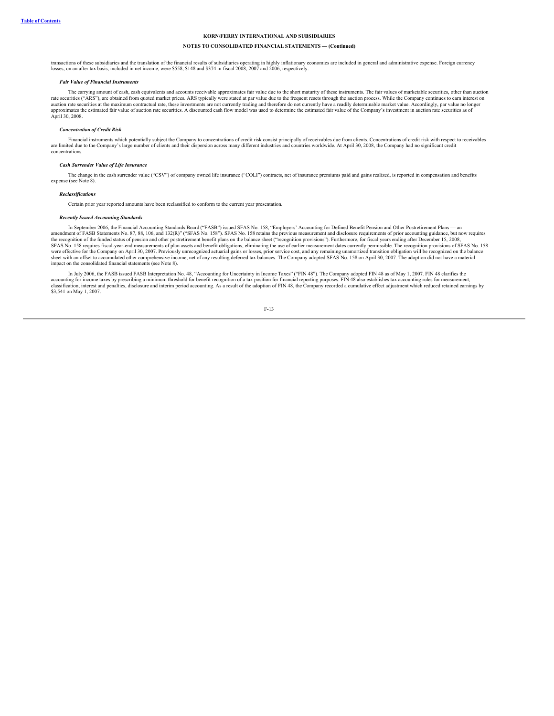## **NOTES TO CONSOLIDATED FINANCIAL STATEMENTS — (Continued)**

transactions of these subsidiaries and the translation of the financial results of subsidiaries operating in highly inflationary economies are included in general and administrative expense. Foreign currency losses, on an after tax basis, included in net income, were \$558, \$148 and \$374 in fiscal 2008, 2007 and 2006, respectively.

#### *Fair Value of Financial Instruments*

The carrying amount of cash, cash equivalents and accounts receivable approximates fair value due to the short maturity of these instruments. The fair values of marketable securities, other than auction auction rate securi auction rate securities at the maximum contractual rate, these investments are not currently trading and therefore do not currently have a readily determinable market value. Accordingly, par value no longer<br>approximates th April 30, 2008.

#### *Concentration of Credit Risk*

Financial instruments which potentially subject the Company to concentrations of credit risk consist principally of receivables due from clients. Concentrations of credit risk with respect to receivables are limited due to the Company's large number of clients and their dispersion across many different industries and countries worldwide. At April 30, 2008, the Company had no significant credit are the Company's large numbe concentrations.

### *Cash Surrender Value of Life Insurance*

The change in the cash surrender value ("CSV") of company owned life insurance ("COLI") contracts, net of insurance premiums paid and gains realized, is reported in compensation and benefits expense (see Note 8).

#### *Reclassifications*

Certain prior year reported amounts have been reclassified to conform to the current year presentation.

### *Recently Issued Accounting Standards*

In September 2006, the Financial Accounting Standards Board ("FASB") issued SFAS No. 158, "Employers' Accounting for Defined Benefit Pension and Other Postretirement Plans — an amendment of FASB Statements No. 87, 88, 106, and 132(R)" ("SFAS No. 158"). SFAS No. 158 retains the previous measurement and disclosure requirements of prior accounting guidance, but now requires the recognition of the funded status of pension and other postretirement benefit plans on the balance sheet ("recognition provisions"). Furthermore, for fiscal years ending after December 15, 2008,<br>SFAS No. 158 requires fi were effective for the Company on April 30, 2007. Previously unrecognized actuarial gains or losses, prior service cost, and any remaining unamortized transition obligation will be recognized on the balance balance of the sheet with an offset to accumulated other comprehensive incompact on the consolidated financial statements (see Note 8).

In July 2006, the FASB issued FASB Interpretation No. 48, "Accounting for Uncertainty in Income Taxes" ("FIN 48"). The Company adopted FIN 48 as of May 1, 2007. FIN 48 clarifies the<br>,accounting for income taxes by prescrib classification, interest and penalties, disclosure and interim period accounting. As a result of the adoption of FIN 48, the Company recorded a cumulative effect adjustment which reduced retained earnings by \$3,541 on May 1, 2007.

$$
F-13
$$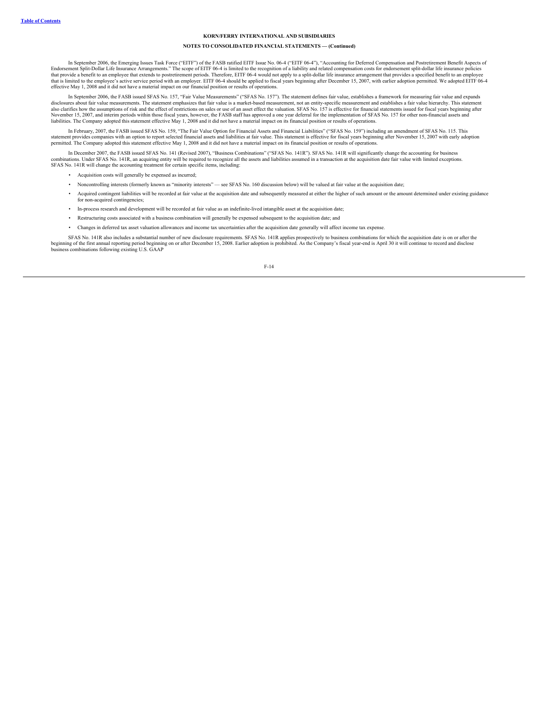#### **NOTES TO CONSOLIDATED FINANCIAL STATEMENTS — (Continued)**

In September 2006, the Emerging Issues Task Force ("EITF") of the FASB ratified EITF Issue No. 06-4 ("EITF 06-4"), "Accounting for Deferred Compensation and Postretirement Benefit Aspects of Endorsement Split-Dollar Life Insurance Arrangements." The scope of EITF 06-4 is limited to the recognition of a liability and related compensation costs for endorsement split-dollar life insurance policies that provide a benefit to an employee that extends to postretirement periods. Therefore, EITF 06-4 would not apply to a split-dollar life insurance arrangement that provides a specified benefit to an employee<br>that is limit effective May 1, 2008 and it did not have a material impact on our financial position or results of operations.

In September 2006, the FASB issued SFAS No. 157, "Fair Value Measurements" ("SFAS No. 157"). The statement defines fair value, establishes a framework for measuring fair value and expands disclosures about fair value measurements. The statement emphasizes that fair value is a market-based measurement, not an entity-specific measurement and establishes a fair value hierarchy. This statement<br>also clarifies ho November 15, 2007, and interim periods within those fiscal years, however, the FASB staff has approved a one year deferral for the implementation of SFAS No. 157 for other non-financial assets and No. 197 for other non-fin liabilities. The Company adopted this statement effective May 1, 2008 and it did not have a material impact on its financial position or results of operations.

In February, 2007, the FASB issued SFAS No. 159, "The Fair Value Option for Financial Assets and Financial Liabilities" ("SFAS No. 159") including an amendment of SFAS No. 115. This statement provides companies with an option to report selected financial assets and liabilities at fair value. This statement is effective for fiscal years beginning after November 15, 2007 with early adoption permitted. The Company adopted this statement effective May 1, 2008 and it did not have a material impact on its financial position or results of operations.

In December 2007, the FASB issued SFAS No. 141 (Revised 2007), "Business Combinations" ("SFAS No. 141R"). SFAS No. 141R will significantly change the accounting for business<br>combinations: Under SFAS No. 141R will significa

- Acquisition costs will generally be expensed as incurred;
- Noncontrolling interests (formerly known as "minority interests" see SFAS No. 160 discussion below) will be valued at fair value at the acquisition date;
- Acquired contingent liabilities will be recorded at fair value at the acquisition date and subsequently measured at either the higher of such amount or the amount determined under existing guidance for non-acquired contingencies;
- In-process research and development will be recorded at fair value as an indefinite-lived intangible asset at the acquisition date;
- Restructuring costs associated with a business combination will generally be expensed subsequent to the acquisition date; and
- Changes in deferred tax asset valuation allowances and income tax uncertainties after the acquisition date generally will affect income tax expense.

SFAS No. 141R also includes a substantial number of new disclosure requirements. SFAS No. 141R applies prospectively to business combinations for which the acquisition date is on or after the the Schola and disclose beginn business combinations following existing U.S. GAAP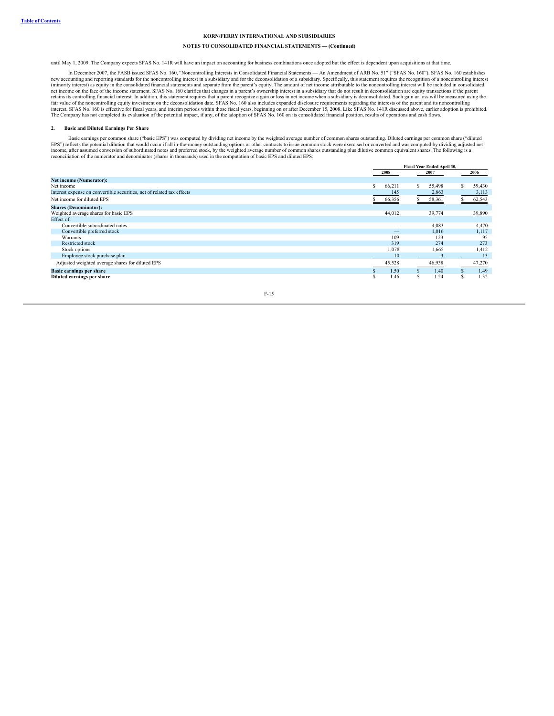## **NOTES TO CONSOLIDATED FINANCIAL STATEMENTS — (Continued)**

until May 1, 2009. The Company expects SFAS No. 141R will have an impact on accounting for business combinations once adopted but the effect is dependent upon acquisitions at that time.

In December 2007, the FASB issued SFAS No. 160, "Noncontrolling Interests in Consolidated Financial Statements — An Amendment of ARB No. 51" ("SFAS No. 160"). SFAS No. 160 establishes<br>new accounting and reporting standards (minority interest) as equity in the consolidated financial statements and separate from the parent's equity. The amount of net income attributable to the noncontrolling interest will be included in consolidated<br>net income retains its controlling financial interest. In addition, this statement requires that a parent recognize a gain or loss in net income when a subsidiary is deconsolidated. Such gain or loss will be measured using the fair v

## **2. Basic and Diluted Earnings Per Share**

Basic earnings per common share ("basic EPS") was computed by dividing net income by the weighted average number of common shares outstanding. Diluted earnings per common share ("diluted EPS") reflects the potential dilution that would occur if all in-the-money outstanding options or other contracts to issue common stock were exercised or converted and was computed by dividing adjusted net<br>income, after as reconciliation of the numerator and denominator (shares in thousands) used in the computation of basic EPS and diluted EPS:

|                                                                        |   | Fiscal Year Ended April 30, |   |        |    |        |
|------------------------------------------------------------------------|---|-----------------------------|---|--------|----|--------|
|                                                                        |   | 2008                        |   | 2007   |    | 2006   |
| <b>Net income (Numerator):</b>                                         |   |                             |   |        |    |        |
| Net income                                                             | s | 66,211                      | s | 55,498 |    | 59,430 |
| Interest expense on convertible securities, net of related tax effects |   | 145                         |   | 2,863  |    | 3,113  |
| Net income for diluted EPS                                             |   | 66,356                      |   | 58,361 |    | 62,543 |
| <b>Shares (Denominator):</b>                                           |   |                             |   |        |    |        |
| Weighted average shares for basic EPS                                  |   | 44,012                      |   | 39,774 |    | 39,890 |
| Effect of:                                                             |   |                             |   |        |    |        |
| Convertible subordinated notes                                         |   |                             |   | 4,083  |    | 4,470  |
| Convertible preferred stock                                            |   | $\overline{\phantom{a}}$    |   | 1,016  |    | 1,117  |
| Warrants                                                               |   | 109                         |   | 123    |    | 95     |
| Restricted stock                                                       |   | 319                         |   | 274    |    | 273    |
| Stock options                                                          |   | 1,078                       |   | 1,665  |    | 1,412  |
| Employee stock purchase plan                                           |   | 10                          |   |        |    | 13     |
| Adjusted weighted average shares for diluted EPS                       |   | 45,528                      |   | 46,938 |    | 47,270 |
| <b>Basic earnings per share</b>                                        |   | 1.50                        |   | 1.40   |    | 1.49   |
| Diluted earnings per share                                             |   | 1.46                        | Ś | 1.24   | \$ | 1.32   |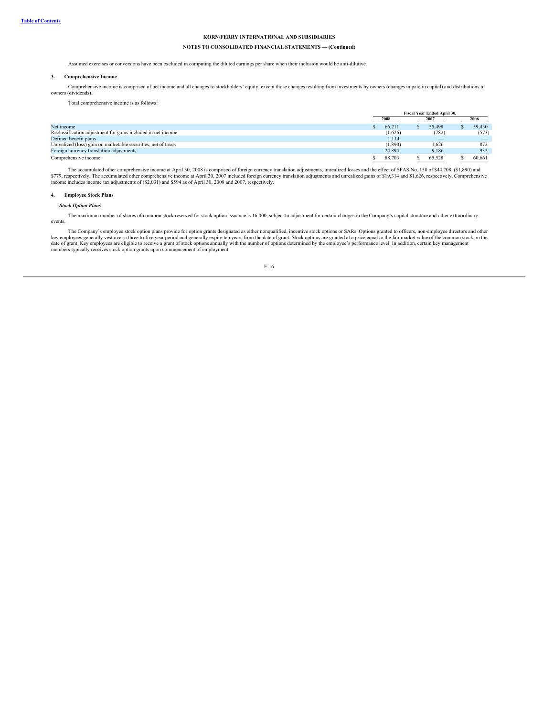### **NOTES TO CONSOLIDATED FINANCIAL STATEMENTS — (Continued)**

Assumed exercises or conversions have been excluded in computing the diluted earnings per share when their inclusion would be anti-dilutive.

#### **3. Comprehensive Income**

Comprehensive income is comprised of net income and all changes to stockholders' equity, except those changes resulting from investments by owners (changes in paid in capital) and distributions to owners (dividends).

Total comprehensive income is as follows:

|                                                               |  | <b>Fiscal Year Ended April 30.</b> |  |        |  |        |  |  |
|---------------------------------------------------------------|--|------------------------------------|--|--------|--|--------|--|--|
|                                                               |  | 2008                               |  | 2007   |  | 2006   |  |  |
| Net income                                                    |  | 66.211                             |  | 55,498 |  | 59,430 |  |  |
| Reclassification adjustment for gains included in net income  |  | (1,626)                            |  | (782)  |  | (573)  |  |  |
| Defined benefit plans                                         |  | 1,114                              |  |        |  |        |  |  |
| Unrealized (loss) gain on marketable securities, net of taxes |  | (1,890)                            |  | 1.626  |  | 872    |  |  |
| Foreign currency translation adjustments                      |  | 24,894                             |  | 9,186  |  | 932    |  |  |
| Comprehensive income                                          |  | 88,703                             |  | 65.528 |  | 60,661 |  |  |

The accumulated other comprehensive income at April 30, 2008 is comprised of foreign currency translation adjustments, unrealized losses and the effect of SFAS No. 158 of \$44,208, (\$1,890) and<br>\$779, respectively. The accum

### **4. Employee Stock Plans**

### *Stock Option Plans*

The maximum number of shares of common stock reserved for stock option issuance is 16,000, subject to adjustment for certain changes in the Company's capital structure and other extraordinary events.

The Company's employee stock option plans provide for option grants designated as either nonqualified, incentive stock options or SARs. Options granted to officers, non-employee directors and other key employees generally vest over a three to five year period and generally expire ten years from the date of grant. Stock options are granted at a price equal to the fair market value of the common stock on the<br>date of gr members typically receives stock option grants upon commencement of employment.

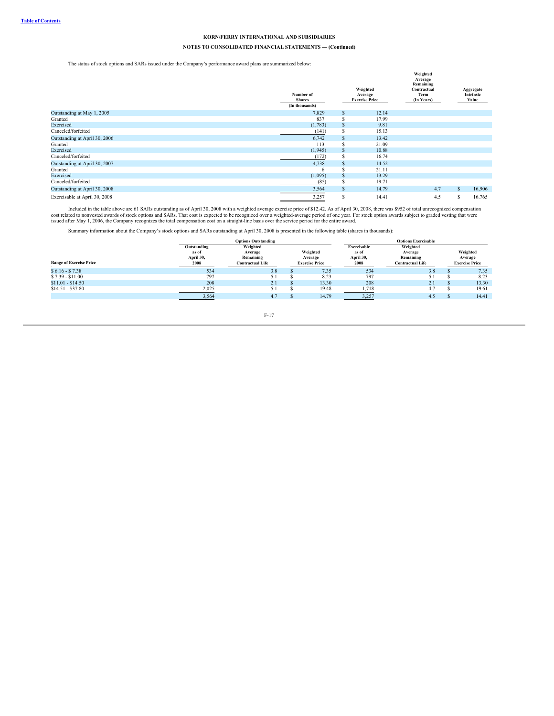### **NOTES TO CONSOLIDATED FINANCIAL STATEMENTS — (Continued)**

The status of stock options and SARs issued under the Company's performance award plans are summarized below:

|                               | Number of<br><b>Shares</b><br>(In thousands) |              | Weighted<br>Average<br><b>Exercise Price</b> | Weighted<br>Average<br>Remaining<br>Contractual<br>Term<br>(In Years) |   | Aggregate<br>Intrinsic<br>Value |
|-------------------------------|----------------------------------------------|--------------|----------------------------------------------|-----------------------------------------------------------------------|---|---------------------------------|
| Outstanding at May 1, 2005    | 7,829                                        | $\mathbf{s}$ | 12.14                                        |                                                                       |   |                                 |
| Granted                       | 837                                          |              | 17.99                                        |                                                                       |   |                                 |
| Exercised                     | (1,783)                                      | $\mathbf{s}$ | 9.81                                         |                                                                       |   |                                 |
| Canceled/forfeited            | (141)                                        | S            | 15.13                                        |                                                                       |   |                                 |
| Outstanding at April 30, 2006 | 6,742                                        | $\mathbf{s}$ | 13.42                                        |                                                                       |   |                                 |
| Granted                       | 113                                          |              | 21.09                                        |                                                                       |   |                                 |
| Exercised                     | (1,945)                                      | S            | 10.88                                        |                                                                       |   |                                 |
| Canceled/forfeited            | (172)                                        | У            | 16.74                                        |                                                                       |   |                                 |
| Outstanding at April 30, 2007 | 4,738                                        |              | 14.52                                        |                                                                       |   |                                 |
| Granted                       | 6                                            |              | 21.11                                        |                                                                       |   |                                 |
| Exercised                     | (1,095)                                      | S            | 13.29                                        |                                                                       |   |                                 |
| Canceled/forfeited            | (85)                                         | У            | 19.71                                        |                                                                       |   |                                 |
| Outstanding at April 30, 2008 | 3,564                                        | $\mathbf{s}$ | 14.79                                        | 4.7                                                                   |   | 16,906                          |
| Exercisable at April 30, 2008 | 3,257                                        | S            | 14.41                                        | 4.5                                                                   | У | 16.765                          |

Included in the table above are 61 SARs outstanding as of April 30, 2008 with a weighted average exercise price of \$12.42. As of April 30, 2008, there was \$952 of total unrecognized compensation<br>cost related to nonvested a

Summary information about the Company's stock options and SARs outstanding at April 30, 2008 is presented in the following table (shares in thousands):

|                                | <b>Options Outstanding</b>                |                                                             |                                              |       | <b>Options Exercisable</b>                                                                        |     |  |                                              |  |
|--------------------------------|-------------------------------------------|-------------------------------------------------------------|----------------------------------------------|-------|---------------------------------------------------------------------------------------------------|-----|--|----------------------------------------------|--|
| <b>Range of Exercise Price</b> | Outstanding<br>as of<br>April 30,<br>2008 | Weighted<br>Average<br>Remaining<br><b>Contractual Life</b> | Weighted<br>Average<br><b>Exercise Price</b> |       | Exercisable<br>Weighted<br>as of<br>Average<br>April 30,<br>Remaining<br>2008<br>Contractual Life |     |  | Weighted<br>Average<br><b>Exercise Price</b> |  |
| $$6.16 - $7.38$                | 534                                       | 3.8                                                         |                                              | 7.35  | 534                                                                                               | 3.8 |  | 7.35                                         |  |
| $$7.39 - $11.00$               | 797                                       | .                                                           |                                              | 8.23  | 797                                                                                               | 5.1 |  | 8.23                                         |  |
| $$11.01 - $14.50$              | 208                                       | 2.1                                                         |                                              | 13.30 | 208                                                                                               | 2.1 |  | 13.30                                        |  |
| $$14.51 - $37.80$              | 2,025                                     | .                                                           |                                              | 19.48 | 1,718                                                                                             | 4.7 |  | 19.61                                        |  |
|                                | 3,564                                     | 4.7                                                         |                                              | 14.79 | 3,257                                                                                             | 4.5 |  | 14.41                                        |  |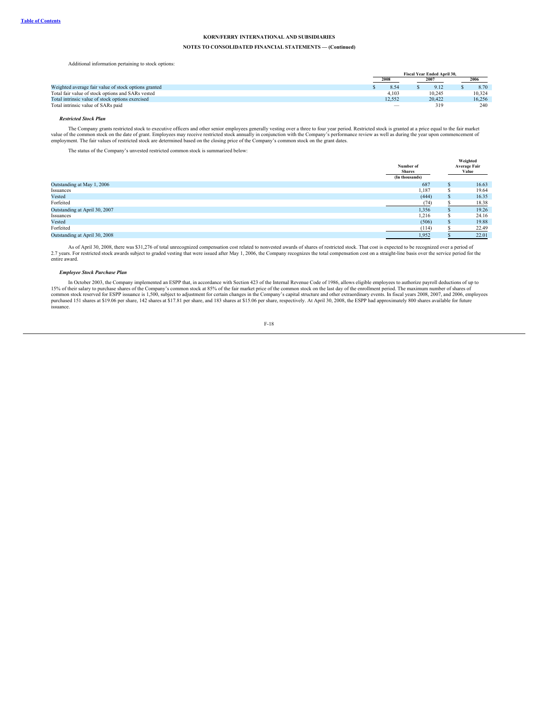#### **NOTES TO CONSOLIDATED FINANCIAL STATEMENTS — (Continued)**

Additional information pertaining to stock options:

|                                                      |      | Fiscal Year Ended April 30. |  |        |  |        |  |
|------------------------------------------------------|------|-----------------------------|--|--------|--|--------|--|
|                                                      | 2008 |                             |  | 2007   |  | 2006   |  |
| Weighted average fair value of stock options granted |      | 8.54                        |  | 9.12   |  | 8.70   |  |
| Total fair value of stock options and SARs vested    |      | 4.103                       |  | 10.245 |  | 10.324 |  |
| Total intrinsic value of stock options exercised     |      | 12.552                      |  | 20,422 |  | 16.256 |  |
| Total intrinsic value of SARs paid                   |      |                             |  | 319    |  | 240    |  |

#### *Restricted Stock Plan*

The Company grants restricted stock to executive officers and other senior employees generally vesting over a three to four year period. Restricted stock is granted at a price equal to the fair market value of the common stock on the date of grant. Employees may receive restricted stock annually in conjunction with the Company's performance review as well as during the year upon commencement of<br>employment. The fair valu

The status of the Company's unvested restricted common stock is summarized below:

| 16.63 |
|-------|
| 19.64 |
| 16.35 |
| 18.38 |
| 19.26 |
| 24.16 |
| 19.88 |
| 22.49 |
| 22.01 |
|       |

As of April 30, 2008, there was \$31,276 of total unrecognized compensation cost related to nonvested awards of shares of restricted stock. That cost is expected to be recognized over a period of<br>2.7 years. For restricted s entire award.

### *Employee Stock Purchase Plan*

In October 2003, the Company implemented an ESPP that, in accordance with Section 423 of the Internal Revenue Code of 1986, allows eligible employees to authorize payroll deductions of up to 15% of their salary to purchase shares of the Company's common stock at 85% of the fair market price of the common stock on the last day of the enrollment period. The maximum number of shares of<br>common stock reserved for E issuance.

$$
F\text{-}18
$$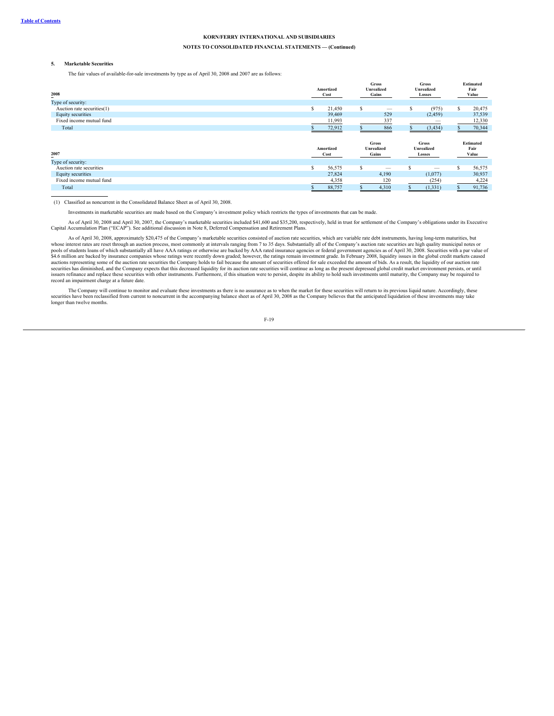#### **NOTES TO CONSOLIDATED FINANCIAL STATEMENTS — (Continued)**

#### **5. Marketable Securities**

The fair values of available-for-sale investments by type as of April 30, 2008 and 2007 are as follows:

| 2008                       |   | Amortized<br>Cost |   | <b>Gross</b><br><b>Unrealized</b><br>Gains |   |                                             |   | <b>Gross</b><br><b>Unrealized</b><br><b>Losses</b> |  | <b>Estimated</b><br>Fair<br>Value |
|----------------------------|---|-------------------|---|--------------------------------------------|---|---------------------------------------------|---|----------------------------------------------------|--|-----------------------------------|
| Type of security:          |   |                   |   |                                            |   |                                             |   |                                                    |  |                                   |
| Auction rate securities(1) | S | 21,450            | s |                                            | S | (975)                                       | S | 20,475                                             |  |                                   |
| Equity securities          |   | 39,469            |   | 529                                        |   | (2, 459)                                    |   | 37,539                                             |  |                                   |
| Fixed income mutual fund   |   | 11,993            |   | 337                                        |   | $\overline{\phantom{a}}$                    |   | 12,330                                             |  |                                   |
| Total                      |   | 72,912            |   | 866                                        |   | (3, 434)                                    |   | 70,344                                             |  |                                   |
|                            |   | Amortized<br>Cost |   |                                            |   |                                             |   |                                                    |  |                                   |
| 2007<br>Ξ.                 |   |                   |   | <b>Gross</b><br><b>Unrealized</b><br>Gains |   | <b>Gross</b><br><b>Unrealized</b><br>Losses |   | <b>Estimated</b><br>Fair<br>Value                  |  |                                   |
| Type of security:          |   |                   |   |                                            |   |                                             |   |                                                    |  |                                   |
| Auction rate securities    | S | 56,575            | S |                                            |   | --                                          | s | 56,575                                             |  |                                   |
| Equity securities          |   | 27,824            |   | 4,190                                      |   | (1,077)                                     |   | 30,937                                             |  |                                   |
| Fixed income mutual fund   |   | 4,358             |   | 120                                        |   | (254)                                       |   | 4,224                                              |  |                                   |

(1) Classified as noncurrent in the Consolidated Balance Sheet as of April 30, 2008.

Investments in marketable securities are made based on the Company's investment policy which restricts the types of investments that can be made.

As of April 30, 2008 and April 30, 2007, the Company's marketable securities included \$41,600 and \$35,200, respectively, held in trust for settlement of the Company's obligations under its Executive Capital Accumulation Plan ("ECAP"). See additional discussion in Note 8, Deferred Compensation and Retirement Plans.

As of April 30, 2008, approximately \$20,475 of the Company's marketable securities consisted of auction rate securities, which are variable rate debt instruments, having long-term maturities, but whose interest rates are reset through an auction process, most commonly at intervals ranging from 7 to 35 days. Substantially all of the Company's auction rate securities are high quality municipal notes or<br>pools of stude \$4.6 million are backed by insurance companies whose ratings were recently down graded; however, the ratings remain investment grade. In February 2008, liquidity issues in the global credit markets caused<br>auctions represen securities has diminished, and the Company expects that this decreased liquidity for its auction rate securities will continue as long as the present depressed global credit market environment persists, or until<br>issuers re record an impairment charge at a future date.

The Company will continue to monitor and evaluate these investments as there is no assurance as to when the market for these securities will return to its previous liquid nature. Accordingly, these securities have been rec longer than twelve months.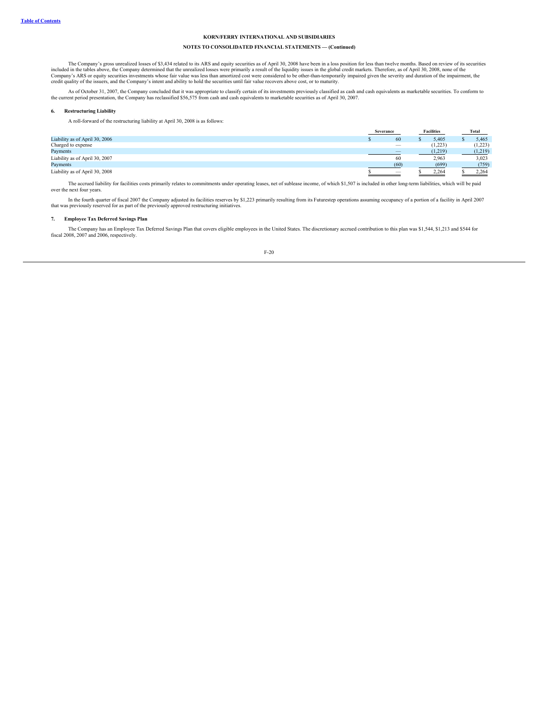#### **NOTES TO CONSOLIDATED FINANCIAL STATEMENTS — (Continued)**

The Company's gross unrealized losses of \$3,434 related to its ARS and equity securities as of April 30, 2008 have been in a loss position for less than twelve months. Based on review of its securities included in the tabl Company's ARS or equity securities investments whose fair value was less than amortized cost were considered to be other-than-temporarily impaired given the severity and duration of the impairment, the<br>credit quality of th

As of October 31, 2007, the Company concluded that it was appropriate to classify certain of its investments previously classified as cash and cash equivalents as marketable securities. To conform to the current period pre

#### **6. Restructuring Liability**

A roll-forward of the restructuring liability at April 30, 2008 is as follows:

|                                |  | <b>Severance</b>         |  | <b>Facilities</b> |  |         | <b>Total</b> |  |  |
|--------------------------------|--|--------------------------|--|-------------------|--|---------|--------------|--|--|
| Liability as of April 30, 2006 |  | 60                       |  | 5.405             |  | 5,465   |              |  |  |
| Charged to expense             |  | $\overline{\phantom{a}}$ |  | (1,223)           |  | (1,223) |              |  |  |
| Payments                       |  | __                       |  | (1,219)           |  | (1,219) |              |  |  |
| Liability as of April 30, 2007 |  | 60                       |  | 2,963             |  | 3,023   |              |  |  |
| Payments                       |  | (60)                     |  | (699)             |  | (759)   |              |  |  |
| Liability as of April 30, 2008 |  | $\overline{\phantom{a}}$ |  | 2,264             |  | 2.264   |              |  |  |

The accrued liability for facilities costs primarily relates to commitments under operating leases, net of sublease income, of which \$1,507 is included in other long-term liabilities, which will be paid over the next four years.

In the fourth quarter of fiscal 2007 the Company adjusted its facilities reserves by \$1,223 primarily resulting from its Futurestep operations assuming occupancy of a portion of a facility in April 2007<br>that was previously

## **7. Employee Tax Deferred Savings Plan**

The Company has an Employee Tax Deferred Savings Plan that covers eligible employees in the United States. The discretionary accrued contribution to this plan was \$1,544, \$1,213 and \$544 for fiscal 2008, 2007 and 2006, respectively.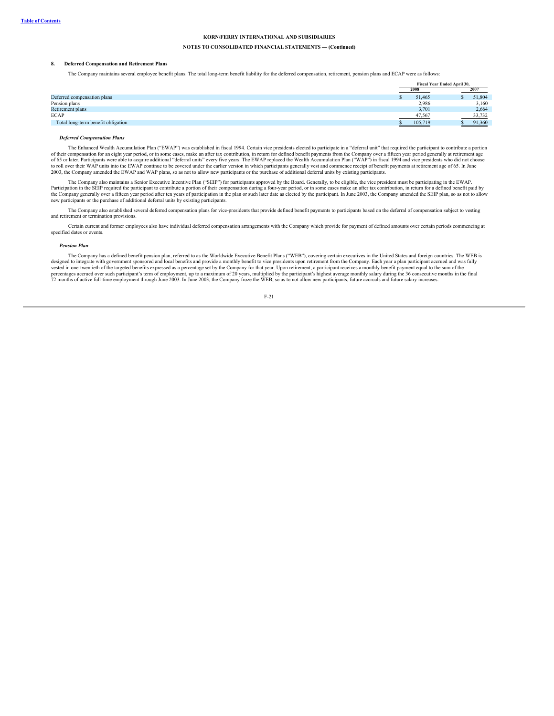#### **NOTES TO CONSOLIDATED FINANCIAL STATEMENTS — (Continued)**

#### **8. Deferred Compensation and Retirement Plans**

The Company maintains several employee benefit plans. The total long-term benefit liability for the deferred compensation, retirement, pension plans and ECAP were as follows:

|                                    | <b>Fiscal Year Ended April 30.</b> |  |                 |  |
|------------------------------------|------------------------------------|--|-----------------|--|
|                                    | 2008                               |  | 2007            |  |
| Deferred compensation plans        | 51.465                             |  | 51.804          |  |
| Pension plans                      | 2.986                              |  | 3.160           |  |
| Retirement plans                   | 3,701                              |  | 2,664           |  |
| <b>ECAP</b>                        | 47,567                             |  | 33,732          |  |
| Total long-term benefit obligation | 105,719                            |  | 91,360<br>_____ |  |

### *Deferred Compensation Plans*

The Enhanced Wealth Accumulation Plan ("EWAP") was established in fiscal 1994. Certain vice presidents elected to participate in a "deferral unit" that required the participant to contribute a portion of their compensation for an eight year period, or in some cases, make an after tax contribution, in return for defined benefit payments from the Company over a fifteen year period generally at retirement age of 65 or late

The Company also maintains a Senior Executive Incentive Plan ("SEIP") for participants approved by the Board. Generally, to be eligible, the vice president must be participating in the EWAP. Participation in the SEIP required the participant to contribute a portion of their compensation during a four-year period, or in some cases make an after tax contribution, in return for a defined benefit paid by the Company generally over a fifteen year period after ten years of participation in the plan or such later date as elected by the participant. In June 2003, the Company amended the SEIP plan, so as not to allow<br>new partic

The Company also established several deferred compensation plans for vice-presidents that provide defined benefit payments to participants based on the deferral of compensation subject to vesting and retirement or termination provisions.

Certain current and former employees also have individual deferred compensation arrangements with the Company which provide for payment of defined amounts over certain periods commencing at specified dates or events.

#### *Pension Plan*

The Company has a defined benefit pension plan, referred to as the Worldwide Executive Benefit Plans ("WEB"), covering certain executives in the United States and foreign countries. The WEB is designed to integrate with government sponsored and local benefits and provide a monthly benefit to vice presidents upon retirement from the Company. Each year a plan participant accrued and was fully<br>vested in one-twentie percentages accrued over such participant's term of employment, up to a maximum of 20 years, multiplied by the participant's highest average monthly salary during the 36 consecutive months in the final<br>72 months of active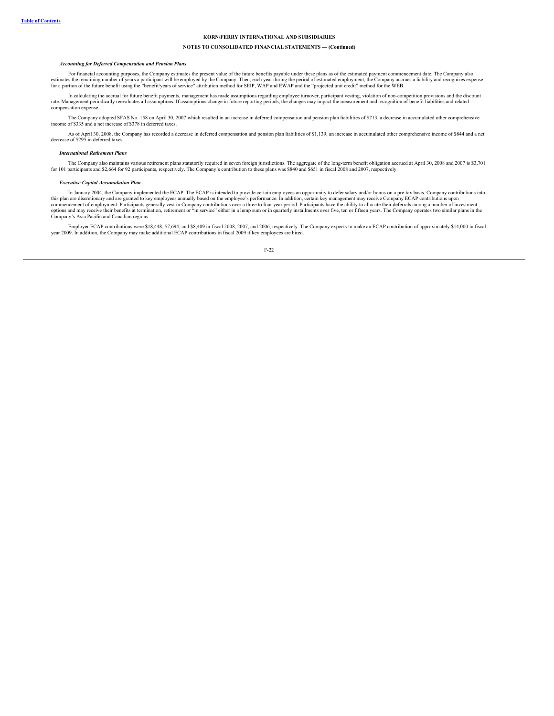#### **NOTES TO CONSOLIDATED FINANCIAL STATEMENTS — (Continued)**

#### *Accounting for Deferred Compensation and Pension Plans*

For financial accounting purposes, the Company estimates the present value of the future benefits payable under these plans as of the estimated payment commencement date. The Company also stimates the present case a liabil

In calculating the accrual for future benefit payments, management has made assumptions regarding employee turnover, participant vesting, violation of non-competition provisions and the discount rate. Management periodically reevaluates all assumptions. If assumptions change in future reporting periods, the changes may impact the measurement and recognition of benefit liabilities and related compensation expense.

The Company adopted SFAS No. 158 on April 30, 2007 which resulted in an increase in deferred compensation and pension plan liabilities of \$713, a decrease in accumulated other comprehensive income of \$335 and a net increase of \$378 in deferred taxes.

As of April 30, 2008, the Company has recorded a decrease in deferred compensation and pension plan liabilities of \$1,139, an increase in accumulated other comprehensive income of \$844 and a net decrease of \$295 in deferred taxes.

#### *International Retirement Plans*

The Company also maintains various retirement plans statutorily required in seven foreign jurisdictions. The aggregate of the long-term benefit obligation accrued at April 30, 2008 and 2007 is \$3,701 for 101 participants and \$2,664 for 92 participants, respectively. The Company's contribution to these plans was \$840 and \$651 in fiscal 2008 and 2007, respectively.

#### *Executive Capital Accumulation Plan*

In January 2004, the Company implemented the ECAP. The ECAP is intended to provide certain employees an opportunity to defer salary and/or bonus on a pre-tax basis. Company contributions into<br>this plan are discretionary an Company's Asia Pacific and Canadian regions.

Employer ECAP contributions were \$18,448, \$7,694, and \$8,409 in fiscal 2008, 2007, and 2006, respectively. The Company expects to make an ECAP contribution of approximately \$14,000 in fiscal year 2009. In addition, the Company may make additional ECAP contributions in fiscal 2009 if key employees are hired.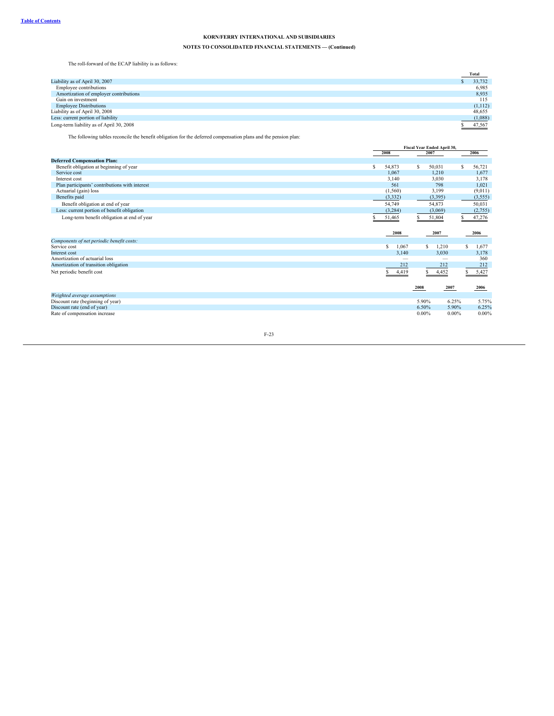## **NOTES TO CONSOLIDATED FINANCIAL STATEMENTS — (Continued)**

The roll-forward of the ECAP liability is as follows:

|                                          | Total   |
|------------------------------------------|---------|
| Liability as of April 30, 2007           | 33.732  |
| Employee contributions                   | 6,985   |
| Amortization of employer contributions   | 8,935   |
| Gain on investment                       | 115     |
| <b>Employee Distributions</b>            | (1,112) |
| Liability as of April 30, 2008           | 48.655  |
| Less: current portion of liability       | (1,088) |
| Long-term liability as of April 30, 2008 | 47,567  |

The following tables reconcile the benefit obligation for the deferred compensation plans and the pension plan:

|                                                |   | Fiscal Year Ended April 30, |          |          |   |          |
|------------------------------------------------|---|-----------------------------|----------|----------|---|----------|
|                                                |   | 2008<br>2007                |          |          |   | 2006     |
| <b>Deferred Compensation Plan:</b>             |   |                             |          |          |   |          |
| Benefit obligation at beginning of year        | s | 54,873                      | s        | 50,031   | s | 56,721   |
| Service cost                                   |   | 1,067                       |          | 1,210    |   | 1,677    |
| Interest cost                                  |   | 3,140                       |          | 3,030    |   | 3,178    |
| Plan participants' contributions with interest |   | 561                         |          | 798      |   | 1,021    |
| Actuarial (gain) loss                          |   | (1, 560)                    |          | 3,199    |   | (9,011)  |
| Benefits paid                                  |   | (3, 332)                    |          | (3,395)  |   | (3,555)  |
| Benefit obligation at end of year              |   | 54,749                      |          | 54,873   |   | 50,031   |
| Less: current portion of benefit obligation    |   | (3,284)                     |          | (3,069)  |   | (2,755)  |
| Long-term benefit obligation at end of year    |   | 51,465                      |          | 51,804   |   | 47,276   |
|                                                |   |                             |          |          |   |          |
|                                                |   | 2008                        |          | 2007     |   | 2006     |
|                                                |   |                             |          |          |   |          |
| Components of net periodic benefit costs:      |   |                             |          |          |   |          |
| Service cost                                   |   | S<br>1,067                  | s        | 1,210    | S | 1,677    |
| Interest cost                                  |   | 3,140                       |          | 3,030    |   | 3,178    |
| Amortization of actuarial loss                 |   | --                          |          |          |   | 360      |
| Amortization of transition obligation          |   | 212                         |          | 212      |   | 212      |
| Net periodic benefit cost                      |   | 4,419<br>\$                 | s        | 4,452    |   | 5,427    |
|                                                |   |                             |          |          |   |          |
|                                                |   |                             | 2008     | 2007     |   | 2006     |
| Weighted average assumptions                   |   |                             |          |          |   |          |
| Discount rate (beginning of year)              |   |                             | 5.90%    | 6.25%    |   | 5.75%    |
| Discount rate (end of year)                    |   |                             | 6.50%    | 5.90%    |   | 6.25%    |
| Rate of compensation increase                  |   |                             | $0.00\%$ | $0.00\%$ |   | $0.00\%$ |
|                                                |   |                             |          |          |   |          |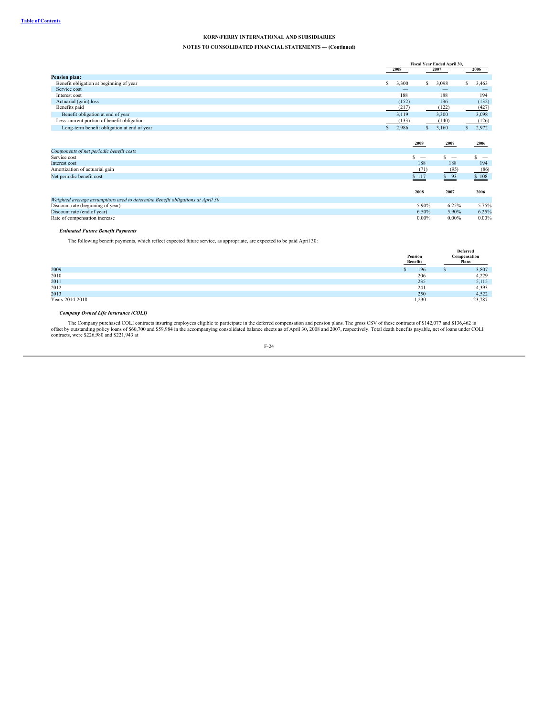### **NOTES TO CONSOLIDATED FINANCIAL STATEMENTS — (Continued)**

|                                                                                |            | Fiscal Year Ended April 30, |             |    |                          |  |      |
|--------------------------------------------------------------------------------|------------|-----------------------------|-------------|----|--------------------------|--|------|
|                                                                                | 2008       | 2007                        |             |    |                          |  | 2006 |
| <b>Pension plan:</b>                                                           |            |                             |             |    |                          |  |      |
| Benefit obligation at beginning of year                                        | S<br>3,300 | s                           | 3,098       | S. | 3,463                    |  |      |
| Service cost                                                                   |            |                             |             |    |                          |  |      |
| Interest cost                                                                  | 188        |                             | 188         |    | 194                      |  |      |
| Actuarial (gain) loss                                                          | (152)      |                             | 136         |    | (132)                    |  |      |
| Benefits paid                                                                  | (217)      |                             | (122)       |    | (427)                    |  |      |
| Benefit obligation at end of year                                              | 3,119      |                             | 3,300       |    | 3,098                    |  |      |
| Less: current portion of benefit obligation                                    | (133)      |                             | (140)       |    | (126)                    |  |      |
| Long-term benefit obligation at end of year                                    | 2,986      | s                           | 3,160       |    | 2,972                    |  |      |
|                                                                                |            |                             |             |    |                          |  |      |
|                                                                                |            | 2008                        | 2007        |    | 2006                     |  |      |
| Components of net periodic benefit costs                                       |            |                             |             |    |                          |  |      |
| Service cost                                                                   |            | S.<br>$\sim$                | s<br>$\sim$ |    | $\overline{\phantom{m}}$ |  |      |
| Interest cost                                                                  |            | 188                         | 188         |    | 194                      |  |      |
| Amortization of actuarial gain                                                 |            | (71)                        | (95)        |    | (86)                     |  |      |
| Net periodic benefit cost                                                      |            | \$117                       | \$93        |    | \$108                    |  |      |
|                                                                                |            |                             |             |    |                          |  |      |
|                                                                                |            | 2008                        | 2007        |    | 2006                     |  |      |
| Weighted average assumptions used to determine Benefit obligations at April 30 |            |                             |             |    |                          |  |      |
| Discount rate (beginning of year)                                              |            | 5.90%                       | 6.25%       |    | 5.75%                    |  |      |
| Discount rate (end of year)                                                    |            | 6.50%                       | 5.90%       |    | 6.25%                    |  |      |
| Rate of compensation increase                                                  |            | $0.00\%$                    | $0.00\%$    |    | $0.00\%$                 |  |      |

## *Estimated Future Benefit Payments*

The following benefit payments, which reflect expected future service, as appropriate, are expected to be paid April 30:

|                 | Pension<br><b>Benefits</b> | Deferred<br>Compensation<br>Plans |
|-----------------|----------------------------|-----------------------------------|
| 2009            | 196                        | 3,807                             |
| 2010            | 206                        | 4,229                             |
| 2011            | 235                        | 5,115                             |
| 2012            | 241                        | 4,393                             |
| 2013            | 250                        | 4,522                             |
| Years 2014-2018 | 1,230                      | 23,787                            |
|                 |                            |                                   |

## *Company Owned Life Insurance (COLI)*

The Company purchased COLI contracts insuring employees eligible to participate in the deferred compensation and pension plans. The gross CSV of these contracts of \$142,077 and \$136,462 is<br>offset by outstanding policy loan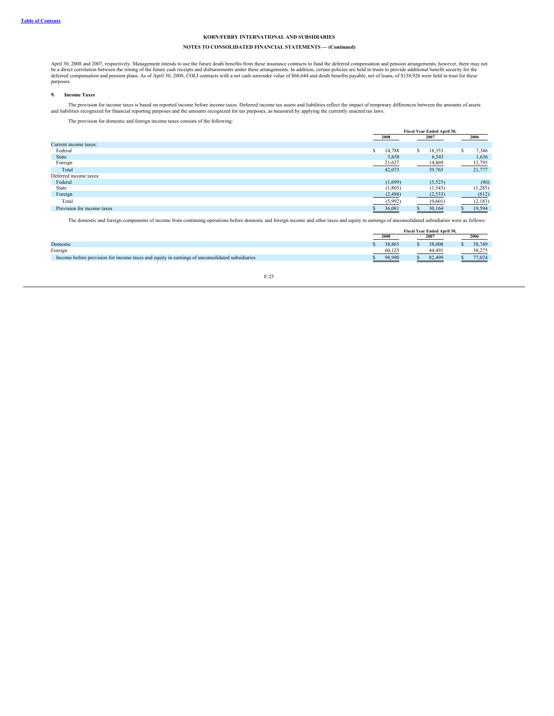### **NOTES TO CONSOLIDATED FINANCIAL STATEMENTS — (Continued)**

April 30, 2008 and 2007, respectively. Management intends to use the future death benefits from these insurance contracts to fund the deferred compensation and pension arrangements; however, there may not be a direct corre purposes.

## **9. Income Taxes**

The provision for income taxes is based on reported income before income taxes. Deferred income tax assets and liabilities reflect the impact of temporary differences between the amounts of assets and liabilities recognized for financial reporting purposes and the amounts recognized for tax purposes, as measured by applying the currently enacted tax laws.

The provision for domestic and foreign income taxes consists of the following:

|                            | Fiscal Year Ended April 30, |             |         |  |  |
|----------------------------|-----------------------------|-------------|---------|--|--|
|                            | 2008<br>2007                |             | 2006    |  |  |
| Current income taxes:      |                             |             |         |  |  |
| Federal                    | 14,788                      | 18,353<br>S | 7,346   |  |  |
| State                      | 5,658                       | 6,543       | 1,636   |  |  |
| Foreign                    | 21,627                      | 14,869      | 12,795  |  |  |
| Total                      | 42,073                      | 39,765      | 21,777  |  |  |
| Deferred income taxes:     |                             |             |         |  |  |
| Federal                    | (1,699)                     | (5,525)     | (86)    |  |  |
| State                      | (1,805)                     | (1, 543)    | (1,285) |  |  |
| Foreign                    | (2,488)                     | (2, 533)    | (812)   |  |  |
| Total                      | (5,992)                     | (9,601)     | (2,183) |  |  |
| Provision for income taxes | 36,081                      | 30,164      | 19,594  |  |  |

The domestic and foreign components of income from continuing operations before domestic and foreign income and other taxes and equity in earnings of unconsolidated subsidiaries were as follows:

|                                                                                                | <b>Fiscal Year Ended April 30.</b> |      |        |  |        |
|------------------------------------------------------------------------------------------------|------------------------------------|------|--------|--|--------|
|                                                                                                | 2008                               | 2007 |        |  | 2006   |
| Domestic                                                                                       | 38.865                             |      | 38,008 |  | 38,749 |
| Foreign                                                                                        | 60.125                             |      | 44.491 |  | 38.275 |
| Income before provision for income taxes and equity in earnings of unconsolidated subsidiaries | 98,990                             |      | 82,499 |  | 77,024 |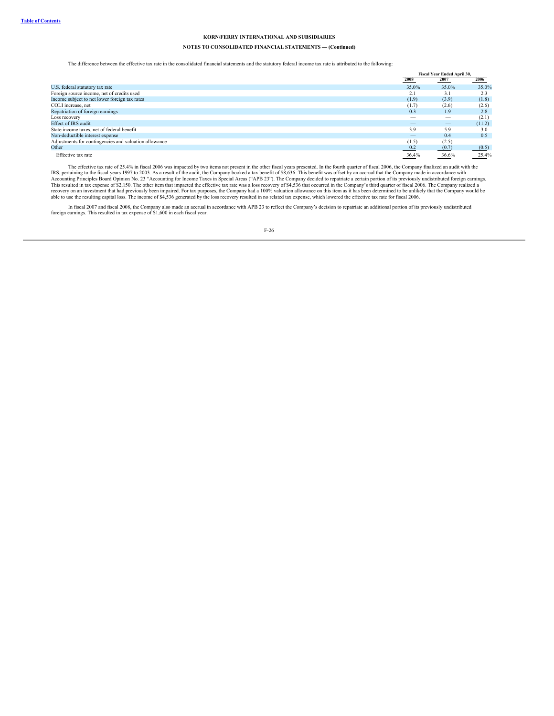### **NOTES TO CONSOLIDATED FINANCIAL STATEMENTS — (Continued)**

The difference between the effective tax rate in the consolidated financial statements and the statutory federal income tax rate is attributed to the following:

|                                                       | Fiscal Year Ended April 30, |                          |        |
|-------------------------------------------------------|-----------------------------|--------------------------|--------|
|                                                       | 2008                        | 2007                     | 2006   |
| U.S. federal statutory tax rate                       | 35.0%                       | 35.0%                    | 35.0%  |
| Foreign source income, net of credits used            | 2.1                         | 3.1                      | 2.3    |
| Income subject to net lower foreign tax rates         | (1.9)                       | (3.9)                    | (1.8)  |
| COLI increase, net                                    | (1.7)                       | (2.6)                    | (2.6)  |
| Repatriation of foreign earnings                      | 0.3                         | 1.9                      | 2.8    |
| Loss recovery                                         |                             | $\overline{\phantom{a}}$ | (2.1)  |
| Effect of IRS audit                                   |                             |                          | (11.2) |
| State income taxes, net of federal benefit            | 3.9                         | 5.9                      | 3.0    |
| Non-deductible interest expense                       |                             | 0.4                      | 0.5    |
| Adjustments for contingencies and valuation allowance | (1.5)                       | (2.5)                    |        |
| Other                                                 | 0.2                         | (0.7)                    | (0.5)  |
| Effective tax rate                                    | 36.4%                       | 36.6%                    | 25.4%  |

The effective tax rate of 25.4% in fiscal 2006 was impacted by two items not present in the other fiscal years presented. In the fourth quarter of fiscal 2006, the Company finalized an audit with the SR, pertaining to the able to use the resulting capital loss. The income of \$4,536 generated by the loss recovery resulted in no related tax expense, which lowered the effective tax rate for fiscal 2006.

In fiscal 2007 and fiscal 2008, the Company also made an accrual in accordance with APB 23 to reflect the Company's decision to repatriate an additional portion of its previously undistributed<br>foreign earnings. This result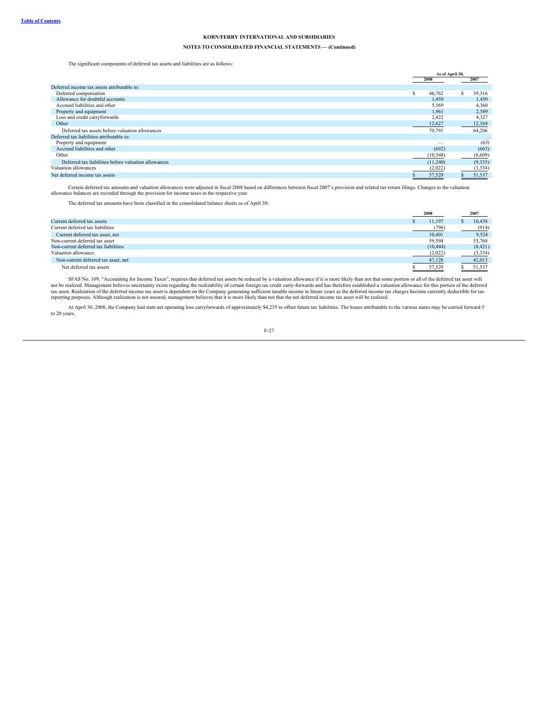## **NOTES TO CONSOLIDATED FINANCIAL STATEMENTS — (Continued)**

The significant components of deferred tax assets and liabilities are as follows:

|                                                      |   | As of April 30, |   |          |
|------------------------------------------------------|---|-----------------|---|----------|
|                                                      |   | 2008            |   | 2007     |
| Deferred income tax assets attributable to:          |   |                 |   |          |
| Deferred compensation                                | S | 46,762          | S | 39,316   |
| Allowance for doubtful accounts                      |   | 1.450           |   | 1,450    |
| Accrued liabilities and other                        |   | 5,569           |   | 4,360    |
| Property and equipment                               |   | 1,961           |   | 2,589    |
| Loss and credit carryforwards                        |   | 2,422           |   | 4,327    |
| Other                                                |   | 12,627          |   | 12,164   |
| Deferred tax assets before valuation allowances      |   | 70,791          |   | 64,206   |
| Deferred tax liabilities attributable to:            |   |                 |   |          |
| Property and equipment                               |   |                 |   | (63)     |
| Accrued liabilities and other                        |   | (692)           |   | (663)    |
| Other                                                |   | (10, 548)       |   | (8,609)  |
| Deferred tax liabilities before valuation allowances |   | (11,240)        |   | (9, 335) |
| Valuation allowances                                 |   | (2,022)         |   | (3,334)  |
| Net deferred income tax assets                       |   | 57,529          |   | 51,537   |

Certain deferred tax amounts and valuation allowances were adjusted in fiscal 2008 based on differences between fiscal 2007's provision and related tax return filings. Changes to the valuation allowance balances are record

The deferred tax amounts have been classified in the consolidated balance sheets as of April 30:

| 2008      | 2007    |
|-----------|---------|
| 11.197    | 10.438  |
| (796)     | (914)   |
| 10.401    | 9.524   |
| 59,594    | 53,768  |
| (10, 444) | (8,421) |
| (2,022)   | (3,334) |
| 47,128    | 42,013  |
| 57,529    | 51,537  |
|           |         |

SFAS No. 109, "Accounting for Income Taxes", requires that deferred tax assets be reduced by a valuation allowance if it is more likely than not that some portion or all of the deferred tax asset will<br>not be realized. Mana

At April 30, 2008, the Company had state net operating loss carryforwards of approximately \$4,235 to offset future tax liabilities. The losses attributable to the various states may be carried forward 5 to 20 years.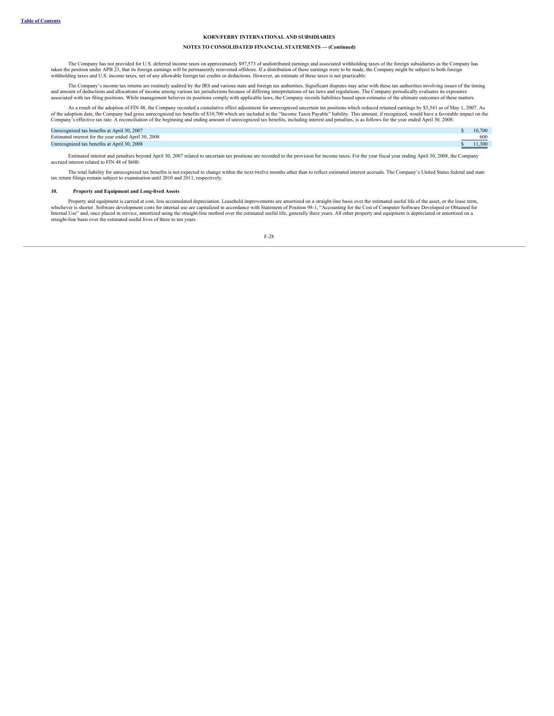#### **NOTES TO CONSOLIDATED FINANCIAL STATEMENTS — (Continued)**

The Company has not provided for U.S. deferred income taxes on approximately \$97,573 of undistributed earnings and associated withholding taxes of the foreign subsidiaries as the Company has taken the position under APB 23 withholding taxes and U.S. income taxes, net of any allowable foreign tax credits or deductions. However, an estimate of these taxes is not practicable.

The Company's income tax returns are routinely audited by the IRS and various state and foreign tax authorities. Significant disputes may arise with these tax authorities involving issues of the timing and amount of deductions and allocations of income among various tax jurisdictions because of differing interpretations of tax laws and regulations. The Company periodically evaluates its exposures<br>associated with tax fili

As a result of the adoption of FIN 48, the Company recorded a cumulative effect adjustment for unrecognized uncertain tax positions which reduced retained earnings by \$3,541 as of May 1, 2007. As<br>of the adoption date, the

## Unrecognized tax benefits at April 30, 2007 **\$ 10,700** \$ 10,700 \$ 10,700 \$ 10,700 \$ 10,700 \$ 10,700 \$ 10,700 \$ 10,700 \$ 10,700 \$ 10,700 \$ 10,700 \$ 10,700 \$ 10,700 \$ 10,700 \$ 10,700 \$ 10,700 \$ 10,700 \$ 10,700 \$ 10,700 \$ 10, Unrecognized tax benefits at April 30, 2008 **11,300 12, 2008 12,300 12,300 13,300 13,300 13,300 13,300 13,300 13,300 13,300 13,300 13,300 13,300 13,300 13,300 13,300 13,300 13,300 13,3**

Estimated interest and penalties beyond April 30, 2007 related to uncertain tax positions are recorded to the provision for income taxes. For the year fiscal year ending April 30, 2008, the Company accrued interest related to FIN 48 of \$600.

The total liability for unrecognized tax benefits is not expected to change within the next twelve months other than to reflect estimated interest accruals. The Company's United States federal and state tax return filings remain subject to examination until 2010 and 2011, respectively.

#### **10. Property and Equipment and Long-lived Assets**

Property and equipment is carried at cost, less accumulated depreciation. Leaschold improvements are amortized on a straight-line basis over the estimated useful life of the asset, or the lease term,<br>whichever is shorter. straight-line basis over the estimated useful lives of three to ten years.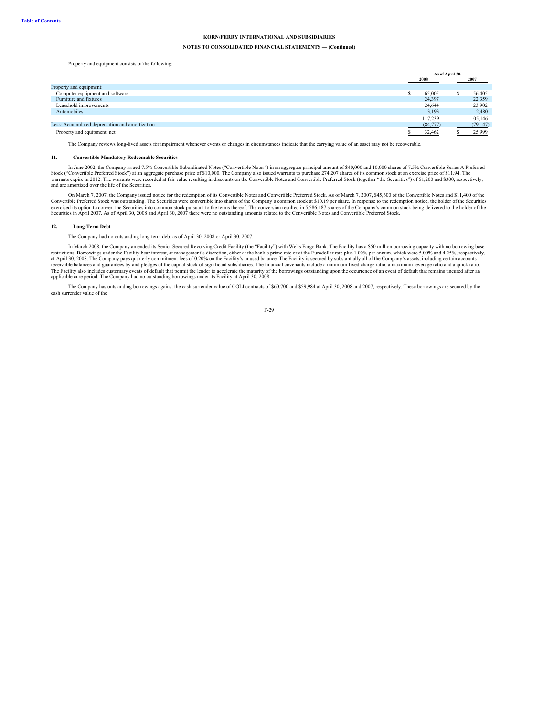#### **NOTES TO CONSOLIDATED FINANCIAL STATEMENTS — (Continued)**

Property and equipment consists of the following:

|                                                 | As of April 30, |  |           |
|-------------------------------------------------|-----------------|--|-----------|
|                                                 | 2008            |  | 2007      |
| Property and equipment:                         |                 |  |           |
| Computer equipment and software                 | 65,005          |  | 56,405    |
| Furniture and fixtures                          | 24,397          |  | 22,359    |
| Leasehold improvements                          | 24,644          |  | 23,902    |
| Automobiles                                     | 3,193           |  | 2,480     |
|                                                 | 117.239         |  | 105,146   |
| Less: Accumulated depreciation and amortization | (84, 777)       |  | (79, 147) |
| Property and equipment, net                     | 32,462          |  | 25.999    |

The Company reviews long-lived assets for impairment whenever events or changes in circumstances indicate that the carrying value of an asset may not be recoverable.

#### **11. Convertible Mandatory Redeemable Securities**

In June 2002, the Company issued 7.5% Convertible Subordinated Notes ("Convertible Notes") in an aggregate principal amount of \$40,000 and 10,000 shares of 7.5% Convertible Series A Preferred Stock ("Convertible Preferred Stock") at an aggregate purchase price of \$10,000. The Company also issued warrants to purchase 274,207 shares of its common stock at an exercise price of \$11.94. The<br>warrants expire in 2012. and are amortized over the life of the Securities.

On March 7, 2007, the Company issued notice for the redemption of its Convertible Notes and Convertible Preferred Stock. As of March 7, 2007, \$45,600 of the Convertible Notes and \$11,400 of the Convertible Preferred Stock was outstanding. The Securities were convertible into shares of the Company's common stock at \$10.19 per share. In response to the redemption notice, the holder of the Securities into common sto Securities in April 2007. As of April 30, 2008 and April 30, 2007 there were no outstanding amounts related to the Convertible Notes and Convertible Preferred Stock.

#### **12. Long-Term Debt**

The Company had no outstanding long-term debt as of April 30, 2008 or April 30, 2007.

In March 2008, the Company amended its Senior Secured Revolving Credit Facility (the "Facility") with Wells Fargo Bank. The Facility has a \$50 million borrowing capacity with no borrowing base<br>restrictions. Borrowings unde The Facility also includes customary events of default that permit the lender to accelerate the maturity of the borrowings outstanding upon the occurrence of an event of default that remains uncured after an applicable cure period. The Company had no outstanding borrowings under its Facility at April 30, 2008.

The Company has outstanding borrowings against the cash surrender value of COLI contracts of \$60,700 and \$59,984 at April 30, 2008 and 2007, respectively. These borrowings are secured by the cash surrender value of the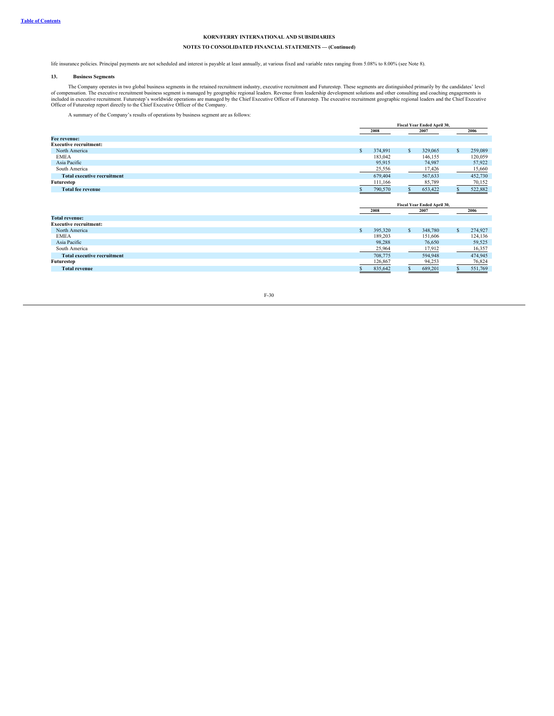## **NOTES TO CONSOLIDATED FINANCIAL STATEMENTS — (Continued)**

life insurance policies. Principal payments are not scheduled and interest is payable at least annually, at various fixed and variable rates ranging from 5.08% to 8.00% (see Note 8).

### **13. Business Segments**

The Company operates in two global business segments in the retained recruitment industry, executive recruitment and Futurestep. These segments are distinguished primarily by the candidates' level<br>of compensation. The exec

A summary of the Company's results of operations by business segment are as follows:

|                               |              | Fiscal Year Ended April 30, |                             |      |         |
|-------------------------------|--------------|-----------------------------|-----------------------------|------|---------|
|                               | 2008         |                             | 2007                        |      | 2006    |
| Fee revenue:                  |              |                             |                             |      |         |
| <b>Executive recruitment:</b> |              |                             |                             |      |         |
| North America                 | $\mathbf{s}$ | 374,891                     | 329,065<br>$\mathcal{S}$    | S.   | 259,089 |
| <b>EMEA</b>                   |              | 183,042                     | 146,155                     |      | 120,059 |
| Asia Pacific                  |              | 95,915                      | 74,987                      |      | 57,922  |
| South America                 |              | 25,556                      | 17,426                      |      | 15,660  |
| Total executive recruitment   |              | 679,404                     | 567,633                     |      | 452,730 |
| Futurestep                    |              | 111,166                     | 85,789                      |      | 70,152  |
| Total fee revenue             |              | 790,570                     | 653,422                     |      | 522,882 |
|                               |              |                             |                             |      |         |
|                               |              |                             | Fiscal Year Ended April 30, |      |         |
|                               | 2008         | 2007                        |                             | 2006 |         |
| <b>CONTRACTOR</b>             |              |                             |                             |      |         |

| <b>Total revenue:</b>              |         |         |         |
|------------------------------------|---------|---------|---------|
| <b>Executive recruitment:</b>      |         |         |         |
| North America                      | 395,320 | 348,780 | 274.927 |
| <b>EMEA</b>                        | 189.203 | 151,606 | 124.136 |
| Asia Pacific                       | 98.288  | 76,650  | 59,525  |
| South America                      | 25,964  | 17,912  | 16,357  |
| <b>Total executive recruitment</b> | 708,775 | 594.948 | 474.945 |
| <b>Futurestep</b>                  | 126,867 | 94,253  | 76,824  |
| <b>Total revenue</b>               | 835,642 | 689,201 | 551,769 |

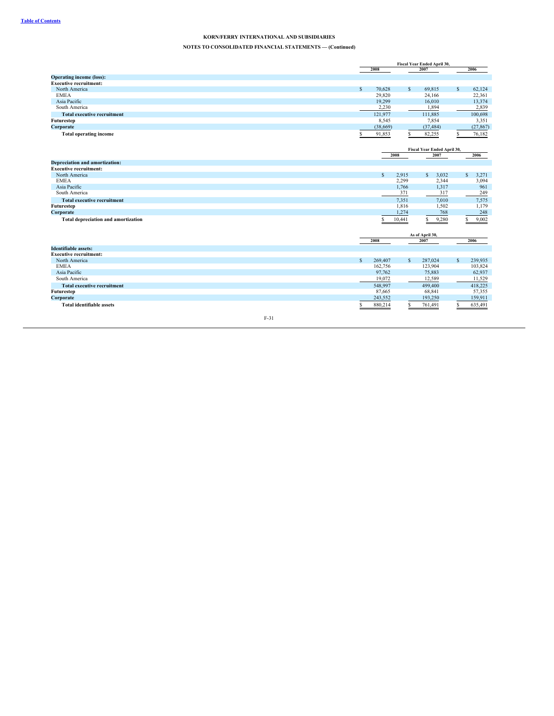## **NOTES TO CONSOLIDATED FINANCIAL STATEMENTS — (Continued)**

|                                       |             | Fiscal Year Ended April 30, |                             |              |           |
|---------------------------------------|-------------|-----------------------------|-----------------------------|--------------|-----------|
|                                       | 2008        |                             | 2007                        | 2006         |           |
| <b>Operating income (loss):</b>       |             |                             |                             |              |           |
| <b>Executive recruitment:</b>         |             |                             |                             |              |           |
| North America                         | $\mathbf S$ | 70,628<br>$\mathbf{s}$      | 69.815                      | $\mathbf{s}$ | 62.124    |
| <b>EMEA</b>                           |             | 29,820                      | 24,166                      |              | 22,361    |
| Asia Pacific                          |             | 19,299                      | 16,010                      |              | 13,374    |
| South America                         |             | 2,230                       | 1,894                       |              | 2,839     |
| <b>Total executive recruitment</b>    |             | 121,977                     | 111,885                     |              | 100,698   |
| Futurestep                            |             | 8,545                       | 7,854                       |              | 3,351     |
| Corporate                             |             | (38,669)                    | (37, 484)                   |              | (27, 867) |
| <b>Total operating income</b>         | S           | 91,853<br>S                 | 82,255                      | s            | 76,182    |
|                                       |             |                             | Fiscal Year Ended April 30, |              |           |
|                                       |             | 2008                        | 2007                        |              | 2006      |
| <b>Depreciation and amortization:</b> |             |                             |                             |              |           |
| <b>Executive recruitment:</b>         |             |                             |                             |              |           |
| North America                         |             | $\mathbb{S}$<br>2,915       | $\mathbb{S}$<br>3,032       | $\mathbb{S}$ | 3,271     |
| <b>EMEA</b>                           |             | 2,299                       | 2,344                       |              | 3,094     |
| Asia Pacific                          |             | 1,766                       | 1,317                       |              | 961       |
| South America                         |             | 371                         | 317                         |              | 249       |
| <b>Total executive recruitment</b>    |             | 7,351                       | 7,010                       |              | 7,575     |
| Futurestep                            |             | 1,816                       | 1,502                       |              | 1,179     |
| Corporate                             |             | 1,274                       | 768                         |              | 248       |
| Total depreciation and amortization   |             | 10,441<br>S.                | s<br>9,280                  | S.           | 9,002     |
|                                       |             | As of April 30,             |                             |              |           |
|                                       | 2008        |                             | 2007                        | 2006         |           |
| <b>Identifiable assets:</b>           |             |                             |                             |              |           |
| <b>Executive recruitment:</b>         |             |                             |                             |              |           |
| North America                         | $\mathbf S$ | 269,407<br>$\mathbf{s}$     | 287,024                     | $\mathbf{s}$ | 239,935   |
| <b>EMEA</b>                           |             | 162,756                     | 123,904                     |              | 103,824   |
| Asia Pacific                          |             | 97,762                      | 75,883                      |              | 62,937    |
| South America                         |             | 19,072                      | 12,589                      |              | 11,529    |
| <b>Total executive recruitment</b>    |             | 548,997                     | 499,400                     |              | 418,225   |
| Futurestep                            |             | 87,665                      | 68,841                      |              | 57,355    |
| Corporate                             |             | 243,552                     | 193,250                     |              | 159,911   |
| <b>Total identifiable assets</b>      | \$.         | 880,214<br>S                | 761,491                     | s            | 635,491   |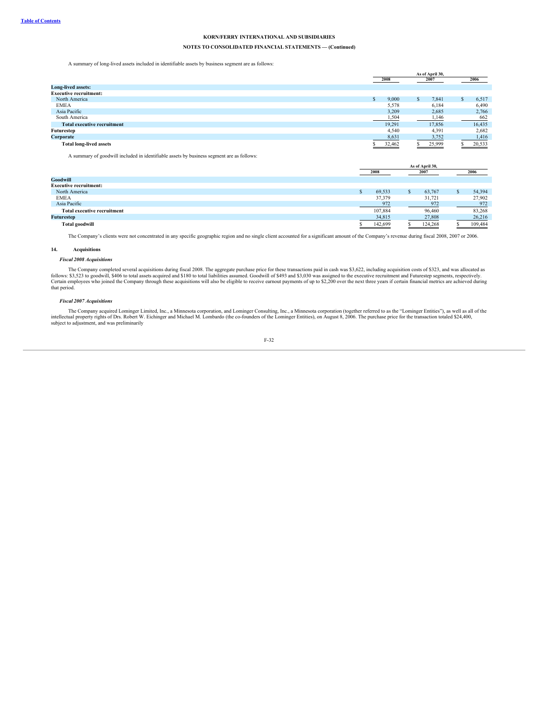## **NOTES TO CONSOLIDATED FINANCIAL STATEMENTS — (Continued)**

A summary of long-lived assets included in identifiable assets by business segment are as follows:

|                                    | As of April 30, |   |        |  |        |
|------------------------------------|-----------------|---|--------|--|--------|
|                                    | 2008            |   | 2007   |  | 2006   |
| <b>Long-lived assets:</b>          |                 |   |        |  |        |
| <b>Executive recruitment:</b>      |                 |   |        |  |        |
| North America                      | 9,000           | S | 7,841  |  | 6,517  |
| <b>EMEA</b>                        | 5,578           |   | 6,184  |  | 6,490  |
| Asia Pacific                       | 3,209           |   | 2,685  |  | 2,766  |
| South America                      | 1,504           |   | 1,146  |  | 662    |
| <b>Total executive recruitment</b> | 19,291          |   | 17,856 |  | 16,435 |
| Futurestep                         | 4,540           |   | 4,391  |  | 2,682  |
| Corporate                          | 8,631           |   | 3,752  |  | 1,416  |
| <b>Total long-lived assets</b>     | 32,462          |   | 25,999 |  | 20,533 |

A summary of goodwill included in identifiable assets by business segment are as follows:

|                               | As of April 30, |  |         |  |         |
|-------------------------------|-----------------|--|---------|--|---------|
|                               | 2008            |  | 2007    |  | 2006    |
| Goodwill                      |                 |  |         |  |         |
| <b>Executive recruitment:</b> |                 |  |         |  |         |
| North America                 | 69,533          |  | 63,767  |  | 54,394  |
| <b>EMEA</b>                   | 37,379          |  | 31.721  |  | 27,902  |
| Asia Pacific                  | 972             |  | 972     |  | 972     |
| Total executive recruitment   | 107,884         |  | 96,460  |  | 83,268  |
| <b>Futurestep</b>             | 34,815          |  | 27,808  |  | 26,216  |
| <b>Total goodwill</b>         | 142,699         |  | 124,268 |  | 109,484 |

The Company's clients were not concentrated in any specific geographic region and no single client accounted for a significant amount of the Company's revenue during fiscal 2008, 2007 or 2006.

### **14. Acquisitions**

#### *Fiscal 2008 Acquisitions*

The Company completed several acquisitions during fiscal 2008. The aggregate purchase price for these transactions paid in cash was \$3,622, including acquisition costs of \$323, and was allocated as follows: \$3,523 to goodw

### *Fiscal 2007 Acquisitions*

The Company acquired Lominger Limited, Inc., a Minnesota corporation, and Lominger Consulting, Inc., a Minnesota corporation (together referred to as the "Lominger Entities"), as well as all of the intellectual property ri

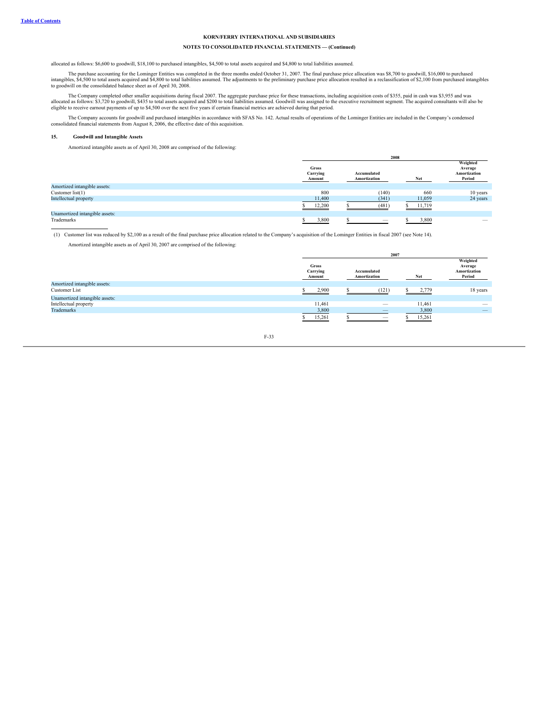### **NOTES TO CONSOLIDATED FINANCIAL STATEMENTS — (Continued)**

allocated as follows: \$6,600 to goodwill, \$18,100 to purchased intangibles, \$4,500 to total assets acquired and \$4,800 to total liabilities assumed.

The purchase accounting for the Lominger Entities was completed in the three months ended October 31, 2007. The final purchase price allocation was \$8,700 to goodwill, \$16,000 to purchased<br>intangibles, \$4,500 to total asse to goodwill on the consolidated balance sheet as of April 30, 2008.

The Company completed other smaller acquisitions during fiscal 2007. The aggregate purchase price for these transactions, including acquisition costs of \$355, paid in cash was \$3,955 and was allocated as follows: \$3,720 to goodwill, \$435 to total assets acquired and \$200 to total liabilities assumed. Goodwill was assigned to the executive recruitment segment. The acquired consultants will also be<br>eligible to r

The Company accounts for goodwill and purchased intangibles in accordance with SFAS No. 142. Actual results of operations of the Lominger Entities are included in the Company's condensed consolidated financial statements from August 8, 2006, the effective date of this acquisition.

#### **15. Goodwill and Intangible Assets**

Amortized intangible assets as of April 30, 2008 are comprised of the following:

|                                |                                    | 2008                        |        |                                               |  |  |
|--------------------------------|------------------------------------|-----------------------------|--------|-----------------------------------------------|--|--|
|                                | <b>Gross</b><br>Carrying<br>Amount | Accumulated<br>Amortization | Net    | Weighted<br>Average<br>Amortization<br>Period |  |  |
| Amortized intangible assets:   |                                    |                             |        |                                               |  |  |
| Customer $list(1)$             | 800                                | (140)                       | 660    | 10 years                                      |  |  |
| Intellectual property          | 11,400                             | (341)                       | 11,059 | 24 years                                      |  |  |
|                                | 12,200<br>$\sim$ $\sim$            | (481)                       | 11,719 |                                               |  |  |
| Unamortized intangible assets: |                                    |                             |        |                                               |  |  |
| Trademarks                     | 3,800                              | $\overline{\phantom{m}}$    | 3,800  | $\overline{\phantom{m}}$                      |  |  |

(1) Customer list was reduced by \$2,100 as a result of the final purchase price allocation related to the Company's acquisition of the Lominger Entities in fiscal 2007 (see Note 14).

Amortized intangible assets as of April 30, 2007 are comprised of the following:

|                                | 2007                               |        |                             |                          |  |        |                                               |  |
|--------------------------------|------------------------------------|--------|-----------------------------|--------------------------|--|--------|-----------------------------------------------|--|
|                                | <b>Gross</b><br>Carrying<br>Amount |        | Accumulated<br>Amortization |                          |  | Net    | Weighted<br>Average<br>Amortization<br>Period |  |
| Amortized intangible assets:   |                                    |        |                             |                          |  |        |                                               |  |
| Customer List                  |                                    | 2,900  |                             | (121)                    |  | 2,779  | 18 years                                      |  |
| Unamortized intangible assets: |                                    |        |                             |                          |  |        |                                               |  |
| Intellectual property          |                                    | 11,461 |                             |                          |  | 11,461 | $-$                                           |  |
| Trademarks                     |                                    | 3,800  |                             | $\overline{\phantom{m}}$ |  | 3,800  | $\overline{\phantom{m}}$                      |  |
|                                | 15,261                             |        |                             |                          |  | 15,261 |                                               |  |

### F-33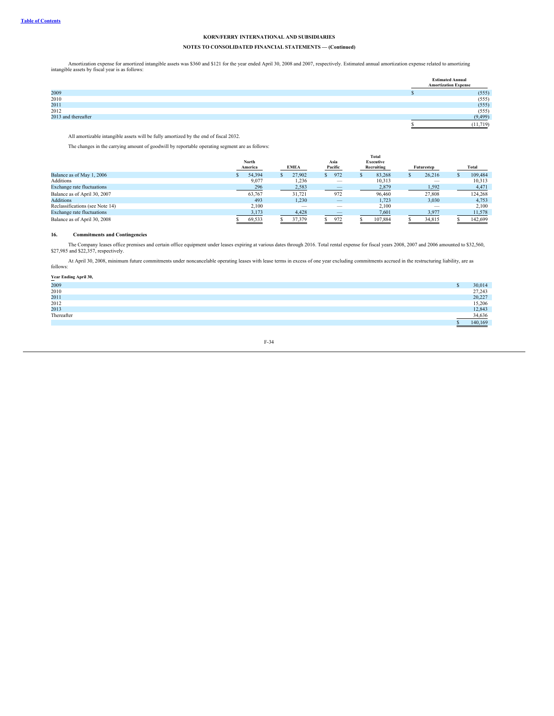### **NOTES TO CONSOLIDATED FINANCIAL STATEMENTS — (Continued)**

Amortization expense for amortized intangible assets was \$360 and \$121 for the year ended April 30, 2008 and 2007, respectively. Estimated annual amortization expense related to amortizing intangible assets by fiscal year

|                     | <b>Estimated Annual</b><br><b>Amortization Expense</b> |
|---------------------|--------------------------------------------------------|
| 2009                | (555)                                                  |
| $\frac{2010}{2011}$ | (555)                                                  |
|                     | (555)                                                  |
| 2012                | (555)                                                  |
| 2013 and thereafter | (9, 499)                                               |
|                     | (11, 719)                                              |

All amortizable intangible assets will be fully amortized by the end of fiscal 2032.

The changes in the carrying amount of goodwill by reportable operating segment are as follows:

|                                   |         |             |                          | Total            |            |         |
|-----------------------------------|---------|-------------|--------------------------|------------------|------------|---------|
|                                   | North   |             | Asia                     | <b>Executive</b> |            |         |
|                                   | America | <b>EMEA</b> | Pacific                  | Recruiting       | Futurestep | Total   |
| Balance as of May 1, 2006         | 54.394  | 27,902      | \$972                    | 83.268           | 26.216     | 109,484 |
| Additions                         | 9,077   | 1,236       | $\overline{\phantom{a}}$ | 10,313           | –          | 10,313  |
| <b>Exchange rate fluctuations</b> | 296     | 2,583       | _                        | 2,879            | 1,592      | 4,471   |
| Balance as of April 30, 2007      | 63.767  | 31.721      | 972                      | 96,460           | 27.808     | 124.268 |
| <b>Additions</b>                  | 493     | 1.230       | $-$                      | 1.723            | 3,030      | 4.753   |
| Reclassifications (see Note 14)   | 2,100   | _           | __                       | 2,100            | --         | 2,100   |
| <b>Exchange rate fluctuations</b> | 3,173   | 4,428       | _                        | 7,601            | 3,977      | 11,578  |
| Balance as of April 30, 2008      | 69,533  | 37,379      | 972                      | 107,884          | 34,815     | 142,699 |

### **16. Commitments and Contingencies**

The Company leases office premises and certain office equipment under leases expiring at various dates through 2016. Total rental expense for fiscal years 2008, 2007 and 2006 amounted to \$32,560, \$27,985 and \$22,357, respe

At April 30, 2008, minimum future commitments under noncancelable operating leases with lease terms in excess of one year excluding commitments accrued in the restructuring liability, are as follows:

### **Year Ending April 30,**

| $\overline{\phantom{a}}$ | ____ |         |
|--------------------------|------|---------|
| 2009                     |      | 30.014  |
| $\frac{2010}{2011}$      |      | 27,243  |
|                          |      | 20,227  |
|                          |      | 15,206  |
| $\frac{2012}{2013}$      |      | 12,843  |
| Thereafter               |      | 34,636  |
|                          |      | 140,169 |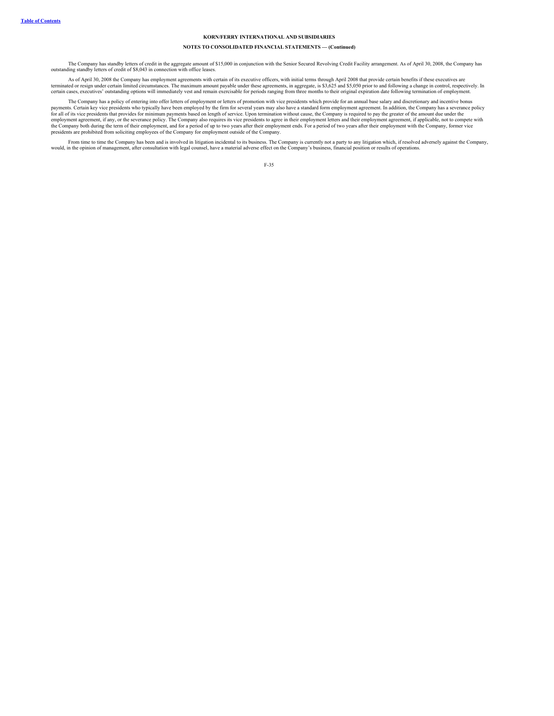#### **NOTES TO CONSOLIDATED FINANCIAL STATEMENTS — (Continued)**

The Company has standby letters of credit in the aggregate amount of \$15,000 in conjunction with the Senior Secured Revolving Credit Facility arrangement. As of April 30, 2008, the Company has outstanding standby letters o

As of April 30, 2008 the Company has employment agreements with certain of its executive officers, with initial terms through April 2008 that provide certain benefits if these executives are<br>terminated or resign under cert certain cases, executives' outstanding options will immediately vest and remain exercisable for periods ranging from three months to their original expiration date following termination of employment.

The Company has a policy of entering into offer letters of employment or letters of promotion with vice presidents which provide for an annual base salary and discretionary and incentive bonus payments. Certain key vice presidents who typically have been employed by the firm for several years may also have a standard form employment agreement. In addition, the Company has a severance policy of the School of its the Company both during the term of their employment, and for a period of up to two years after their employment conds. For a period of two years after their employment with the Company, former vice<br>presidents are prohibit

From time to time the Company has been and is involved in litigation incidental to its business. The Company is currently not a party to any litigation which, if resolved adversely against the Company, would, in the opinio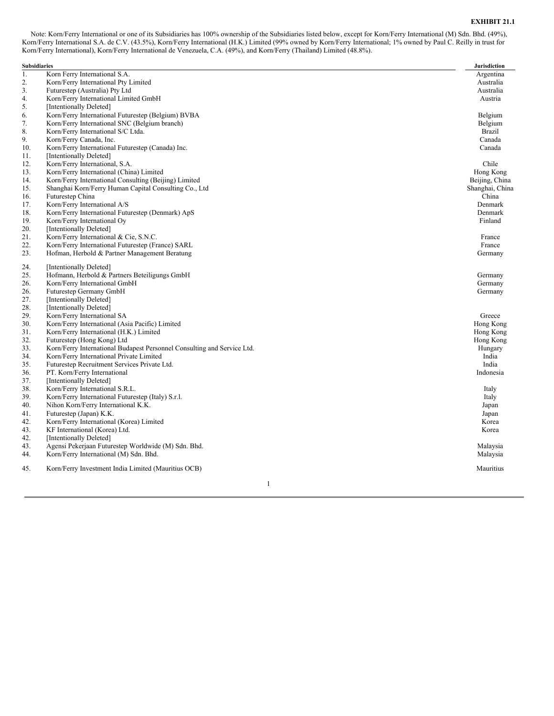# **EXHIBIT 21.1**

Note: Korn/Ferry International or one of its Subsidiaries has 100% ownership of the Subsidiaries listed below, except for Korn/Ferry International (M) Sdn. Bhd. (49%), Korn/Ferry International S.A. de C.V. (43.5%), Korn/Ferry International (H.K.) Limited (99% owned by Korn/Ferry International; 1% owned by Paul C. Reilly in trust for Korn/Ferry International), Korn/Ferry International de Venezuela, C.A. (49%), and Korn/Ferry (Thailand) Limited (48.8%).

|     | <b>Subsidiaries</b>                                                     |                 |
|-----|-------------------------------------------------------------------------|-----------------|
| 1.  | Korn Ferry International S.A.                                           | Argentina       |
| 2.  | Korn/Ferry International Pty Limited                                    | Australia       |
| 3.  | Futurestep (Australia) Pty Ltd                                          | Australia       |
| 4.  | Korn/Ferry International Limited GmbH                                   | Austria         |
| 5.  | [Intentionally Deleted]                                                 |                 |
| 6.  | Korn/Ferry International Futurestep (Belgium) BVBA                      | Belgium         |
| 7.  | Korn/Ferry International SNC (Belgium branch)                           | Belgium         |
| 8.  | Korn/Ferry International S/C Ltda.                                      | <b>Brazil</b>   |
| 9.  | Korn/Ferry Canada, Inc.                                                 | Canada          |
| 10. | Korn/Ferry International Futurestep (Canada) Inc.                       | Canada          |
| 11. | [Intentionally Deleted]                                                 |                 |
| 12. | Korn/Ferry International, S.A.                                          | Chile           |
| 13. | Korn/Ferry International (China) Limited                                | Hong Kong       |
| 14. | Korn/Ferry International Consulting (Beijing) Limited                   | Beijing, China  |
| 15. | Shanghai Korn/Ferry Human Capital Consulting Co., Ltd                   | Shanghai, China |
| 16. | Futurestep China                                                        | China           |
| 17. | Korn/Ferry International A/S                                            | Denmark         |
| 18. | Korn/Ferry International Futurestep (Denmark) ApS                       | Denmark         |
| 19. | Korn/Ferry International Oy                                             | Finland         |
| 20. | [Intentionally Deleted]                                                 |                 |
| 21. | Korn/Ferry International & Cie, S.N.C.                                  | France          |
| 22. | Korn/Ferry International Futurestep (France) SARL                       | France          |
| 23. | Hofman, Herbold & Partner Management Beratung                           | Germany         |
| 24. | [Intentionally Deleted]                                                 |                 |
| 25. | Hofmann, Herbold & Partners Beteiligungs GmbH                           | Germany         |
| 26. | Korn/Ferry International GmbH                                           | Germany         |
| 26. | Futurestep Germany GmbH                                                 | Germany         |
| 27. | [Intentionally Deleted]                                                 |                 |
| 28. | [Intentionally Deleted]                                                 |                 |
| 29. | Korn/Ferry International SA                                             | Greece          |
| 30. | Korn/Ferry International (Asia Pacific) Limited                         | Hong Kong       |
| 31. | Korn/Ferry International (H.K.) Limited                                 | Hong Kong       |
| 32. | Futurestep (Hong Kong) Ltd                                              | Hong Kong       |
| 33. | Korn/Ferry International Budapest Personnel Consulting and Service Ltd. | Hungary         |
| 34. | Korn/Ferry International Private Limited                                | India           |
| 35. | Futurestep Recruitment Services Private Ltd.                            | India           |
| 36. | PT. Korn/Ferry International                                            | Indonesia       |
| 37. | [Intentionally Deleted]                                                 |                 |
| 38. | Korn/Ferry International S.R.L.                                         | Italy           |
| 39. | Korn/Ferry International Futurestep (Italy) S.r.l.                      | Italy           |
| 40. | Nihon Korn/Ferry International K.K.                                     | Japan           |
| 41. | Futurestep (Japan) K.K.                                                 | Japan           |
| 42. | Korn/Ferry International (Korea) Limited                                | Korea           |
| 43. | KF International (Korea) Ltd.                                           | Korea           |
| 42. | [Intentionally Deleted]                                                 |                 |
| 43. | Agensi Pekerjaan Futurestep Worldwide (M) Sdn. Bhd.                     | Malaysia        |
| 44. | Korn/Ferry International (M) Sdn. Bhd.                                  | Malaysia        |
| 45. | Korn/Ferry Investment India Limited (Mauritius OCB)                     | Mauritius       |
|     | 1                                                                       |                 |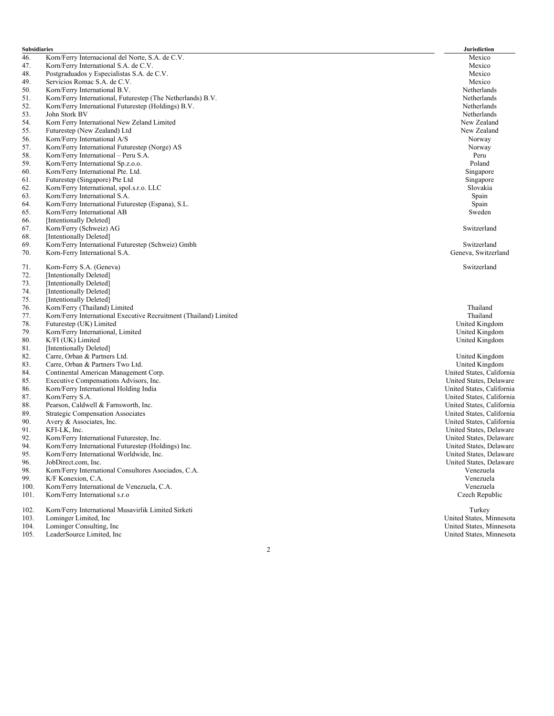**Subsidiaries** 46. 6. Korn/Ferry Internacional del Norte, S.A. de C.V. Metalcones and the contract of the contract of the contract of the contract of the contract of the contract of the contract of the contract of the contract of the contract of the contract of the contract of the contra 4 7. Korn/Ferry International S.A. de C.V. Metalcones and the contract of the contract of the contract of the contract of the contract of the contract of the contract of the contract of the contract of the contract of the contract of the contract of the contra 48. 8. Postgraduados y Especialistas S.A. de C.V. Metalcones and the contract of the contract of the contract of the contract of the contract of the contract of the contract of the contract of the contract of the contract of the contract of the contract of the contra 49. 9. Servicios Romac S.A. de C.V. Metalcones and the contract of the contract of the contract of the contract of the contract of the contract of the contract of the contract of the contract of the contract of the contract of the contract of the contra 50. 0. Korn/Ferry International B.V. Ne 51. 1. Korn/Ferry International, Futurestep (The Netherlands) B.V. Ne 5 2. Korn/Ferry International Futurestep (Holdings) B.V. Ne 5 3. J ohn Stork BV 54. 4. Korn Ferry International New Zeland Limited 55. 5. Futurestep (New Zealand) Ltd 56. 6. Korn/Ferry International A/S 5 7. Korn/Ferry International Futurestep (Norge) AS 58. 8. Korn/Ferry International - Peru S.A. Pe 59. 9. Korn/Ferry International Sp  $p.z.$ o.o. Postala e a postala e a postala e a postala e a postala e a postala e a postala e a postala e a postala e a postala e a postala e a postala e a postala e a postala e a postala e a postala e a postala e a postala 60. 0. Korn/Ferry International Pte. Ltd d. Since the contract of the contract of the contract of the contract of the contract of the contract of the contract of the contract of the contract of the contract of the contract of the contract of the contract of the c 61. 1. Futurestep (Singapore) Pte Ltd 62 2. Korn/Ferry International, spol.s.r.o. LLC 63. 3. Korn/Ferry International S.A. S.A. 6 4. Korn/Ferry International Futurestep (Espana)  $\mathcal{S}_{\text{F}}$ , S.L. Space  $\mathcal{S}_{\text{F}}$ 65. 5. Korn/Ferry International AB 6 6. [ Intentionally Deleted] 67. 7. Korn/Ferry (Schweiz) AG 68. 8. [Intentionally Deleted] 69 9. Korn/Ferry International Futurestep (Schweiz) Gmbh 70. 0. Korn-Ferry International S.A. Germany and the set of the set of the set of the set of the set of the set of the set of the set of the set of the set of the set of the set of the set of the set of the set of the set of the set of the set of the set 71. 1. Korn-Ferry S.A. (Geneva) 7 2. [ Intentionally Deleted] 7 3. [ Intentionally Deleted] 7 4. [ Intentionally Deleted] 75 5. [Intentionally Deleted] 76. 6. Korn/Ferry (Thailand) Limited 77. 7. Korn/Ferry International Executive Recruitment (Thailand) Limited 78. 8. Futurestep (UK) Limited 79 9. Korn/Ferry International, Limited 80 0. K/FI (UK) Limited 8 1. [ Intentionally Deleted] 82 2. Carre, Orban & Partners Ltd td. U 83. 3. Carre, Orban & Partners Two Ltd td. U 84. 4. Continental American Management Cor rp. Un 85 5. Executive Compensations Advisors, Inc. c. C. 86. 6. Korn/Ferry International Holding India 87. 7. Korn/Ferry S.A. Un 88. 8. Pearson, Caldwell & Farnsworth, Inc. c. C. 89. 9. Strategic Compensation Associates 9 0. Avery & Associates, Inc. c. C. 91. 1. KFI-LK, Inc c. C. 92. 2. Korn/Ferry International Futurestep, Inc. c. C. 94. 4. Korn/Ferry International Futurestep (Holdings) Inc c. C. 95. 5. Korn/Ferry International Worldwide, Inc c. C. 96. 6. JobDirect.com, Inc. c. C. 9 8. Korn/Ferry International Consultores Asociados s, C.A. Ve 9 9. K/F Konexion n, C.A. Ve 1 0 0. Korn/Ferry International de Venezuela a, C.A. V 1 0 1. Korn/Ferry International s.r.o 1 0 2. Korn/Ferry International Musavirlik Limited Sirketi

1 0 3. Lominger Limited, Inc.

1 0 4. Lominger Consulting, Inc.

1 0 5. LeaderSource Limited, Inc.

**Jurisdiction** exico exico exico exico etherlands etherlands etherlands Netherlands New Zealand New Zealand Norway Norway e ru o l a n d ingapore Singapore Slovakia pain pain Sweden

### Switzerland

Switzerland eneva, Switzerland

Switzerland

### Thailand Thailand United Kingdom United Kingdom United Kingdom

### nited Kingdom nited Kingdom nited States, California nited States, Delaware United States, California nited States, California nited States, California United States, California nited States, California nited States, Delaware nited States, Delaware nited States, Delaware nited States, Delaware nited States, Delaware enezuela enezuela enezuela Czech Republic

Turkey United States, Minnesota United States, Minnesota United States, Minnesota

### 2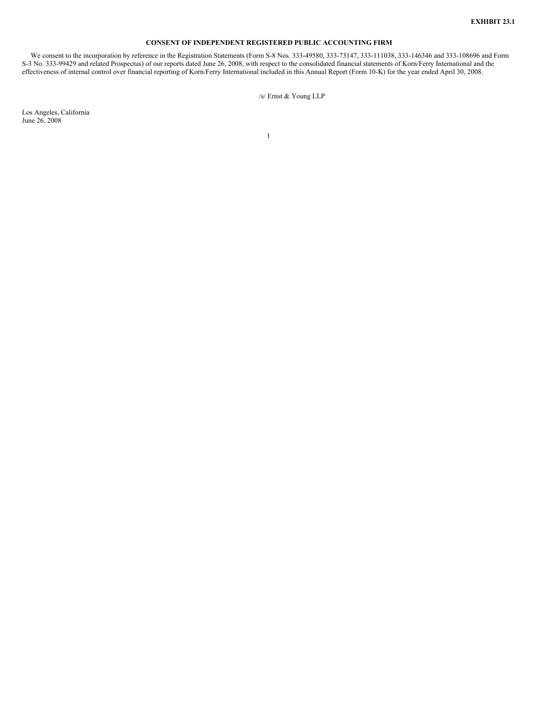# **CONSENT OF INDEPENDENT REGISTERED PUBLIC ACCOUNTING FIRM**

We consent to the incorporation by reference in the Registration Statements (Form S-8 Nos. 333-49580, 333-73147, 333-111038, 333-146346 and 333-108696 and Form S-3 No. 333-99429 and related Prospectus) of our reports dated June 26, 2008, with respect to the consolidated financial statements of Korn/Ferry International and the effectiveness of internal control over financial reporting of Korn/Ferry International included in this Annual Report (Form 10-K) for the year ended April 30, 2008.

/s/ Ernst & Young LLP

Los Angeles, California June 26, 2008

1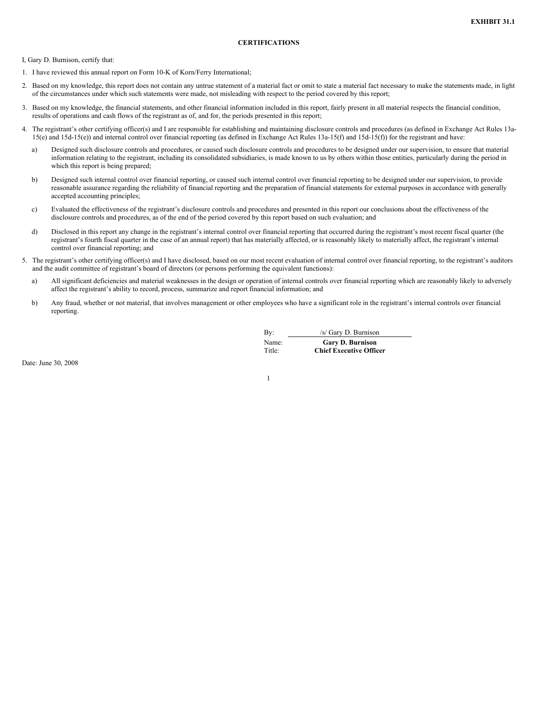# **CERTIFICATIONS**

### I, Gary D. Burnison, certify that:

- 1. I have reviewed this annual report on Form 10-K of Korn/Ferry International;
- 2. Based on my knowledge, this report does not contain any untrue statement of a material fact or omit to state a material fact necessary to make the statements made, in light of the circumstances under which such statements were made, not misleading with respect to the period covered by this report;
- 3. Based on my knowledge, the financial statements, and other financial information included in this report, fairly present in all material respects the financial condition, results of operations and cash flows of the registrant as of, and for, the periods presented in this report;
- 4. The registrant's other certifying officer(s) and I are responsible for establishing and maintaining disclosure controls and procedures (as defined in Exchange Act Rules 13a-15(e) and 15d-15(e)) and internal control over financial reporting (as defined in Exchange Act Rules 13a-15(f) and 15d-15(f)) for the registrant and have:
	- a) Designed such disclosure controls and procedures, or caused such disclosure controls and procedures to be designed under our supervision, to ensure that material information relating to the registrant, including its consolidated subsidiaries, is made known to us by others within those entities, particularly during the period in which this report is being prepared;
	- b) Designed such internal control over financial reporting, or caused such internal control over financial reporting to be designed under our supervision, to provide reasonable assurance regarding the reliability of financial reporting and the preparation of financial statements for external purposes in accordance with generally accepted accounting principles;
	- c) Evaluated the effectiveness of the registrant's disclosure controls and procedures and presented in this report our conclusions about the effectiveness of the disclosure controls and procedures, as of the end of the period covered by this report based on such evaluation; and
	- d) Disclosed in this report any change in the registrant's internal control over financial reporting that occurred during the registrant's most recent fiscal quarter (the registrant's fourth fiscal quarter in the case of an annual report) that has materially affected, or is reasonably likely to materially affect, the registrant's internal control over financial reporting; and
- 5. The registrant's other certifying officer(s) and I have disclosed, based on our most recent evaluation of internal control over financial reporting, to the registrant's auditors and the audit committee of registrant's board of directors (or persons performing the equivalent functions):
	- a) All significant deficiencies and material weaknesses in the design or operation of internal controls over financial reporting which are reasonably likely to adversely affect the registrant's ability to record, process, summarize and report financial information; and
	- b) Any fraud, whether or not material, that involves management or other employees who have a significant role in the registrant's internal controls over financial reporting.

| By:    | /s/ Gary D. Burnison           |
|--------|--------------------------------|
| Name:  | <b>Gary D. Burnison</b>        |
| Title: | <b>Chief Executive Officer</b> |

Date: June 30, 2008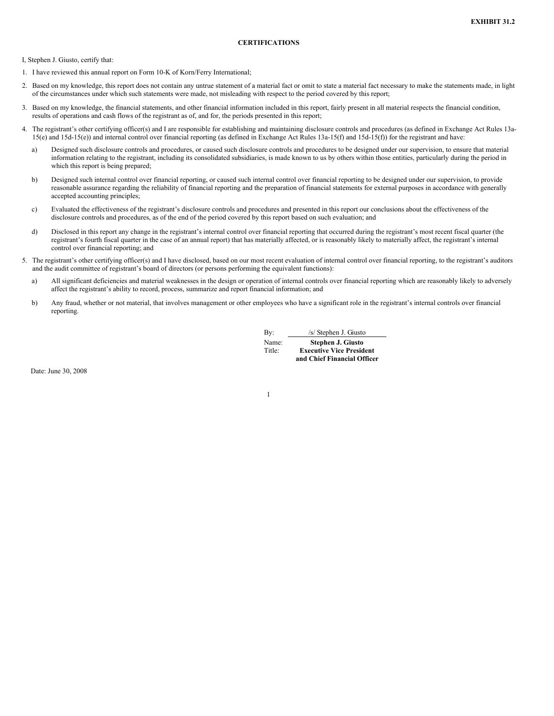# **CERTIFICATIONS**

### I, Stephen J. Giusto, certify that:

- 1. I have reviewed this annual report on Form 10-K of Korn/Ferry International;
- 2. Based on my knowledge, this report does not contain any untrue statement of a material fact or omit to state a material fact necessary to make the statements made, in light of the circumstances under which such statements were made, not misleading with respect to the period covered by this report;
- 3. Based on my knowledge, the financial statements, and other financial information included in this report, fairly present in all material respects the financial condition, results of operations and cash flows of the registrant as of, and for, the periods presented in this report;
- 4. The registrant's other certifying officer(s) and I are responsible for establishing and maintaining disclosure controls and procedures (as defined in Exchange Act Rules 13a-15(e) and 15d-15(e)) and internal control over financial reporting (as defined in Exchange Act Rules 13a-15(f) and 15d-15(f)) for the registrant and have:
	- a) Designed such disclosure controls and procedures, or caused such disclosure controls and procedures to be designed under our supervision, to ensure that material information relating to the registrant, including its consolidated subsidiaries, is made known to us by others within those entities, particularly during the period in which this report is being prepared;
	- b) Designed such internal control over financial reporting, or caused such internal control over financial reporting to be designed under our supervision, to provide reasonable assurance regarding the reliability of financial reporting and the preparation of financial statements for external purposes in accordance with generally accepted accounting principles;
	- c) Evaluated the effectiveness of the registrant's disclosure controls and procedures and presented in this report our conclusions about the effectiveness of the disclosure controls and procedures, as of the end of the period covered by this report based on such evaluation; and
	- d) Disclosed in this report any change in the registrant's internal control over financial reporting that occurred during the registrant's most recent fiscal quarter (the registrant's fourth fiscal quarter in the case of an annual report) that has materially affected, or is reasonably likely to materially affect, the registrant's internal control over financial reporting; and
- 5. The registrant's other certifying officer(s) and I have disclosed, based on our most recent evaluation of internal control over financial reporting, to the registrant's auditors and the audit committee of registrant's board of directors (or persons performing the equivalent functions):
	- a) All significant deficiencies and material weaknesses in the design or operation of internal controls over financial reporting which are reasonably likely to adversely affect the registrant's ability to record, process, summarize and report financial information; and
	- b) Any fraud, whether or not material, that involves management or other employees who have a significant role in the registrant's internal controls over financial reporting.

| By:    | /s/ Stephen J. Giusto           |
|--------|---------------------------------|
| Name:  | <b>Stephen J. Giusto</b>        |
| Title: | <b>Executive Vice President</b> |
|        | and Chief Financial Officer     |

Date: June 30, 2008